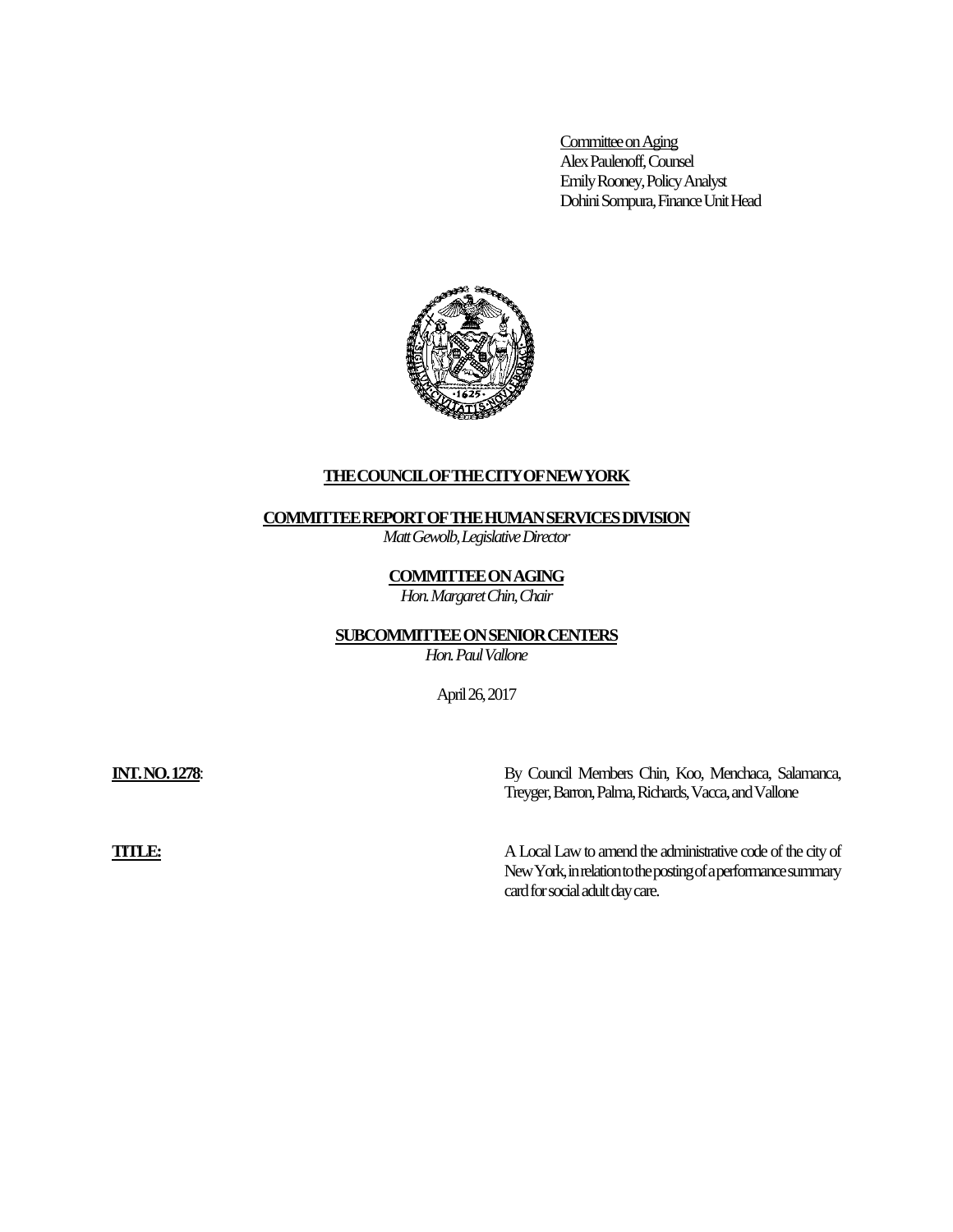Committee on Aging Alex Paulenoff, Counsel Emily Rooney, Policy Analyst Dohini Sompura, Finance Unit Head



## **THECOUNCILOFTHECITYOFNEWYORK**

### **COMMITTEE REPORT OF THE HUMAN SERVICES DIVISION**

*Matt Gewolb, Legislative Director*

## **COMMITTEE ON AGING**

*Hon. Margaret Chin, Chair*

# **SUBCOMMITTEE ON SENIOR CENTERS**

*Hon. Paul Vallone*

April 26, 2017

**INT. NO. 1278**: By Council Members Chin, Koo, Menchaca, Salamanca, Treyger, Barron,Palma, Richards, Vacca, and Vallone

**TITLE:** A Local Law to amend the administrative code of the city of New York, in relation to the posting of a performance summary card for social adult day care.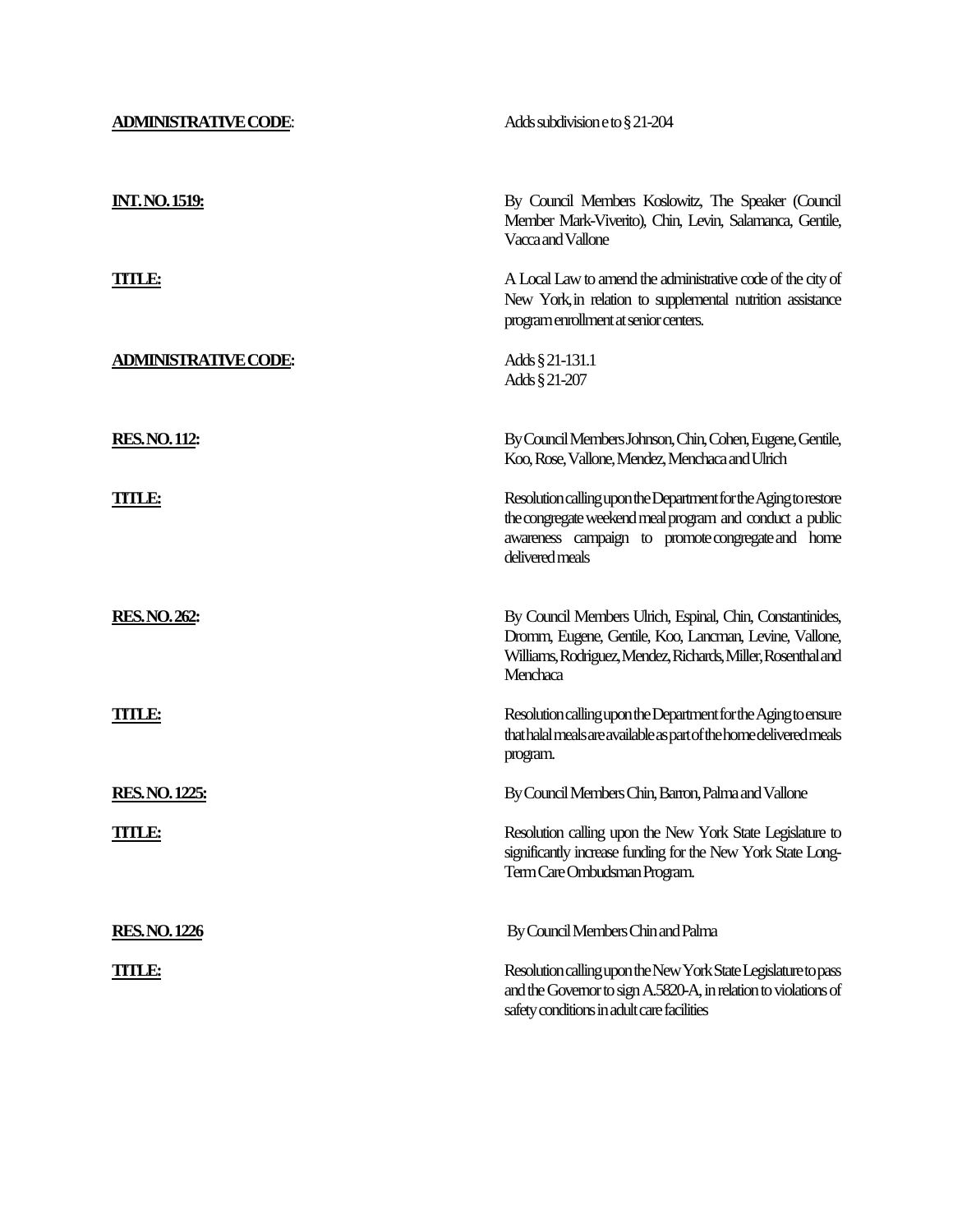| <b>ADMINISTRATIVE CODE:</b> | Adds subdivision e to § 21-204                                                                                                                                                                      |  |
|-----------------------------|-----------------------------------------------------------------------------------------------------------------------------------------------------------------------------------------------------|--|
| <u>INT. NO. 1519:</u>       | By Council Members Koslowitz, The Speaker (Council<br>Member Mark-Viverito), Chin, Levin, Salamanca, Gentile,<br>Vacca and Vallone                                                                  |  |
| <b>TITLE:</b>               | A Local Law to amend the administrative code of the city of<br>New York, in relation to supplemental nutrition assistance<br>program enrollment at senior centers.                                  |  |
| <b>ADMINISTRATIVE CODE:</b> | Adds § 21-131.1<br>Adds § 21-207                                                                                                                                                                    |  |
| <b>RES. NO. 112:</b>        | By Council Members Johnson, Chin, Cohen, Eugene, Gentile,<br>Koo, Rose, Vallone, Mendez, Menchaca and Ulrich                                                                                        |  |
| <b>TITLE:</b>               | Resolution calling upon the Department for the Aging to restore<br>the congregate weekend meal program and conduct a public<br>awareness campaign to promote congregate and home<br>delivered meals |  |
| <b>RES. NO. 262:</b>        | By Council Members Ulrich, Espinal, Chin, Constantinides,<br>Dromm, Eugene, Gentile, Koo, Lancman, Levine, Vallone,<br>Williams, Rodriguez, Mendez, Richards, Miller, Rosenthal and<br>Menchaca     |  |
| <b>TITLE:</b>               | Resolution calling upon the Department for the Aging to ensure<br>that halal meals are available as part of the home delivered meals<br>program.                                                    |  |
| <b>RES. NO. 1225:</b>       | By Council Members Chin, Barron, Palma and Vallone                                                                                                                                                  |  |
| TITLE:                      | Resolution calling upon the New York State Legislature to<br>significantly increase funding for the New York State Long-<br>Term Care Ombudsman Program.                                            |  |
| <b>RES.NO.1226</b>          | By Council Members Chin and Palma                                                                                                                                                                   |  |
| TITLE:                      | Resolution calling upon the New York State Legislature to pass<br>and the Governor to sign A.5820-A, in relation to violations of<br>safety conditions in adult care facilities                     |  |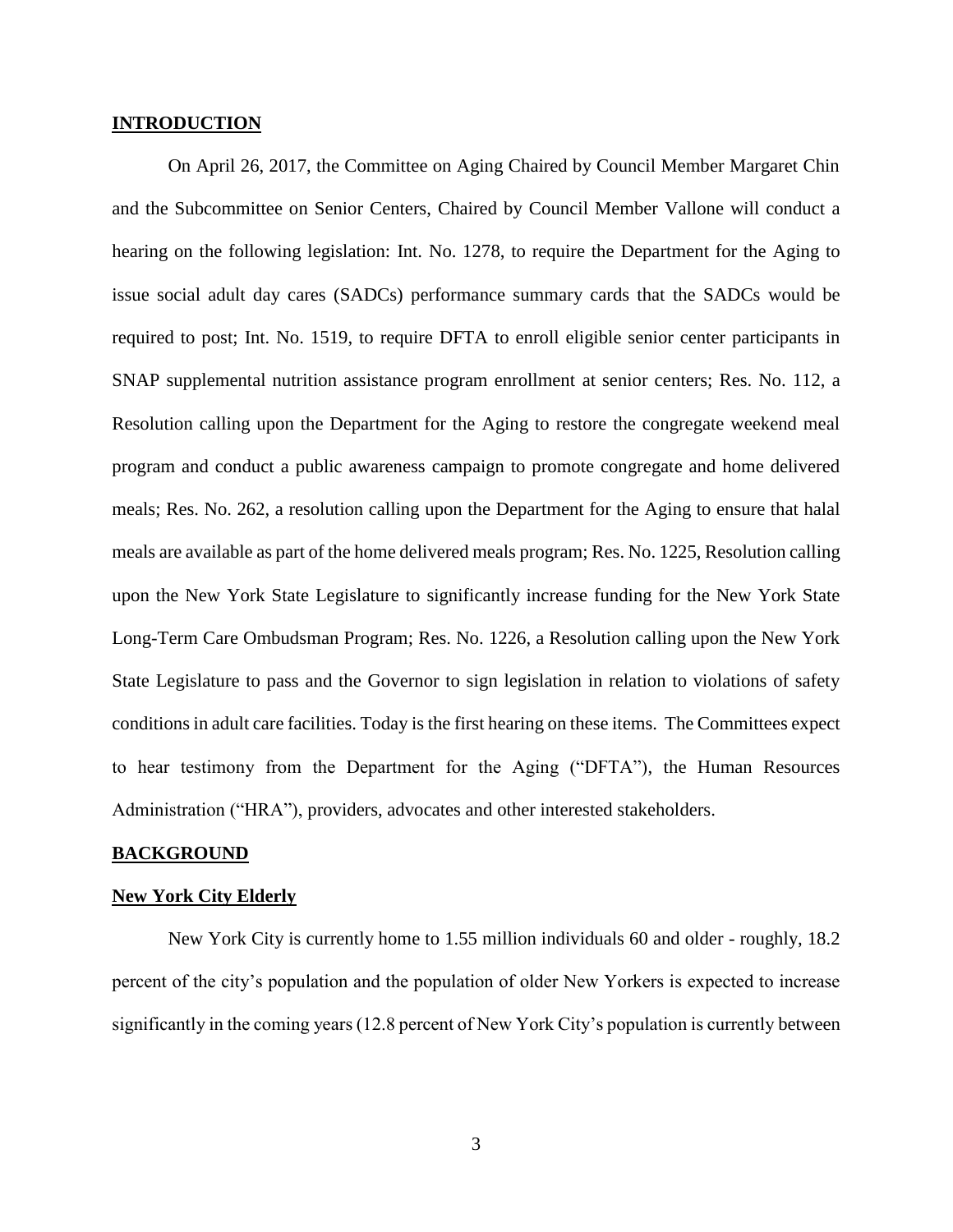## **INTRODUCTION**

On April 26, 2017, the Committee on Aging Chaired by Council Member Margaret Chin and the Subcommittee on Senior Centers, Chaired by Council Member Vallone will conduct a hearing on the following legislation: Int. No. 1278, to require the Department for the Aging to issue social adult day cares (SADCs) performance summary cards that the SADCs would be required to post; Int. No. 1519, to require DFTA to enroll eligible senior center participants in SNAP supplemental nutrition assistance program enrollment at senior centers; Res. No. 112, a Resolution calling upon the Department for the Aging to restore the congregate weekend meal program and conduct a public awareness campaign to promote congregate and home delivered meals; Res. No. 262, a resolution calling upon the Department for the Aging to ensure that halal meals are available as part of the home delivered meals program; Res. No. 1225, Resolution calling upon the New York State Legislature to significantly increase funding for the New York State Long-Term Care Ombudsman Program; Res. No. 1226, a Resolution calling upon the New York State Legislature to pass and the Governor to sign legislation in relation to violations of safety conditions in adult care facilities. Today is the first hearing on these items. The Committees expect to hear testimony from the Department for the Aging ("DFTA"), the Human Resources Administration ("HRA"), providers, advocates and other interested stakeholders.

#### **BACKGROUND**

#### **New York City Elderly**

New York City is currently home to 1.55 million individuals 60 and older - roughly, 18.2 percent of the city's population and the population of older New Yorkers is expected to increase significantly in the coming years (12.8 percent of New York City's population is currently between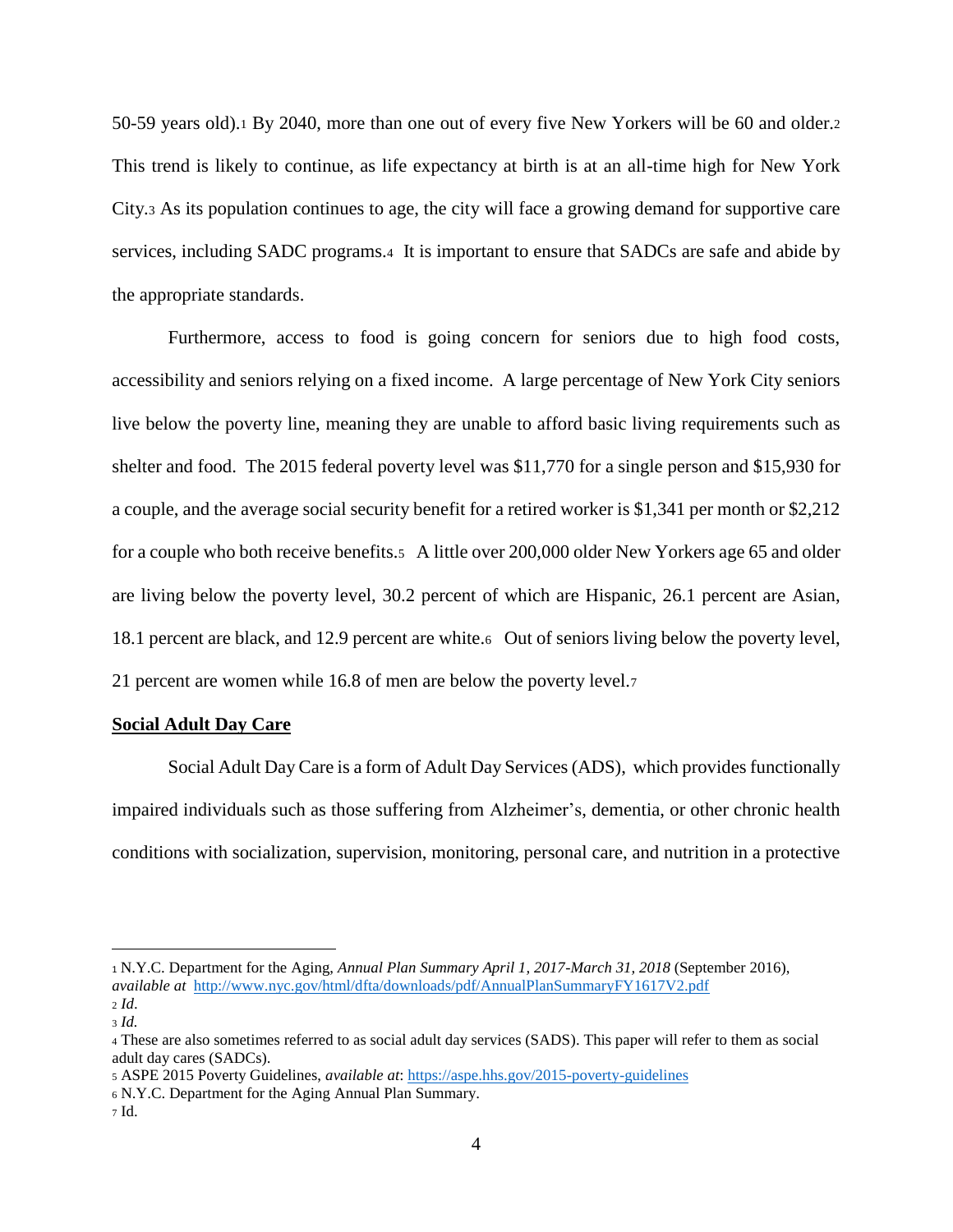50-59 years old).<sup>1</sup> By 2040, more than one out of every five New Yorkers will be 60 and older.<sup>2</sup> This trend is likely to continue, as life expectancy at birth is at an all-time high for New York City.<sup>3</sup> As its population continues to age, the city will face a growing demand for supportive care services, including SADC programs.4 It is important to ensure that SADCs are safe and abide by the appropriate standards.

Furthermore, access to food is going concern for seniors due to high food costs, accessibility and seniors relying on a fixed income. A large percentage of New York City seniors live below the poverty line, meaning they are unable to afford basic living requirements such as shelter and food. The 2015 federal poverty level was \$11,770 for a single person and \$15,930 for a couple, and the average social security benefit for a retired worker is \$1,341 per month or \$2,212 for a couple who both receive benefits.5 A little over 200,000 older New Yorkers age 65 and older are living below the poverty level, 30.2 percent of which are Hispanic, 26.1 percent are Asian, 18.1 percent are black, and 12.9 percent are white.6 Out of seniors living below the poverty level, 21 percent are women while 16.8 of men are below the poverty level.<sup>7</sup>

### **Social Adult Day Care**

Social Adult Day Care is a form of Adult Day Services (ADS), which provides functionally impaired individuals such as those suffering from Alzheimer's, dementia, or other chronic health conditions with socialization, supervision, monitoring, personal care, and nutrition in a protective

<sup>1</sup> N.Y.C. Department for the Aging, *Annual Plan Summary April 1, 2017-March 31, 2018* (September 2016), *available at*<http://www.nyc.gov/html/dfta/downloads/pdf/AnnualPlanSummaryFY1617V2.pdf> <sup>2</sup> *Id*.

<sup>3</sup> *Id.*

<sup>4</sup> These are also sometimes referred to as social adult day services (SADS). This paper will refer to them as social adult day cares (SADCs).

<sup>5</sup> ASPE 2015 Poverty Guidelines, *available at*:<https://aspe.hhs.gov/2015-poverty-guidelines>

<sup>6</sup> N.Y.C. Department for the Aging Annual Plan Summary.

<sup>7</sup> Id.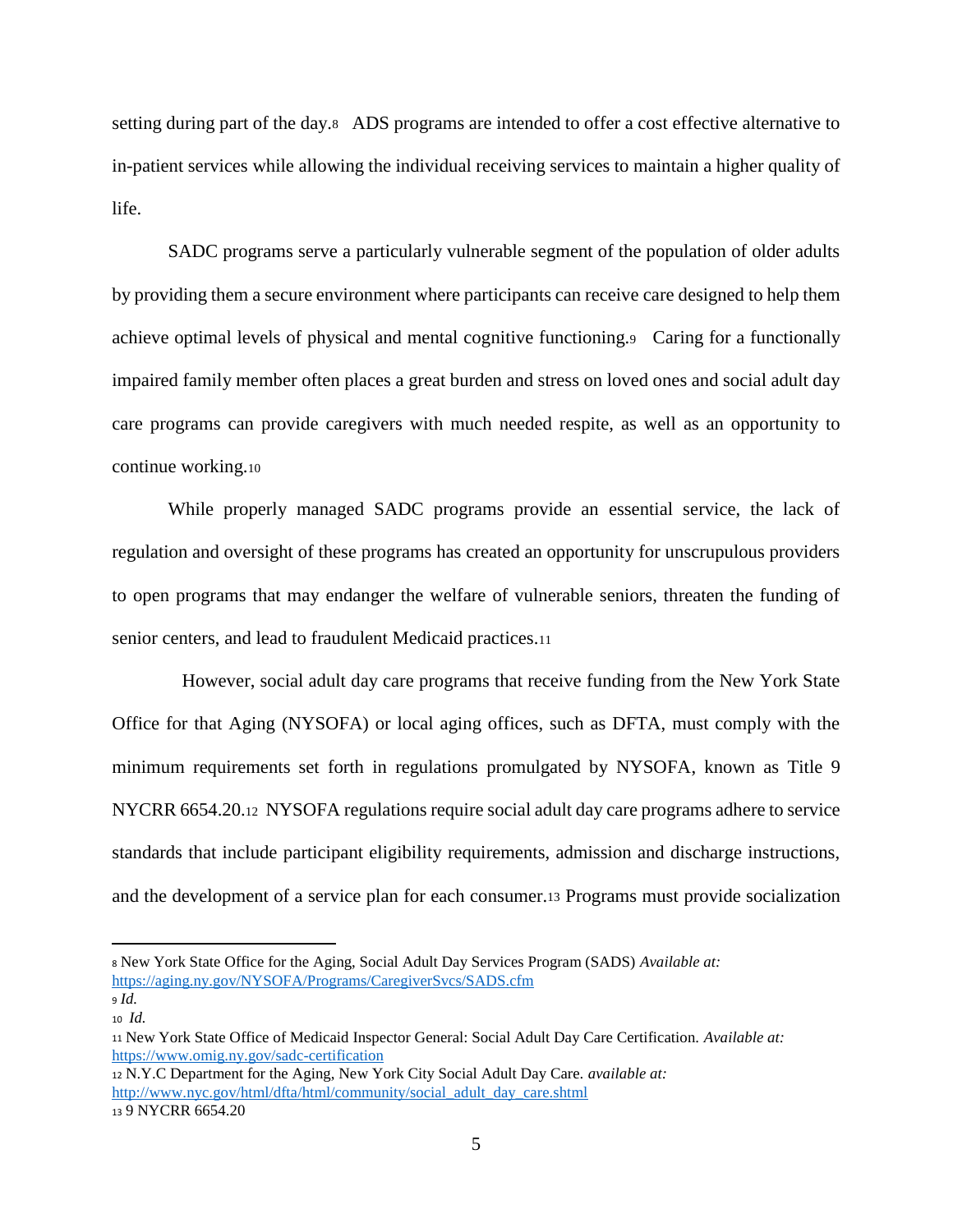setting during part of the day.8 ADS programs are intended to offer a cost effective alternative to in-patient services while allowing the individual receiving services to maintain a higher quality of life.

SADC programs serve a particularly vulnerable segment of the population of older adults by providing them a secure environment where participants can receive care designed to help them achieve optimal levels of physical and mental cognitive functioning.9 Caring for a functionally impaired family member often places a great burden and stress on loved ones and social adult day care programs can provide caregivers with much needed respite, as well as an opportunity to continue working.<sup>10</sup>

While properly managed SADC programs provide an essential service, the lack of regulation and oversight of these programs has created an opportunity for unscrupulous providers to open programs that may endanger the welfare of vulnerable seniors, threaten the funding of senior centers, and lead to fraudulent Medicaid practices.<sup>11</sup>

 However, social adult day care programs that receive funding from the New York State Office for that Aging (NYSOFA) or local aging offices, such as DFTA, must comply with the minimum requirements set forth in regulations promulgated by NYSOFA, known as Title 9 NYCRR 6654.20.12 NYSOFA regulations require social adult day care programs adhere to service standards that include participant eligibility requirements, admission and discharge instructions, and the development of a service plan for each consumer.<sup>13</sup> Programs must provide socialization

<sup>8</sup> New York State Office for the Aging, Social Adult Day Services Program (SADS) *Available at:* <https://aging.ny.gov/NYSOFA/Programs/CaregiverSvcs/SADS.cfm>

<sup>9</sup> *Id.* <sup>10</sup> *Id.*

<sup>11</sup> New York State Office of Medicaid Inspector General: Social Adult Day Care Certification. *Available at:* <https://www.omig.ny.gov/sadc-certification>

<sup>12</sup> N.Y.C Department for the Aging, New York City Social Adult Day Care. *available at:* [http://www.nyc.gov/html/dfta/html/community/social\\_adult\\_day\\_care.shtml](http://www.nyc.gov/html/dfta/html/community/social_adult_day_care.shtml) <sup>13</sup> 9 NYCRR 6654.20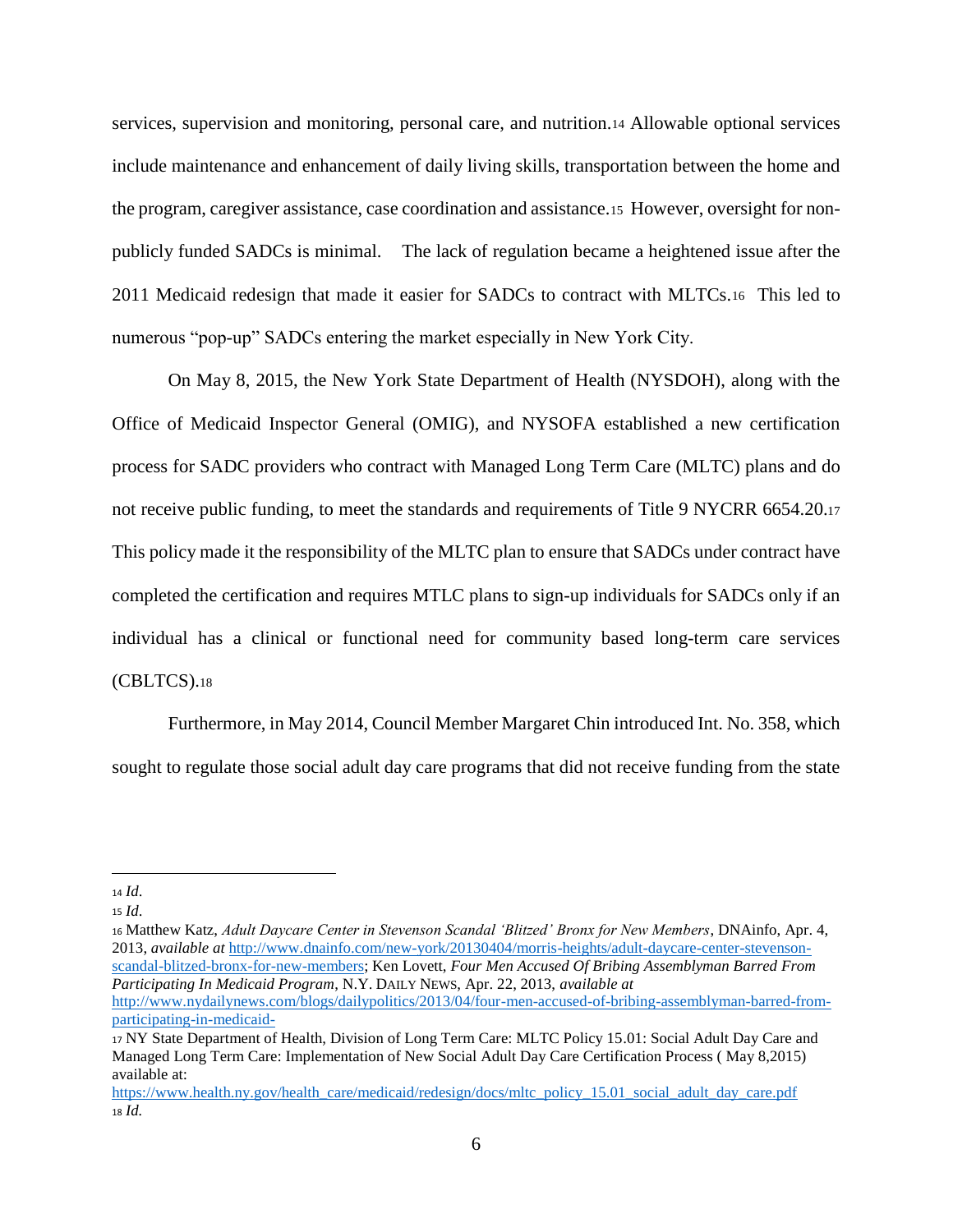services, supervision and monitoring, personal care, and nutrition.<sup>14</sup> Allowable optional services include maintenance and enhancement of daily living skills, transportation between the home and the program, caregiver assistance, case coordination and assistance.15 However, oversight for nonpublicly funded SADCs is minimal. The lack of regulation became a heightened issue after the 2011 Medicaid redesign that made it easier for SADCs to contract with MLTCs.16 This led to numerous "pop-up" SADCs entering the market especially in New York City.

On May 8, 2015, the New York State Department of Health (NYSDOH), along with the Office of Medicaid Inspector General (OMIG), and NYSOFA established a new certification process for SADC providers who contract with Managed Long Term Care (MLTC) plans and do not receive public funding, to meet the standards and requirements of Title 9 NYCRR 6654.20.<sup>17</sup> This policy made it the responsibility of the MLTC plan to ensure that SADCs under contract have completed the certification and requires MTLC plans to sign-up individuals for SADCs only if an individual has a clinical or functional need for community based long-term care services (CBLTCS).<sup>18</sup>

Furthermore, in May 2014, Council Member Margaret Chin introduced Int. No. 358, which sought to regulate those social adult day care programs that did not receive funding from the state

<sup>14</sup> *Id*.

<sup>15</sup> *Id*.

<sup>16</sup> Matthew Katz, *Adult Daycare Center in Stevenson Scandal 'Blitzed' Bronx for New Members*, DNAinfo, Apr. 4, 2013, *available at* [http://www.dnainfo.com/new-york/20130404/morris-heights/adult-daycare-center-stevenson](http://www.dnainfo.com/new-york/20130404/morris-heights/adult-daycare-center-stevenson-scandal-blitzed-bronx-for-new-members)[scandal-blitzed-bronx-for-new-members;](http://www.dnainfo.com/new-york/20130404/morris-heights/adult-daycare-center-stevenson-scandal-blitzed-bronx-for-new-members) Ken Lovett, *Four Men Accused Of Bribing Assemblyman Barred From Participating In Medicaid Program*, N.Y. DAILY NEWS, Apr. 22, 2013, *available at*  [http://www.nydailynews.com/blogs/dailypolitics/2013/04/four-men-accused-of-bribing-assemblyman-barred-from-](http://www.nydailynews.com/blogs/dailypolitics/2013/04/four-men-accused-of-bribing-assemblyman-barred-from-participating-in-medicaid-)

[participating-in-medicaid-](http://www.nydailynews.com/blogs/dailypolitics/2013/04/four-men-accused-of-bribing-assemblyman-barred-from-participating-in-medicaid-)

<sup>17</sup> NY State Department of Health, Division of Long Term Care: MLTC Policy 15.01: Social Adult Day Care and Managed Long Term Care: Implementation of New Social Adult Day Care Certification Process ( May 8,2015) available at:

[https://www.health.ny.gov/health\\_care/medicaid/redesign/docs/mltc\\_policy\\_15.01\\_social\\_adult\\_day\\_care.pdf](https://www.health.ny.gov/health_care/medicaid/redesign/docs/mltc_policy_15.01_social_adult_day_care.pdf) <sup>18</sup> *Id.*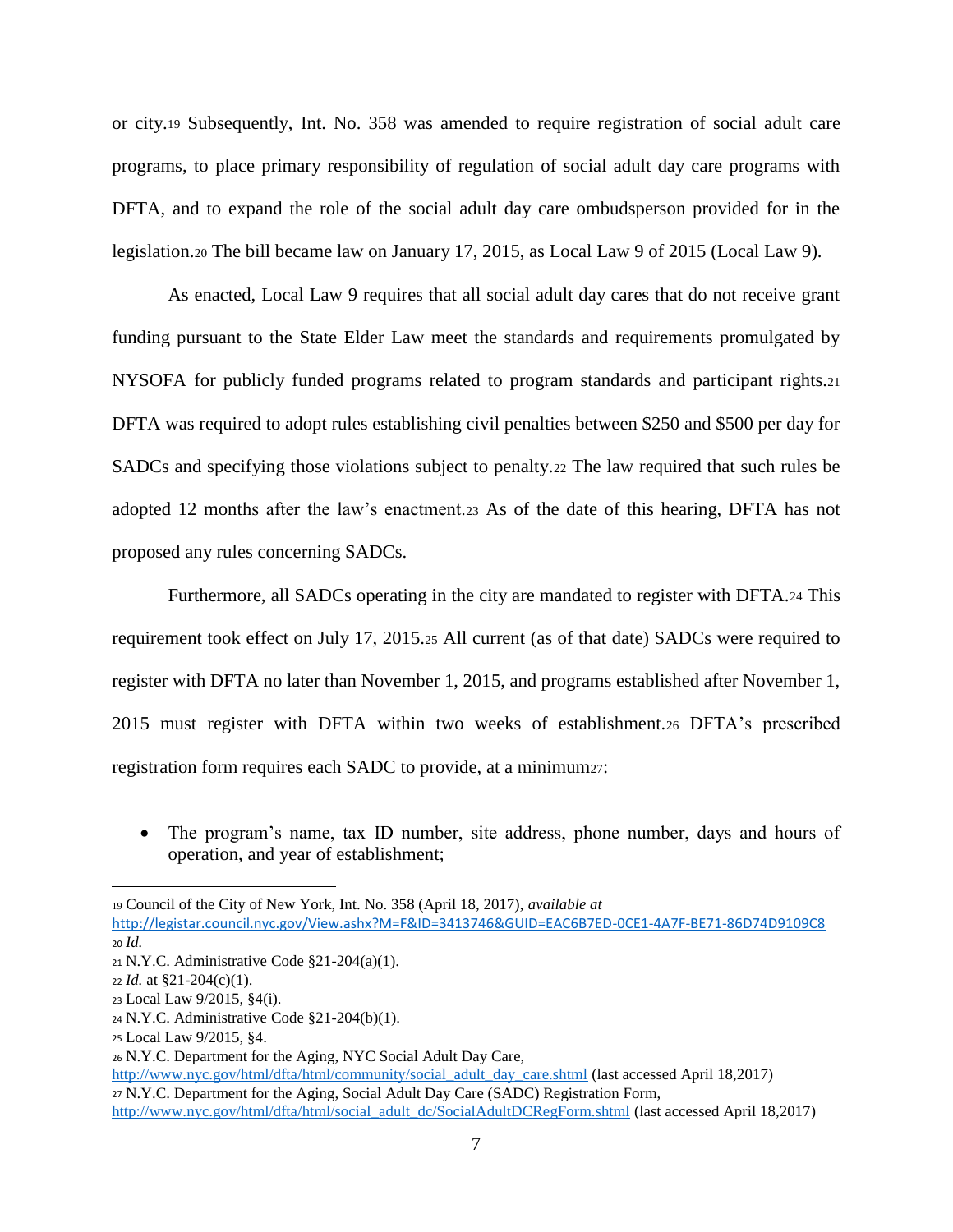or city.<sup>19</sup> Subsequently, Int. No. 358 was amended to require registration of social adult care programs, to place primary responsibility of regulation of social adult day care programs with DFTA, and to expand the role of the social adult day care ombudsperson provided for in the legislation.<sup>20</sup> The bill became law on January 17, 2015, as Local Law 9 of 2015 (Local Law 9).

As enacted, Local Law 9 requires that all social adult day cares that do not receive grant funding pursuant to the State Elder Law meet the standards and requirements promulgated by NYSOFA for publicly funded programs related to program standards and participant rights.<sup>21</sup> DFTA was required to adopt rules establishing civil penalties between \$250 and \$500 per day for SADCs and specifying those violations subject to penalty.<sup>22</sup> The law required that such rules be adopted 12 months after the law's enactment.<sup>23</sup> As of the date of this hearing, DFTA has not proposed any rules concerning SADCs.

Furthermore, all SADCs operating in the city are mandated to register with DFTA.<sup>24</sup> This requirement took effect on July 17, 2015.<sup>25</sup> All current (as of that date) SADCs were required to register with DFTA no later than November 1, 2015, and programs established after November 1, 2015 must register with DFTA within two weeks of establishment.<sup>26</sup> DFTA's prescribed registration form requires each SADC to provide, at a minimum27:

 The program's name, tax ID number, site address, phone number, days and hours of operation, and year of establishment;

<sup>19</sup> Council of the City of New York, Int. No. 358 (April 18, 2017), *available at*

<http://legistar.council.nyc.gov/View.ashx?M=F&ID=3413746&GUID=EAC6B7ED-0CE1-4A7F-BE71-86D74D9109C8> <sup>20</sup> *Id.*

<sup>21</sup> N.Y.C. Administrative Code §21-204(a)(1).

<sup>22</sup> *Id.* at §21-204(c)(1).

<sup>23</sup> Local Law 9/2015, §4(i).

<sup>24</sup> N.Y.C. Administrative Code §21-204(b)(1).

<sup>25</sup> Local Law 9/2015, §4.

<sup>26</sup> N.Y.C. Department for the Aging, NYC Social Adult Day Care,

[http://www.nyc.gov/html/dfta/html/community/social\\_adult\\_day\\_care.shtml](http://www.nyc.gov/html/dfta/html/community/social_adult_day_care.shtml) (last accessed April 18,2017) <sup>27</sup> N.Y.C. Department for the Aging, Social Adult Day Care (SADC) Registration Form,

[http://www.nyc.gov/html/dfta/html/social\\_adult\\_dc/SocialAdultDCRegForm.shtml](http://www.nyc.gov/html/dfta/html/social_adult_dc/SocialAdultDCRegForm.shtml) (last accessed April 18,2017)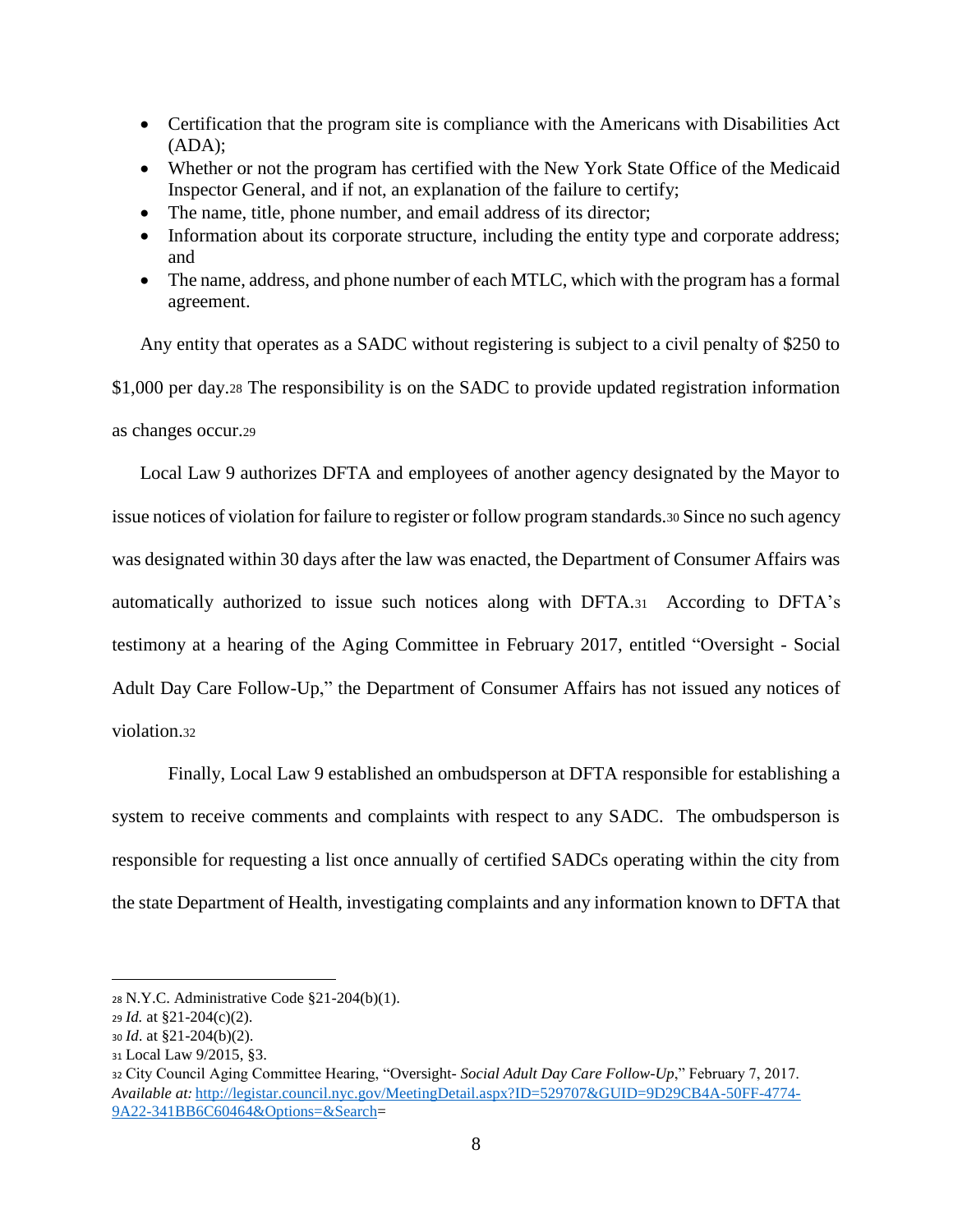- Certification that the program site is compliance with the Americans with Disabilities Act  $(ADA);$
- Whether or not the program has certified with the New York State Office of the Medicaid Inspector General, and if not, an explanation of the failure to certify;
- The name, title, phone number, and email address of its director;
- Information about its corporate structure, including the entity type and corporate address; and
- The name, address, and phone number of each MTLC, which with the program has a formal agreement.

Any entity that operates as a SADC without registering is subject to a civil penalty of \$250 to \$1,000 per day.<sup>28</sup> The responsibility is on the SADC to provide updated registration information as changes occur.<sup>29</sup>

Local Law 9 authorizes DFTA and employees of another agency designated by the Mayor to issue notices of violation for failure to register or follow program standards.<sup>30</sup> Since no such agency was designated within 30 days after the law was enacted, the Department of Consumer Affairs was automatically authorized to issue such notices along with DFTA.31 According to DFTA's testimony at a hearing of the Aging Committee in February 2017, entitled "Oversight - Social Adult Day Care Follow-Up," the Department of Consumer Affairs has not issued any notices of violation.<sup>32</sup>

Finally, Local Law 9 established an ombudsperson at DFTA responsible for establishing a system to receive comments and complaints with respect to any SADC. The ombudsperson is responsible for requesting a list once annually of certified SADCs operating within the city from the state Department of Health, investigating complaints and any information known to DFTA that

<sup>28</sup> N.Y.C. Administrative Code §21-204(b)(1).

<sup>29</sup> *Id.* at §21-204(c)(2).

<sup>30</sup> *Id*. at §21-204(b)(2).

<sup>31</sup> Local Law 9/2015, §3.

<sup>32</sup> City Council Aging Committee Hearing, "Oversight- *Social Adult Day Care Follow-Up*," February 7, 2017. *Available at:* [http://legistar.council.nyc.gov/MeetingDetail.aspx?ID=529707&GUID=9D29CB4A-50FF-4774-](http://legistar.council.nyc.gov/MeetingDetail.aspx?ID=529707&GUID=9D29CB4A-50FF-4774-9A22-341BB6C60464&Options=&Search) [9A22-341BB6C60464&Options=&Search=](http://legistar.council.nyc.gov/MeetingDetail.aspx?ID=529707&GUID=9D29CB4A-50FF-4774-9A22-341BB6C60464&Options=&Search)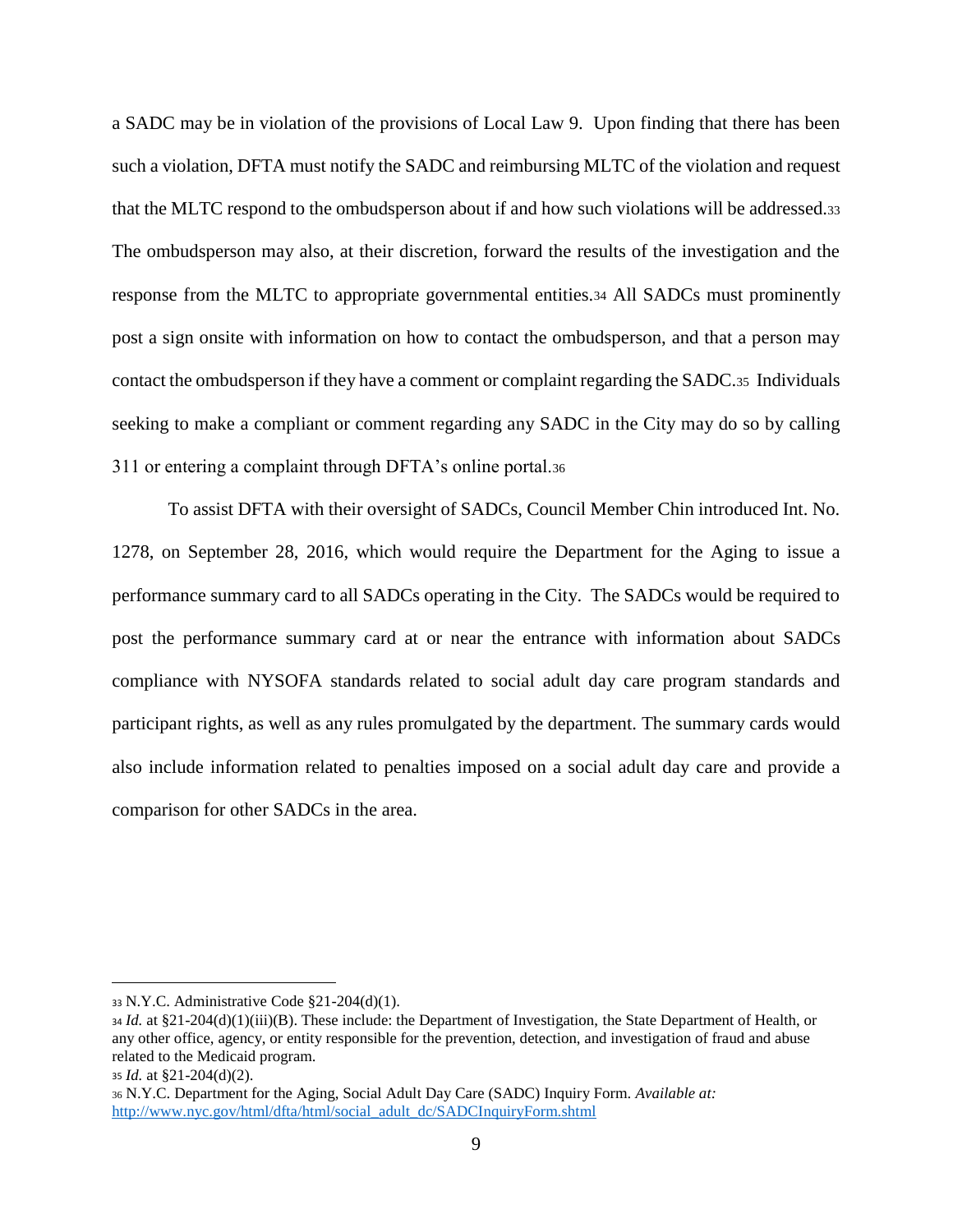a SADC may be in violation of the provisions of Local Law 9. Upon finding that there has been such a violation, DFTA must notify the SADC and reimbursing MLTC of the violation and request that the MLTC respond to the ombudsperson about if and how such violations will be addressed.<sup>33</sup> The ombudsperson may also, at their discretion, forward the results of the investigation and the response from the MLTC to appropriate governmental entities.<sup>34</sup> All SADCs must prominently post a sign onsite with information on how to contact the ombudsperson, and that a person may contact the ombudsperson if they have a comment or complaint regarding the SADC.35 Individuals seeking to make a compliant or comment regarding any SADC in the City may do so by calling 311 or entering a complaint through DFTA's online portal.<sup>36</sup>

To assist DFTA with their oversight of SADCs, Council Member Chin introduced Int. No. 1278, on September 28, 2016, which would require the Department for the Aging to issue a performance summary card to all SADCs operating in the City. The SADCs would be required to post the performance summary card at or near the entrance with information about SADCs compliance with NYSOFA standards related to social adult day care program standards and participant rights, as well as any rules promulgated by the department. The summary cards would also include information related to penalties imposed on a social adult day care and provide a comparison for other SADCs in the area.

<sup>33</sup> N.Y.C. Administrative Code §21-204(d)(1).

<sup>34</sup> *Id.* at §21-204(d)(1)(iii)(B). These include: the Department of Investigation, the State Department of Health, or any other office, agency, or entity responsible for the prevention, detection, and investigation of fraud and abuse related to the Medicaid program.

<sup>35</sup> *Id.* at §21-204(d)(2).

<sup>36</sup> N.Y.C. Department for the Aging, Social Adult Day Care (SADC) Inquiry Form. *Available at:*  [http://www.nyc.gov/html/dfta/html/social\\_adult\\_dc/SADCInquiryForm.shtml](http://www.nyc.gov/html/dfta/html/social_adult_dc/SADCInquiryForm.shtml)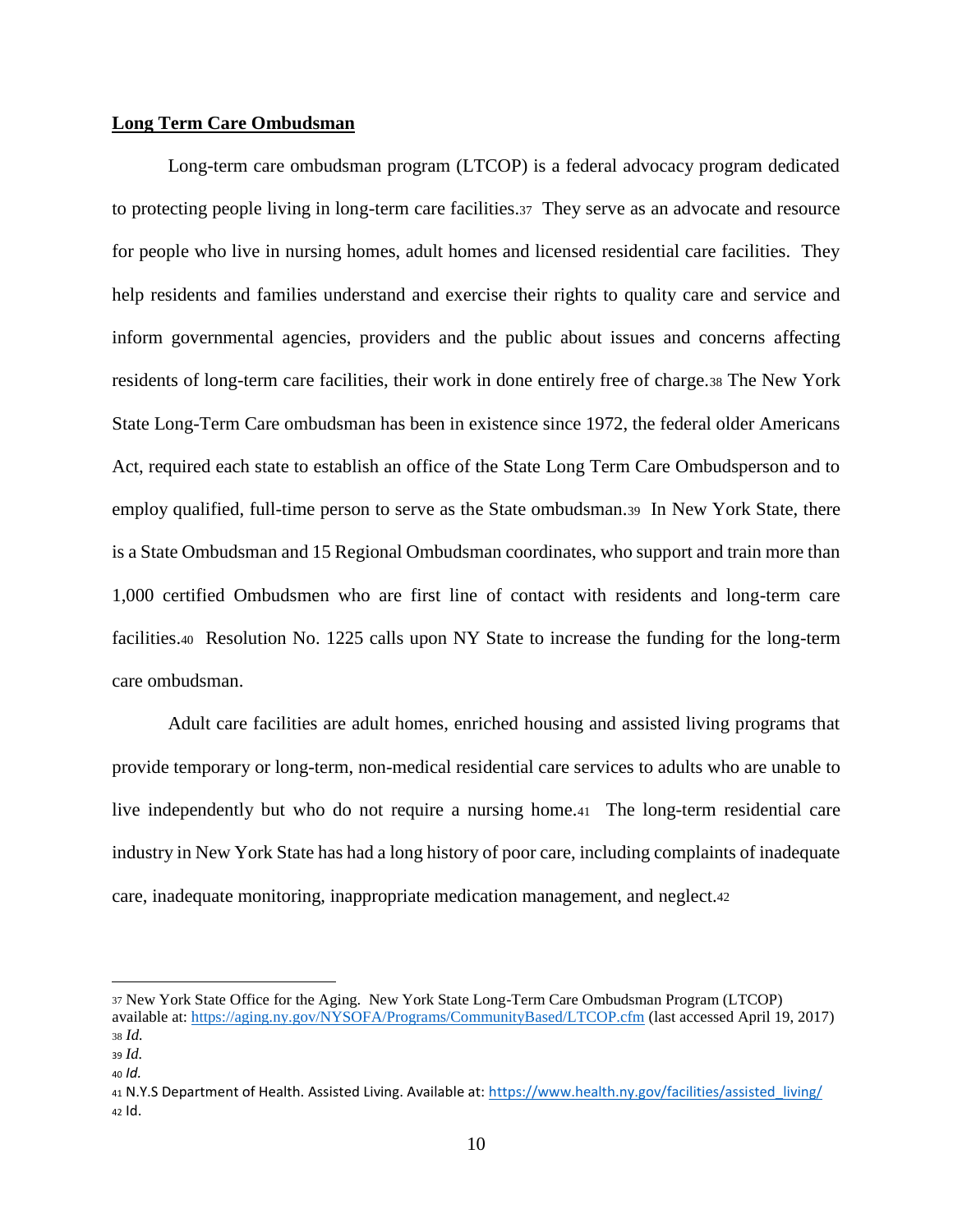## **Long Term Care Ombudsman**

Long-term care ombudsman program (LTCOP) is a federal advocacy program dedicated to protecting people living in long-term care facilities.37 They serve as an advocate and resource for people who live in nursing homes, adult homes and licensed residential care facilities. They help residents and families understand and exercise their rights to quality care and service and inform governmental agencies, providers and the public about issues and concerns affecting residents of long-term care facilities, their work in done entirely free of charge.<sup>38</sup> The New York State Long-Term Care ombudsman has been in existence since 1972, the federal older Americans Act, required each state to establish an office of the State Long Term Care Ombudsperson and to employ qualified, full-time person to serve as the State ombudsman.39 In New York State, there is a State Ombudsman and 15 Regional Ombudsman coordinates, who support and train more than 1,000 certified Ombudsmen who are first line of contact with residents and long-term care facilities.40 Resolution No. 1225 calls upon NY State to increase the funding for the long-term care ombudsman.

Adult care facilities are adult homes, enriched housing and assisted living programs that provide temporary or long-term, non-medical residential care services to adults who are unable to live independently but who do not require a nursing home.41 The long-term residential care industry in New York State has had a long history of poor care, including complaints of inadequate care, inadequate monitoring, inappropriate medication management, and neglect.<sup>42</sup>

<sup>37</sup> New York State Office for the Aging. New York State Long-Term Care Ombudsman Program (LTCOP) available at:<https://aging.ny.gov/NYSOFA/Programs/CommunityBased/LTCOP.cfm> (last accessed April 19, 2017) <sup>38</sup> *Id.*

<sup>39</sup> *Id.*

<sup>40</sup> *Id.*

<sup>41</sup> N.Y.S Department of Health. Assisted Living. Available at: [https://www.health.ny.gov/facilities/assisted\\_living/](https://www.health.ny.gov/facilities/assisted_living/) <sup>42</sup> Id.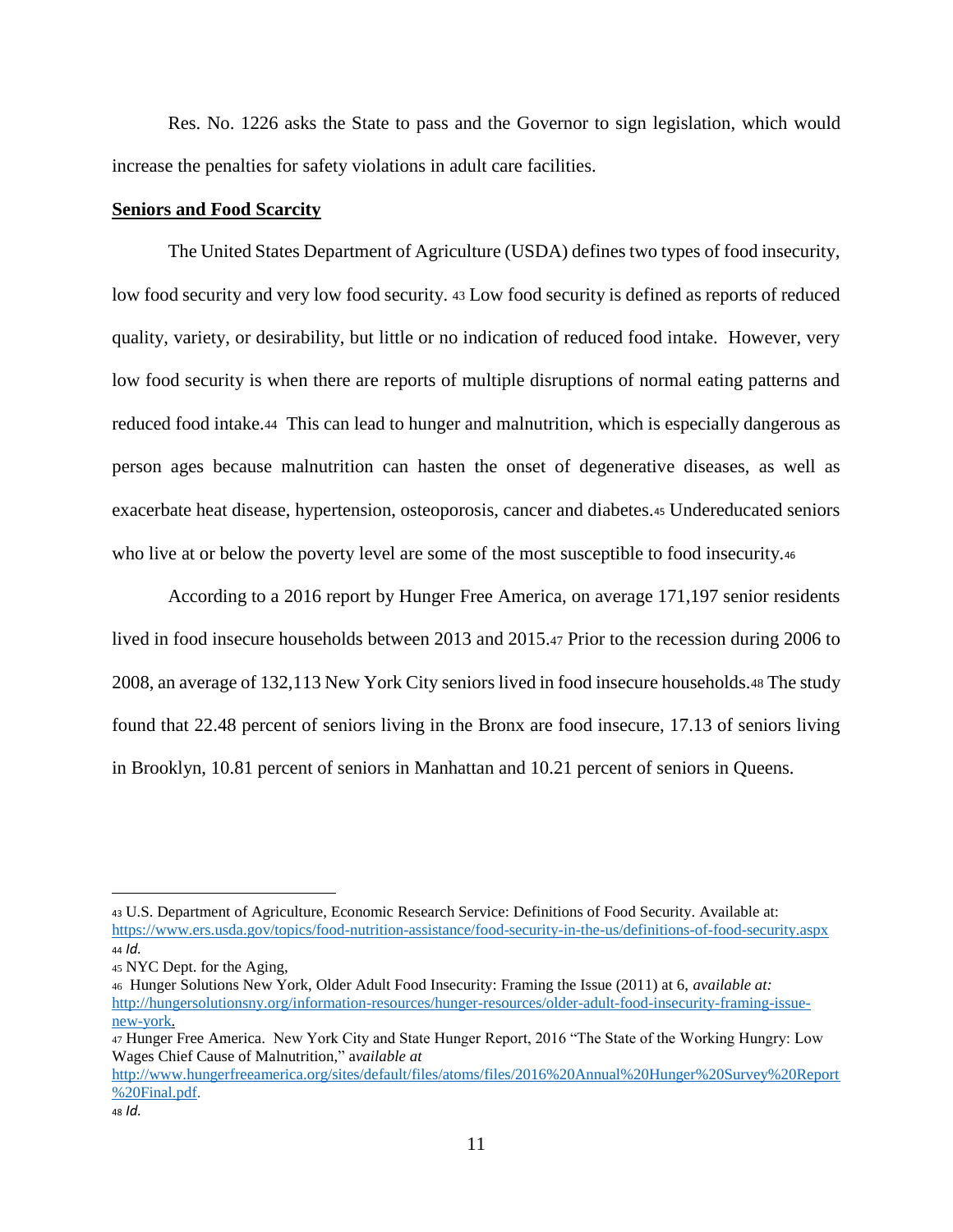Res. No. 1226 asks the State to pass and the Governor to sign legislation, which would increase the penalties for safety violations in adult care facilities.

#### **Seniors and Food Scarcity**

The United States Department of Agriculture (USDA) defines two types of food insecurity, low food security and very low food security. <sup>43</sup> Low food security is defined as reports of reduced quality, variety, or desirability, but little or no indication of reduced food intake. However, very low food security is when there are reports of multiple disruptions of normal eating patterns and reduced food intake.44 This can lead to hunger and malnutrition, which is especially dangerous as person ages because malnutrition can hasten the onset of degenerative diseases, as well as exacerbate heat disease, hypertension, osteoporosis, cancer and diabetes.<sup>45</sup> Undereducated seniors who live at or below the poverty level are some of the most susceptible to food insecurity.<sup>46</sup>

According to a 2016 report by Hunger Free America, on average 171,197 senior residents lived in food insecure households between 2013 and 2015.<sup>47</sup> Prior to the recession during 2006 to 2008, an average of 132,113 New York City seniors lived in food insecure households.<sup>48</sup> The study found that 22.48 percent of seniors living in the Bronx are food insecure, 17.13 of seniors living in Brooklyn, 10.81 percent of seniors in Manhattan and 10.21 percent of seniors in Queens.

<sup>43</sup> U.S. Department of Agriculture, Economic Research Service: Definitions of Food Security. Available at: <https://www.ers.usda.gov/topics/food-nutrition-assistance/food-security-in-the-us/definitions-of-food-security.aspx> <sup>44</sup> *Id.*

<sup>45</sup> NYC Dept. for the Aging,

<sup>46</sup> Hunger Solutions New York, Older Adult Food Insecurity: Framing the Issue (2011) at 6, *available at:* [http://hungersolutionsny.org/information-resources/hunger-resources/older-adult-food-insecurity-framing-issue](http://hungersolutionsny.org/information-resources/hunger-resources/older-adult-food-insecurity-framing-issue-new-york)[new-york.](http://hungersolutionsny.org/information-resources/hunger-resources/older-adult-food-insecurity-framing-issue-new-york)

<sup>47</sup> Hunger Free America. New York City and State Hunger Report, 2016 "The State of the Working Hungry: Low Wages Chief Cause of Malnutrition," a*vailable at*

[http://www.hungerfreeamerica.org/sites/default/files/atoms/files/2016%20Annual%20Hunger%20Survey%20Report](http://www.hungerfreeamerica.org/sites/default/files/atoms/files/2016%20Annual%20Hunger%20Survey%20Report%20Final.pdf) [%20Final.pdf.](http://www.hungerfreeamerica.org/sites/default/files/atoms/files/2016%20Annual%20Hunger%20Survey%20Report%20Final.pdf)

<sup>48</sup> *Id.*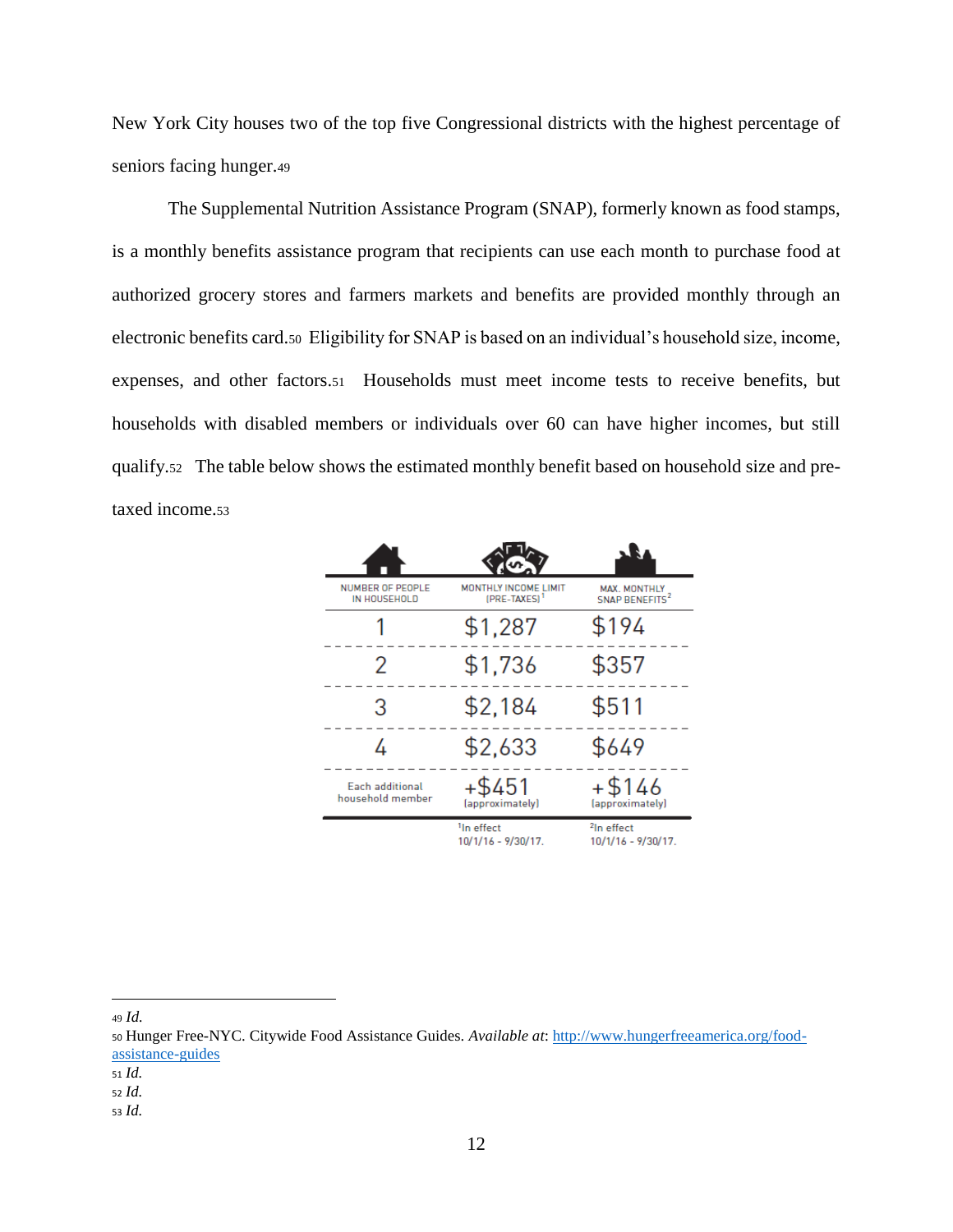New York City houses two of the top five Congressional districts with the highest percentage of seniors facing hunger.<sup>49</sup>

The Supplemental Nutrition Assistance Program (SNAP), formerly known as food stamps, is a monthly benefits assistance program that recipients can use each month to purchase food at authorized grocery stores and farmers markets and benefits are provided monthly through an electronic benefits card.50 Eligibility for SNAP is based on an individual's household size, income, expenses, and other factors.51 Households must meet income tests to receive benefits, but households with disabled members or individuals over 60 can have higher incomes, but still qualify.52 The table below shows the estimated monthly benefit based on household size and pretaxed income.<sup>53</sup>

| <b>NUMBER OF PEOPLE</b><br>IN HOUSEHOLD | MONTHLY INCOME LIMIT<br>(PRE-TAXES) <sup>1</sup> | MAX. MONTHLY<br><b>SNAP BENEFITS<sup>2</sup></b> |
|-----------------------------------------|--------------------------------------------------|--------------------------------------------------|
|                                         | \$1,287                                          | \$194                                            |
| 2                                       | \$1,736                                          | \$357                                            |
| 3                                       | \$2,184                                          | \$511                                            |
|                                         | \$2,633                                          | \$649                                            |
| Each additional<br>household member     | $+$ \$451<br>(approximately)                     | +\$146<br>(approximately)                        |
|                                         | <sup>1</sup> In effect<br>10/1/16 - 9/30/17.     | <sup>2</sup> In effect<br>10/1/16 - 9/30/17.     |

<sup>49</sup> *Id.*

 $\overline{a}$ 

<sup>53</sup> *Id.*

<sup>50</sup> Hunger Free-NYC. Citywide Food Assistance Guides. *Available at*: [http://www.hungerfreeamerica.org/food](http://www.hungerfreeamerica.org/food-assistance-guides)[assistance-guides](http://www.hungerfreeamerica.org/food-assistance-guides)

<sup>51</sup> *Id.*

<sup>52</sup> *Id.*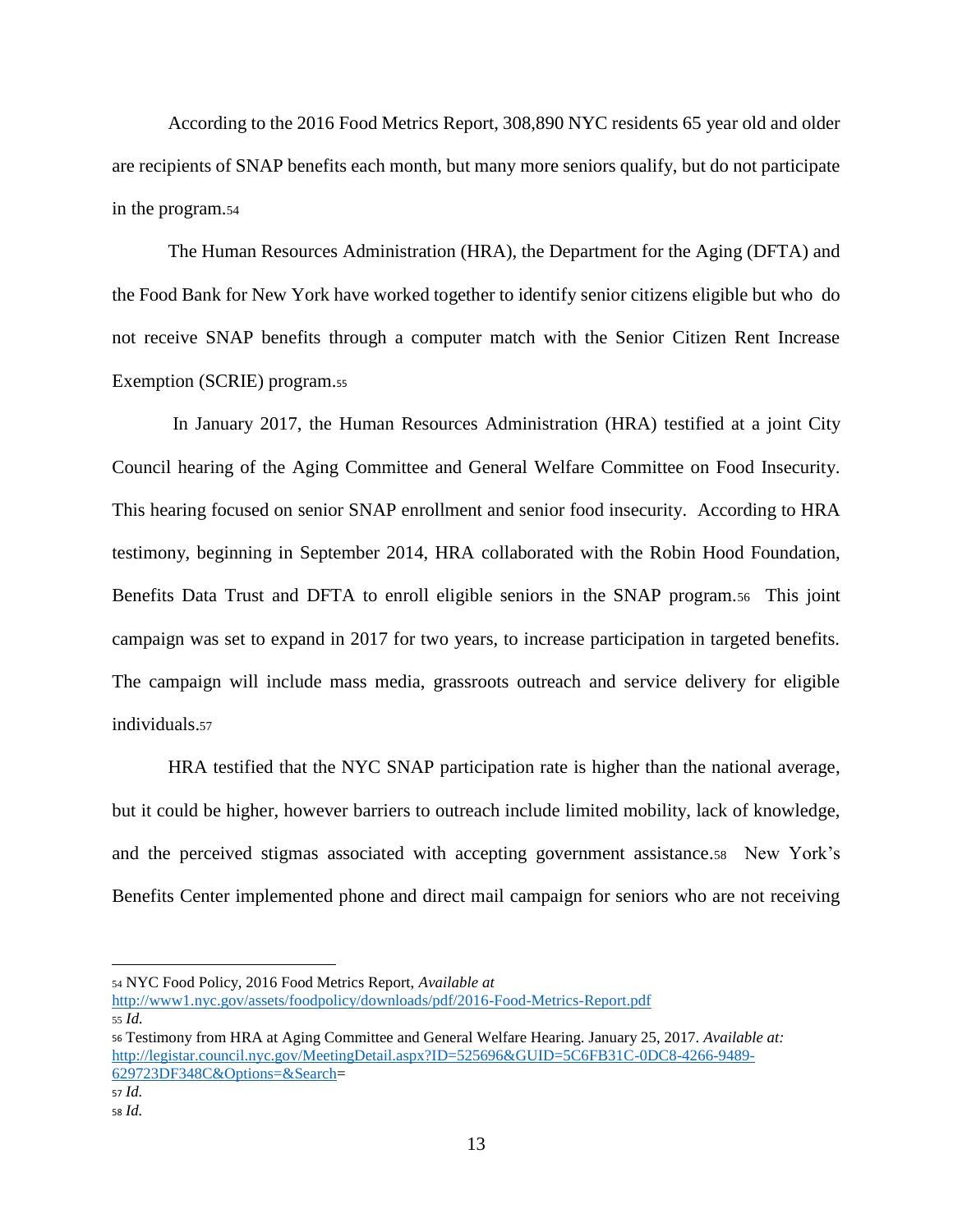According to the 2016 Food Metrics Report, 308,890 NYC residents 65 year old and older are recipients of SNAP benefits each month, but many more seniors qualify, but do not participate in the program.<sup>54</sup>

The Human Resources Administration (HRA), the Department for the Aging (DFTA) and the Food Bank for New York have worked together to identify senior citizens eligible but who do not receive SNAP benefits through a computer match with the Senior Citizen Rent Increase Exemption (SCRIE) program.<sup>55</sup>

In January 2017, the Human Resources Administration (HRA) testified at a joint City Council hearing of the Aging Committee and General Welfare Committee on Food Insecurity. This hearing focused on senior SNAP enrollment and senior food insecurity. According to HRA testimony, beginning in September 2014, HRA collaborated with the Robin Hood Foundation, Benefits Data Trust and DFTA to enroll eligible seniors in the SNAP program.56 This joint campaign was set to expand in 2017 for two years, to increase participation in targeted benefits. The campaign will include mass media, grassroots outreach and service delivery for eligible individuals.<sup>57</sup>

HRA testified that the NYC SNAP participation rate is higher than the national average, but it could be higher, however barriers to outreach include limited mobility, lack of knowledge, and the perceived stigmas associated with accepting government assistance.58 New York's Benefits Center implemented phone and direct mail campaign for seniors who are not receiving

<sup>54</sup> NYC Food Policy, 2016 Food Metrics Report, *Available at* 

<http://www1.nyc.gov/assets/foodpolicy/downloads/pdf/2016-Food-Metrics-Report.pdf> <sup>55</sup> *Id.*

<sup>56</sup> Testimony from HRA at Aging Committee and General Welfare Hearing. January 25, 2017. *Available at:*  [http://legistar.council.nyc.gov/MeetingDetail.aspx?ID=525696&GUID=5C6FB31C-0DC8-4266-9489-](http://legistar.council.nyc.gov/MeetingDetail.aspx?ID=525696&GUID=5C6FB31C-0DC8-4266-9489-629723DF348C&Options=&Search) [629723DF348C&Options=&Search=](http://legistar.council.nyc.gov/MeetingDetail.aspx?ID=525696&GUID=5C6FB31C-0DC8-4266-9489-629723DF348C&Options=&Search)

<sup>57</sup> *Id.* <sup>58</sup> *Id.*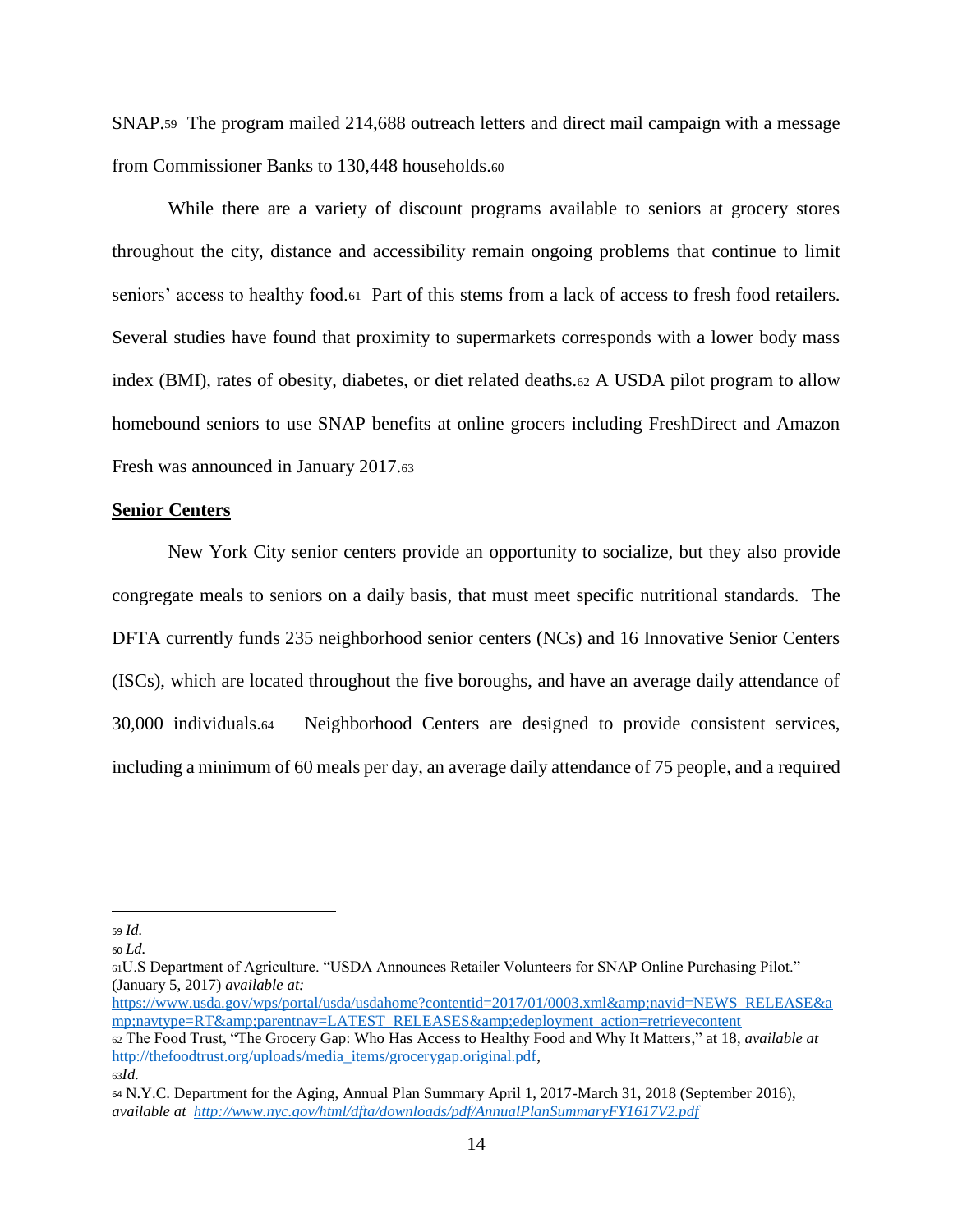SNAP.59 The program mailed 214,688 outreach letters and direct mail campaign with a message from Commissioner Banks to 130,448 households.<sup>60</sup>

While there are a variety of discount programs available to seniors at grocery stores throughout the city, distance and accessibility remain ongoing problems that continue to limit seniors' access to healthy food.61 Part of this stems from a lack of access to fresh food retailers. Several studies have found that proximity to supermarkets corresponds with a lower body mass index (BMI), rates of obesity, diabetes, or diet related deaths.<sup>62</sup> A USDA pilot program to allow homebound seniors to use SNAP benefits at online grocers including FreshDirect and Amazon Fresh was announced in January 2017.<sup>63</sup>

#### **Senior Centers**

New York City senior centers provide an opportunity to socialize, but they also provide congregate meals to seniors on a daily basis, that must meet specific nutritional standards. The DFTA currently funds 235 neighborhood senior centers (NCs) and 16 Innovative Senior Centers (ISCs), which are located throughout the five boroughs, and have an average daily attendance of 30,000 individuals.64 Neighborhood Centers are designed to provide consistent services, including a minimum of 60 meals per day, an average daily attendance of 75 people, and a required

<sup>59</sup> *Id.*

<sup>60</sup> *Ld.*

<sup>61</sup>U.S Department of Agriculture. "USDA Announces Retailer Volunteers for SNAP Online Purchasing Pilot." (January 5, 2017) *available at:*

[https://www.usda.gov/wps/portal/usda/usdahome?contentid=2017/01/0003.xml&navid=NEWS\\_RELEASE&a](https://www.usda.gov/wps/portal/usda/usdahome?contentid=2017/01/0003.xml&navid=NEWS_RELEASE&navtype=RT&parentnav=LATEST_RELEASES&edeployment_action=retrievecontent) [mp;navtype=RT&parentnav=LATEST\\_RELEASES&edeployment\\_action=retrievecontent](https://www.usda.gov/wps/portal/usda/usdahome?contentid=2017/01/0003.xml&navid=NEWS_RELEASE&navtype=RT&parentnav=LATEST_RELEASES&edeployment_action=retrievecontent)

<sup>62</sup> The Food Trust, "The Grocery Gap: Who Has Access to Healthy Food and Why It Matters," at 18, *available at* [http://thefoodtrust.org/uploads/media\\_items/grocerygap.original.pdf,](http://thefoodtrust.org/uploads/media_items/grocerygap.original.pdf) <sup>63</sup>*Id.*

<sup>64</sup> N.Y.C. Department for the Aging, Annual Plan Summary April 1, 2017-March 31, 2018 (September 2016), *available at<http://www.nyc.gov/html/dfta/downloads/pdf/AnnualPlanSummaryFY1617V2.pdf>*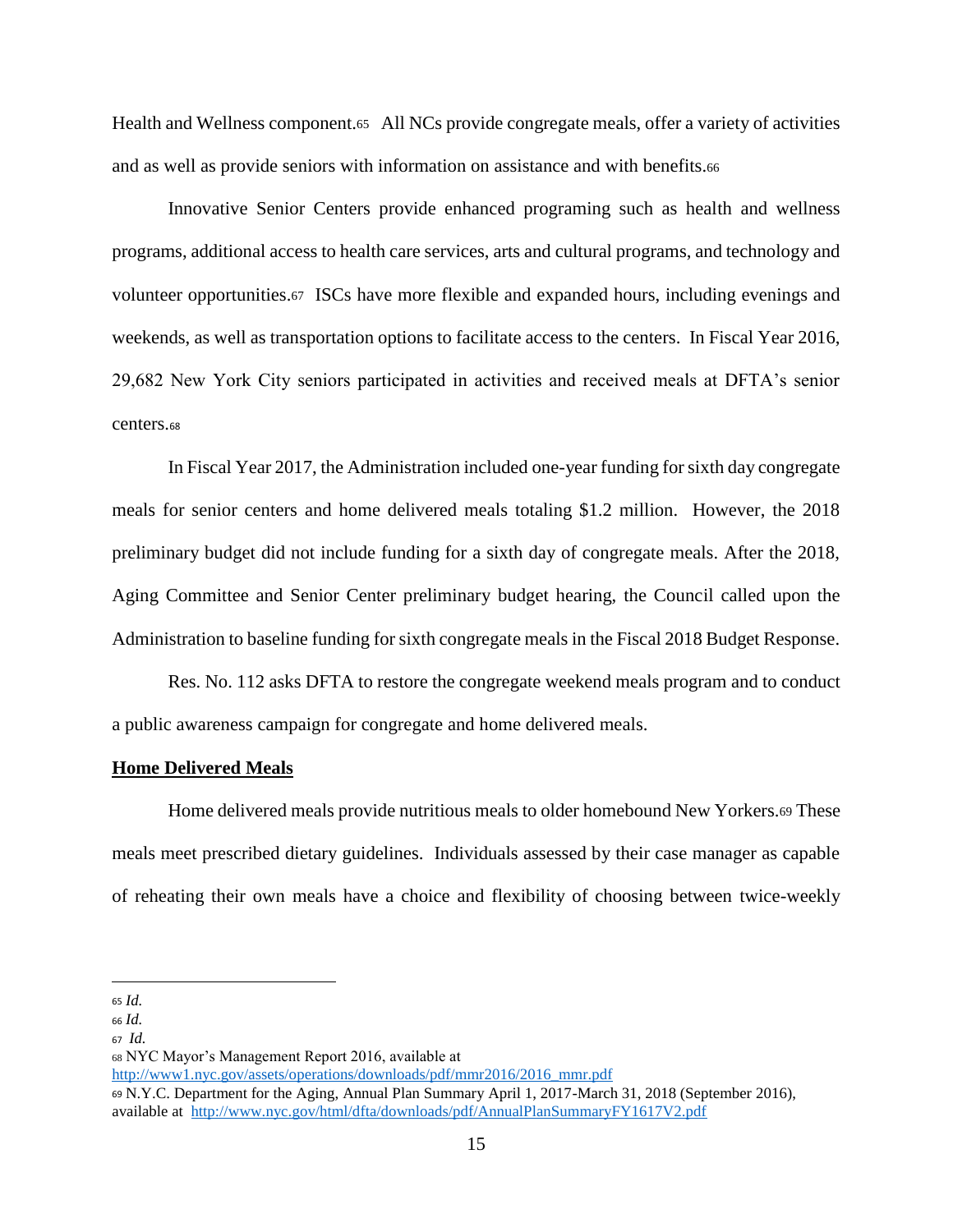Health and Wellness component.65 All NCs provide congregate meals, offer a variety of activities and as well as provide seniors with information on assistance and with benefits.<sup>66</sup>

Innovative Senior Centers provide enhanced programing such as health and wellness programs, additional access to health care services, arts and cultural programs, and technology and volunteer opportunities.67 ISCs have more flexible and expanded hours, including evenings and weekends, as well as transportation options to facilitate access to the centers. In Fiscal Year 2016, 29,682 New York City seniors participated in activities and received meals at DFTA's senior centers.<sup>68</sup>

In Fiscal Year 2017, the Administration included one-year funding for sixth day congregate meals for senior centers and home delivered meals totaling \$1.2 million. However, the 2018 preliminary budget did not include funding for a sixth day of congregate meals. After the 2018, Aging Committee and Senior Center preliminary budget hearing, the Council called upon the Administration to baseline funding for sixth congregate meals in the Fiscal 2018 Budget Response.

Res. No. 112 asks DFTA to restore the congregate weekend meals program and to conduct a public awareness campaign for congregate and home delivered meals.

#### **Home Delivered Meals**

Home delivered meals provide nutritious meals to older homebound New Yorkers.<sup>69</sup> These meals meet prescribed dietary guidelines. Individuals assessed by their case manager as capable of reheating their own meals have a choice and flexibility of choosing between twice-weekly

 $\overline{a}$ 

[http://www1.nyc.gov/assets/operations/downloads/pdf/mmr2016/2016\\_mmr.pdf](http://www1.nyc.gov/assets/operations/downloads/pdf/mmr2016/2016_mmr.pdf)

<sup>65</sup> *Id.*

<sup>66</sup> *Id.*

<sup>67</sup> *Id.*

<sup>68</sup> NYC Mayor's Management Report 2016, available at

<sup>69</sup> N.Y.C. Department for the Aging, Annual Plan Summary April 1, 2017-March 31, 2018 (September 2016), available at <http://www.nyc.gov/html/dfta/downloads/pdf/AnnualPlanSummaryFY1617V2.pdf>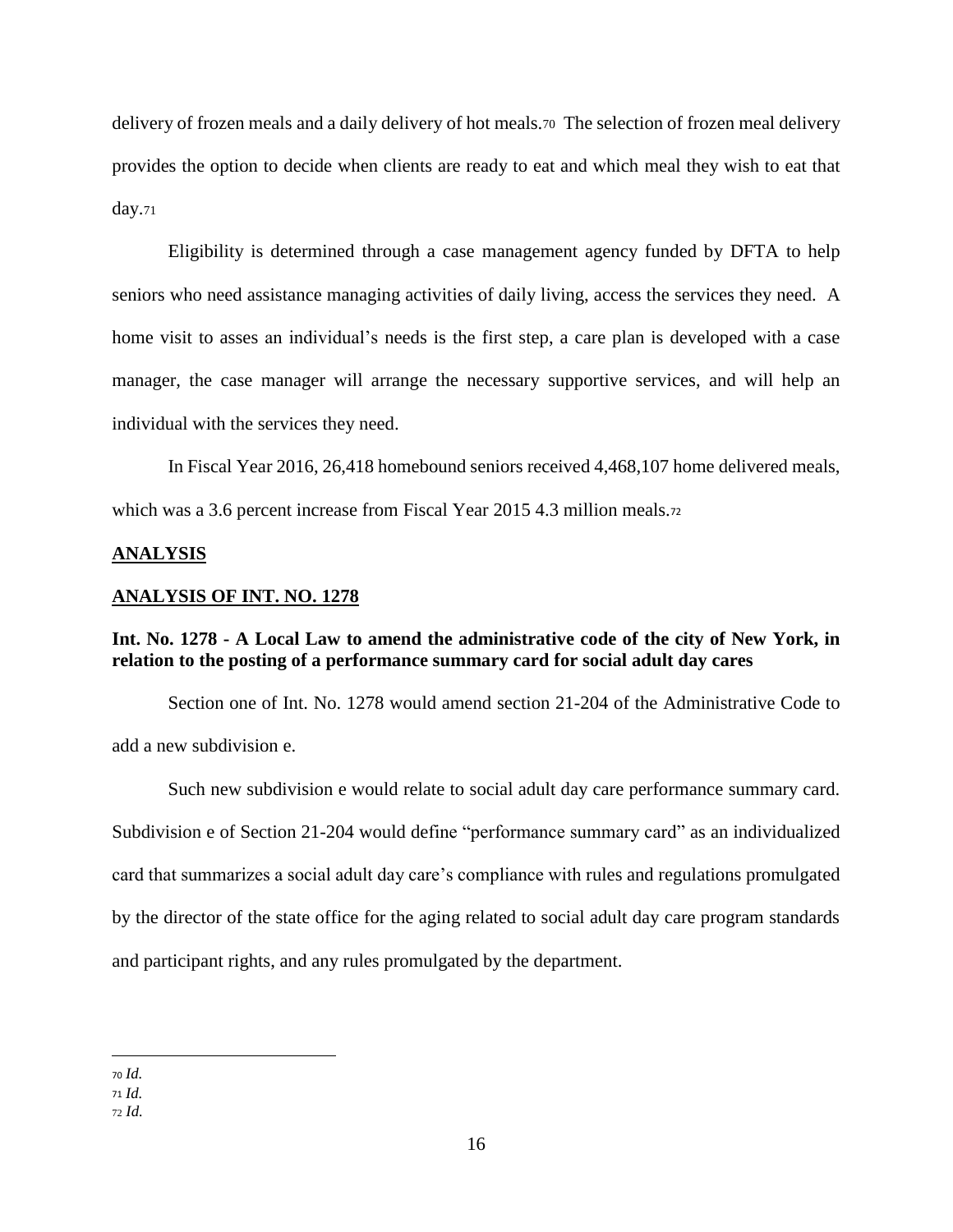delivery of frozen meals and a daily delivery of hot meals.70 The selection of frozen meal delivery provides the option to decide when clients are ready to eat and which meal they wish to eat that day.<sup>71</sup>

Eligibility is determined through a case management agency funded by DFTA to help seniors who need assistance managing activities of daily living, access the services they need. A home visit to asses an individual's needs is the first step, a care plan is developed with a case manager, the case manager will arrange the necessary supportive services, and will help an individual with the services they need.

In Fiscal Year 2016, 26,418 homebound seniors received 4,468,107 home delivered meals, which was a 3.6 percent increase from Fiscal Year 2015 4.3 million meals.<sub>72</sub>

## **ANALYSIS**

## **ANALYSIS OF INT. NO. 1278**

## **Int. No. 1278 - A Local Law to amend the administrative code of the city of New York, in relation to the posting of a performance summary card for social adult day cares**

Section one of Int. No. 1278 would amend section 21-204 of the Administrative Code to add a new subdivision e.

Such new subdivision e would relate to social adult day care performance summary card. Subdivision e of Section 21-204 would define "performance summary card" as an individualized card that summarizes a social adult day care's compliance with rules and regulations promulgated by the director of the state office for the aging related to social adult day care program standards and participant rights, and any rules promulgated by the department.

 $\overline{a}$ 

<sup>72</sup> *Id.*

<sup>70</sup> *Id.*

<sup>71</sup> *Id.*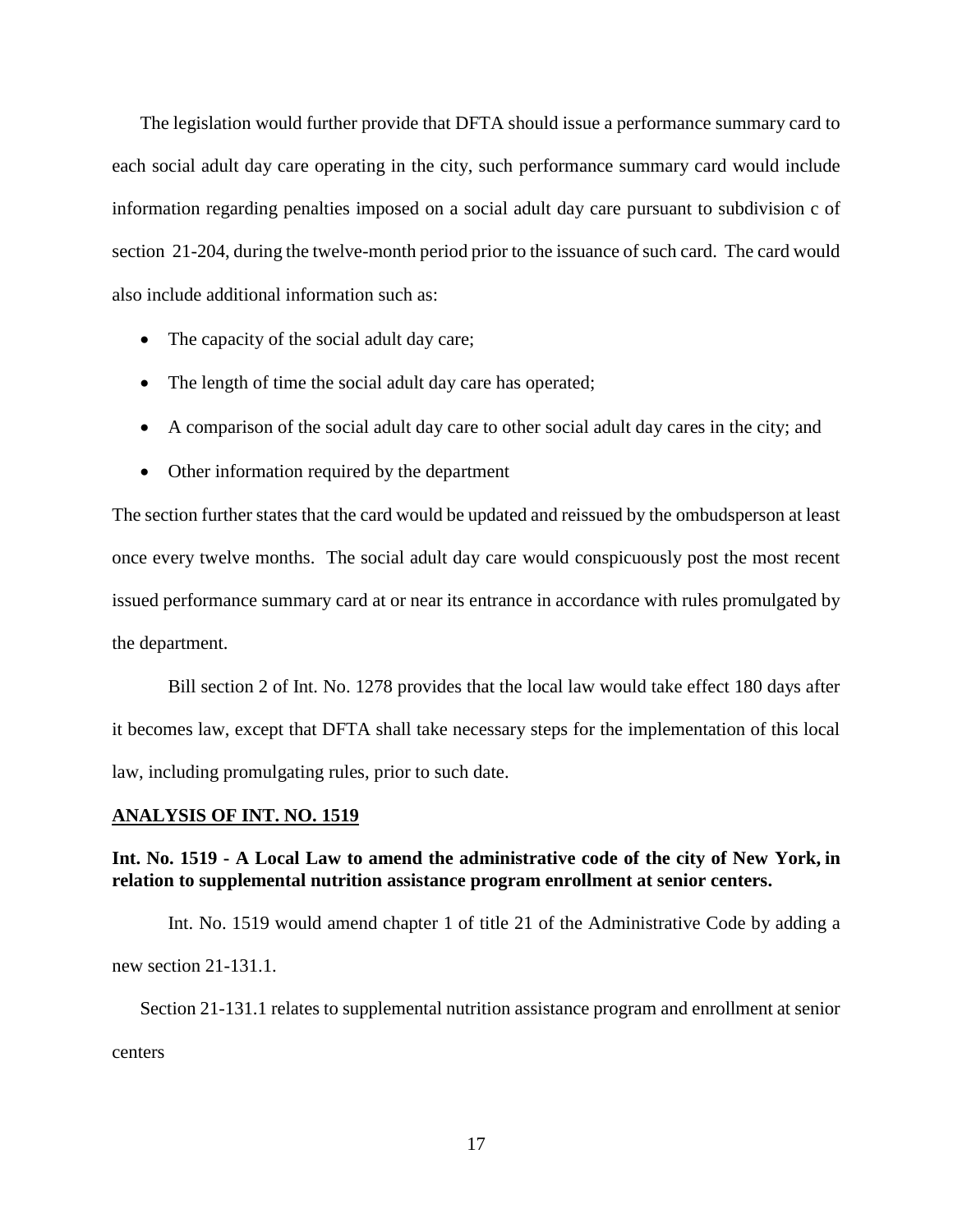The legislation would further provide that DFTA should issue a performance summary card to each social adult day care operating in the city, such performance summary card would include information regarding penalties imposed on a social adult day care pursuant to subdivision c of section 21-204, during the twelve-month period prior to the issuance of such card. The card would also include additional information such as:

- The capacity of the social adult day care;
- The length of time the social adult day care has operated;
- A comparison of the social adult day care to other social adult day cares in the city; and
- Other information required by the department

The section further states that the card would be updated and reissued by the ombudsperson at least once every twelve months. The social adult day care would conspicuously post the most recent issued performance summary card at or near its entrance in accordance with rules promulgated by the department.

Bill section 2 of Int. No. 1278 provides that the local law would take effect 180 days after it becomes law, except that DFTA shall take necessary steps for the implementation of this local law, including promulgating rules, prior to such date.

### **ANALYSIS OF INT. NO. 1519**

# **Int. No. 1519 - A Local Law to amend the administrative code of the city of New York, in relation to supplemental nutrition assistance program enrollment at senior centers.**

Int. No. 1519 would amend chapter 1 of title 21 of the Administrative Code by adding a new section 21-131.1.

Section 21-131.1 relates to supplemental nutrition assistance program and enrollment at senior centers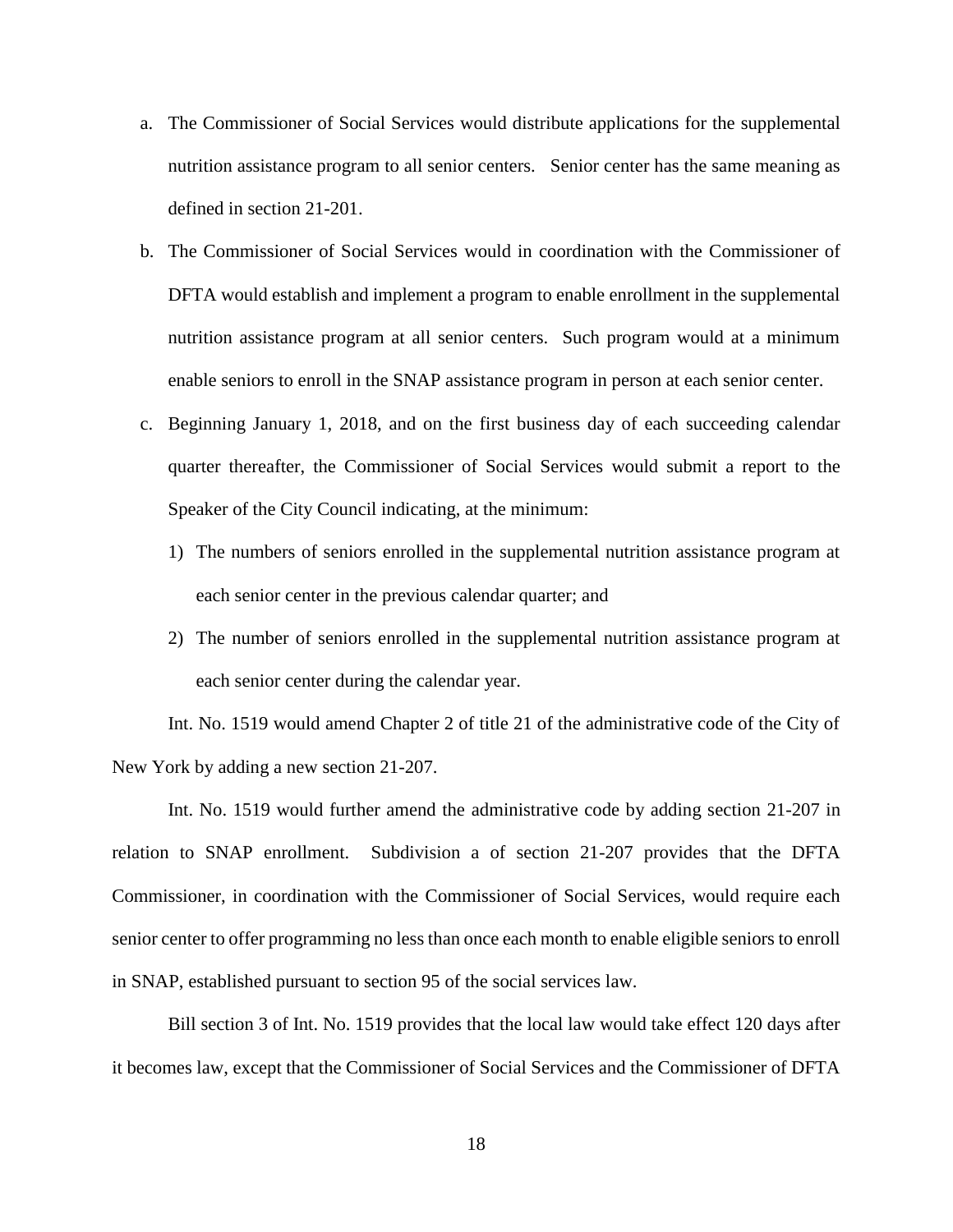- a. The Commissioner of Social Services would distribute applications for the supplemental nutrition assistance program to all senior centers. Senior center has the same meaning as defined in section 21-201.
- b. The Commissioner of Social Services would in coordination with the Commissioner of DFTA would establish and implement a program to enable enrollment in the supplemental nutrition assistance program at all senior centers. Such program would at a minimum enable seniors to enroll in the SNAP assistance program in person at each senior center.
- c. Beginning January 1, 2018, and on the first business day of each succeeding calendar quarter thereafter, the Commissioner of Social Services would submit a report to the Speaker of the City Council indicating, at the minimum:
	- 1) The numbers of seniors enrolled in the supplemental nutrition assistance program at each senior center in the previous calendar quarter; and
	- 2) The number of seniors enrolled in the supplemental nutrition assistance program at each senior center during the calendar year.

Int. No. 1519 would amend Chapter 2 of title 21 of the administrative code of the City of New York by adding a new section 21-207.

Int. No. 1519 would further amend the administrative code by adding section 21-207 in relation to SNAP enrollment. Subdivision a of section 21-207 provides that the DFTA Commissioner, in coordination with the Commissioner of Social Services, would require each senior center to offer programming no less than once each month to enable eligible seniors to enroll in SNAP, established pursuant to section 95 of the social services law.

Bill section 3 of Int. No. 1519 provides that the local law would take effect 120 days after it becomes law, except that the Commissioner of Social Services and the Commissioner of DFTA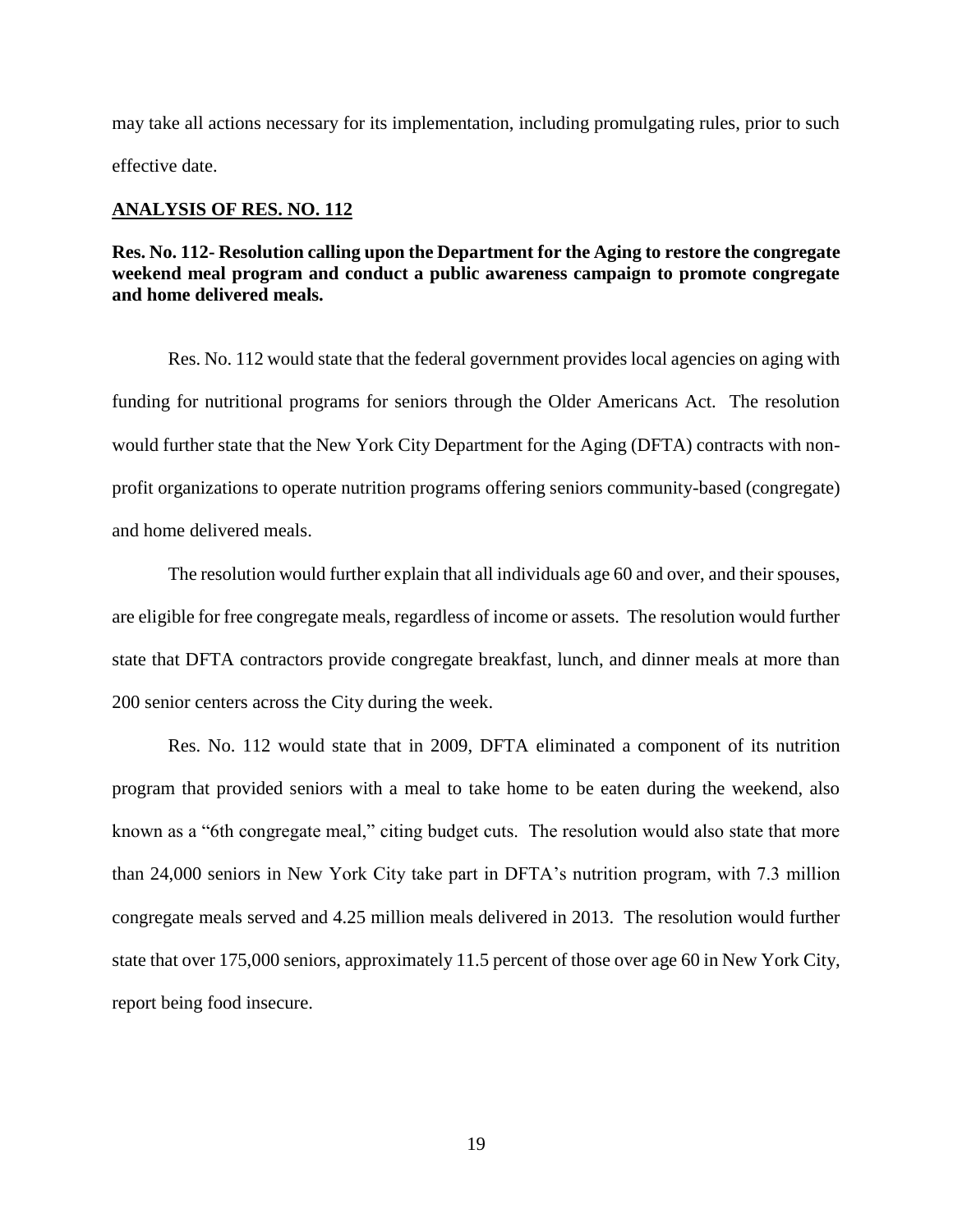may take all actions necessary for its implementation, including promulgating rules, prior to such effective date.

## **ANALYSIS OF RES. NO. 112**

# **Res. No. 112- Resolution calling upon the Department for the Aging to restore the congregate weekend meal program and conduct a public awareness campaign to promote congregate and home delivered meals.**

Res. No. 112 would state that the federal government provides local agencies on aging with funding for nutritional programs for seniors through the Older Americans Act. The resolution would further state that the New York City Department for the Aging (DFTA) contracts with nonprofit organizations to operate nutrition programs offering seniors community-based (congregate) and home delivered meals.

The resolution would further explain that all individuals age 60 and over, and their spouses, are eligible for free congregate meals, regardless of income or assets. The resolution would further state that DFTA contractors provide congregate breakfast, lunch, and dinner meals at more than 200 senior centers across the City during the week.

Res. No. 112 would state that in 2009, DFTA eliminated a component of its nutrition program that provided seniors with a meal to take home to be eaten during the weekend, also known as a "6th congregate meal," citing budget cuts. The resolution would also state that more than 24,000 seniors in New York City take part in DFTA's nutrition program, with 7.3 million congregate meals served and 4.25 million meals delivered in 2013. The resolution would further state that over 175,000 seniors, approximately 11.5 percent of those over age 60 in New York City, report being food insecure.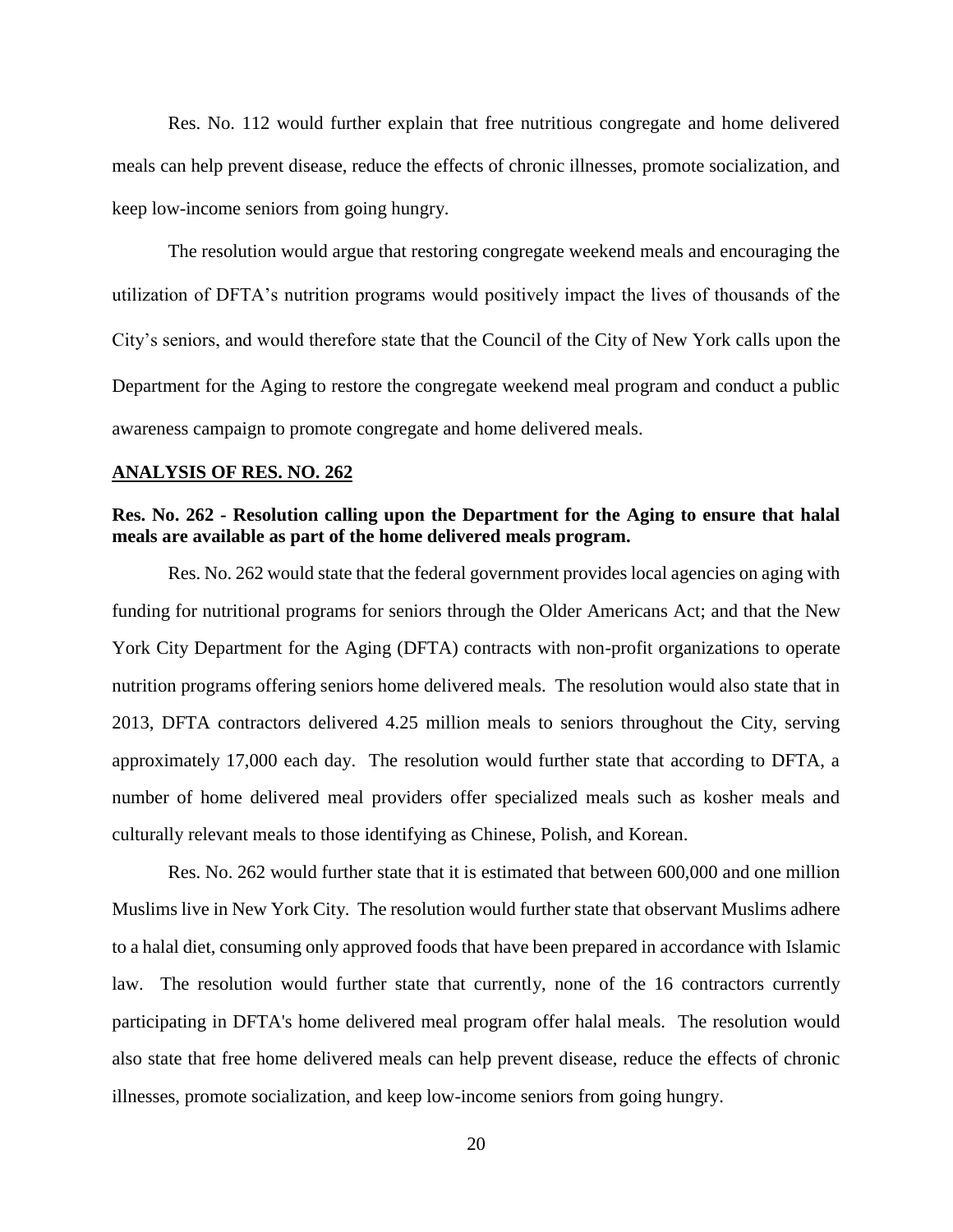Res. No. 112 would further explain that free nutritious congregate and home delivered meals can help prevent disease, reduce the effects of chronic illnesses, promote socialization, and keep low-income seniors from going hungry.

The resolution would argue that restoring congregate weekend meals and encouraging the utilization of DFTA's nutrition programs would positively impact the lives of thousands of the City's seniors, and would therefore state that the Council of the City of New York calls upon the Department for the Aging to restore the congregate weekend meal program and conduct a public awareness campaign to promote congregate and home delivered meals.

## **ANALYSIS OF RES. NO. 262**

# **Res. No. 262 - Resolution calling upon the Department for the Aging to ensure that halal meals are available as part of the home delivered meals program.**

Res. No. 262 would state that the federal government provides local agencies on aging with funding for nutritional programs for seniors through the Older Americans Act; and that the New York City Department for the Aging (DFTA) contracts with non-profit organizations to operate nutrition programs offering seniors home delivered meals. The resolution would also state that in 2013, DFTA contractors delivered 4.25 million meals to seniors throughout the City, serving approximately 17,000 each day. The resolution would further state that according to DFTA, a number of home delivered meal providers offer specialized meals such as kosher meals and culturally relevant meals to those identifying as Chinese, Polish, and Korean.

Res. No. 262 would further state that it is estimated that between 600,000 and one million Muslims live in New York City. The resolution would further state that observant Muslims adhere to a halal diet, consuming only approved foods that have been prepared in accordance with Islamic law. The resolution would further state that currently, none of the 16 contractors currently participating in DFTA's home delivered meal program offer halal meals. The resolution would also state that free home delivered meals can help prevent disease, reduce the effects of chronic illnesses, promote socialization, and keep low-income seniors from going hungry.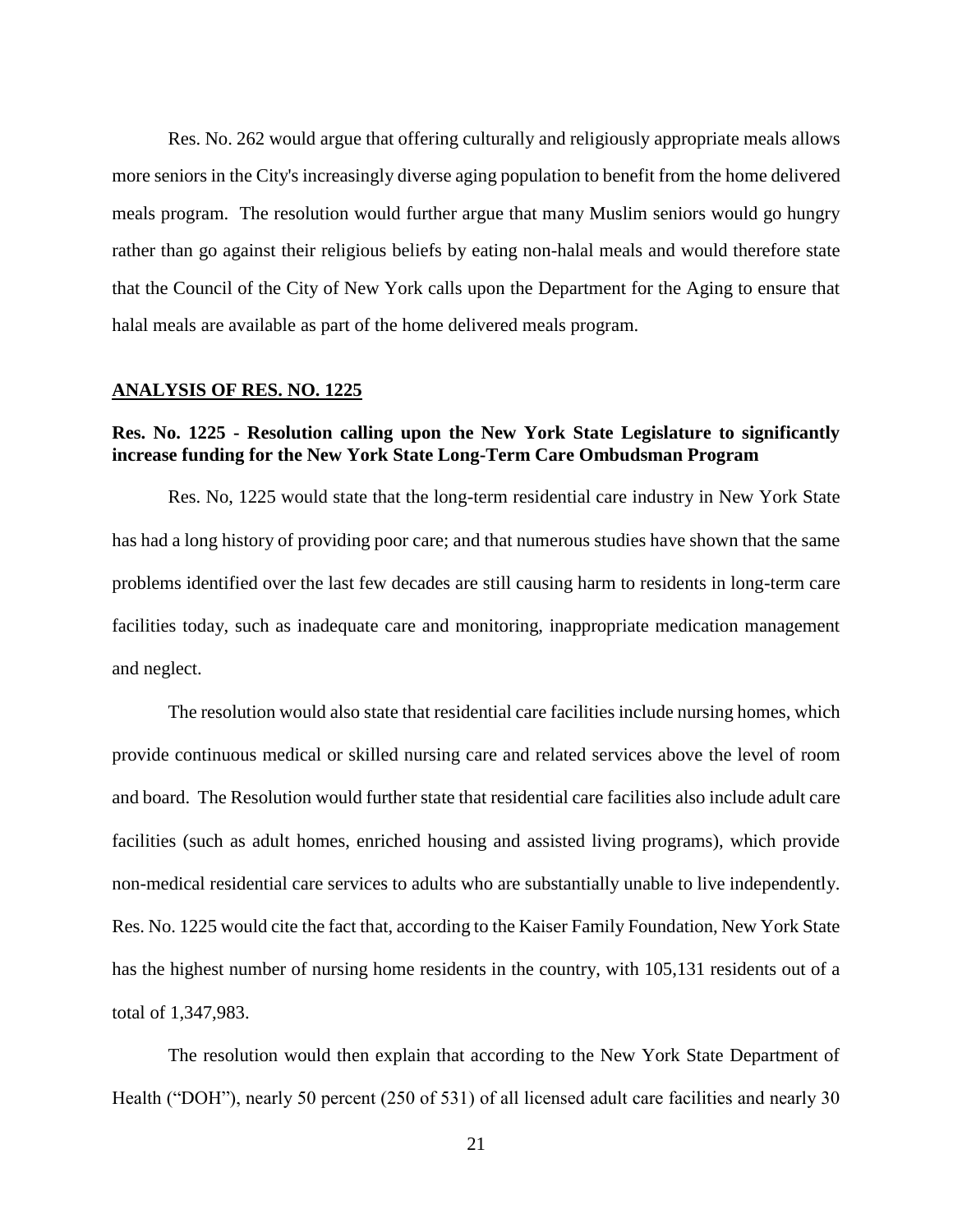Res. No. 262 would argue that offering culturally and religiously appropriate meals allows more seniors in the City's increasingly diverse aging population to benefit from the home delivered meals program. The resolution would further argue that many Muslim seniors would go hungry rather than go against their religious beliefs by eating non-halal meals and would therefore state that the Council of the City of New York calls upon the Department for the Aging to ensure that halal meals are available as part of the home delivered meals program.

### **ANALYSIS OF RES. NO. 1225**

## **Res. No. 1225 - Resolution calling upon the New York State Legislature to significantly increase funding for the New York State Long-Term Care Ombudsman Program**

Res. No, 1225 would state that the long-term residential care industry in New York State has had a long history of providing poor care; and that numerous studies have shown that the same problems identified over the last few decades are still causing harm to residents in long-term care facilities today, such as inadequate care and monitoring, inappropriate medication management and neglect.

The resolution would also state that residential care facilities include nursing homes, which provide continuous medical or skilled nursing care and related services above the level of room and board. The Resolution would further state that residential care facilities also include adult care facilities (such as adult homes, enriched housing and assisted living programs), which provide non-medical residential care services to adults who are substantially unable to live independently. Res. No. 1225 would cite the fact that, according to the Kaiser Family Foundation, New York State has the highest number of nursing home residents in the country, with 105,131 residents out of a total of 1,347,983.

The resolution would then explain that according to the New York State Department of Health ("DOH"), nearly 50 percent (250 of 531) of all licensed adult care facilities and nearly 30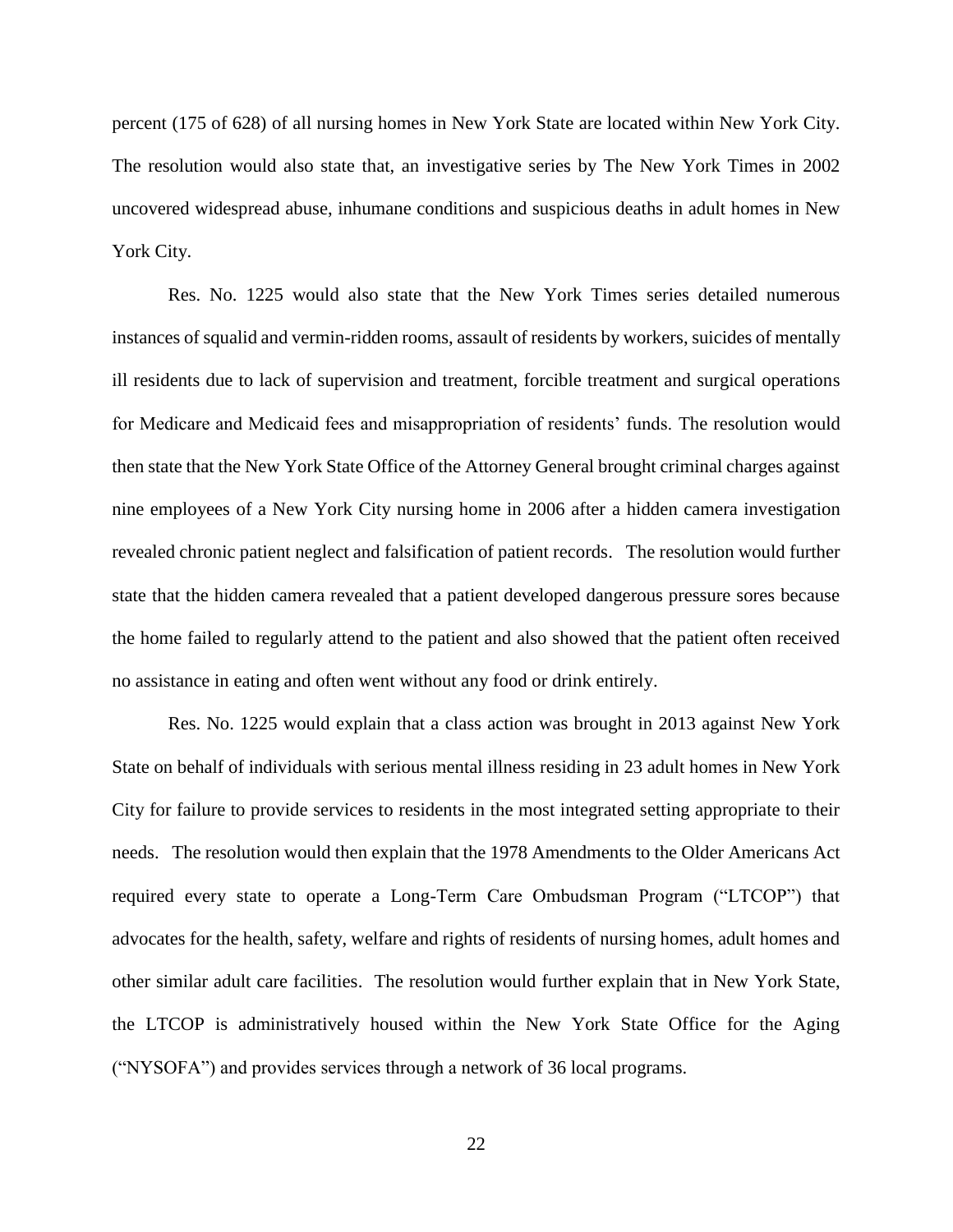percent (175 of 628) of all nursing homes in New York State are located within New York City. The resolution would also state that, an investigative series by The New York Times in 2002 uncovered widespread abuse, inhumane conditions and suspicious deaths in adult homes in New York City.

Res. No. 1225 would also state that the New York Times series detailed numerous instances of squalid and vermin-ridden rooms, assault of residents by workers, suicides of mentally ill residents due to lack of supervision and treatment, forcible treatment and surgical operations for Medicare and Medicaid fees and misappropriation of residents' funds. The resolution would then state that the New York State Office of the Attorney General brought criminal charges against nine employees of a New York City nursing home in 2006 after a hidden camera investigation revealed chronic patient neglect and falsification of patient records. The resolution would further state that the hidden camera revealed that a patient developed dangerous pressure sores because the home failed to regularly attend to the patient and also showed that the patient often received no assistance in eating and often went without any food or drink entirely.

Res. No. 1225 would explain that a class action was brought in 2013 against New York State on behalf of individuals with serious mental illness residing in 23 adult homes in New York City for failure to provide services to residents in the most integrated setting appropriate to their needs. The resolution would then explain that the 1978 Amendments to the Older Americans Act required every state to operate a Long-Term Care Ombudsman Program ("LTCOP") that advocates for the health, safety, welfare and rights of residents of nursing homes, adult homes and other similar adult care facilities. The resolution would further explain that in New York State, the LTCOP is administratively housed within the New York State Office for the Aging ("NYSOFA") and provides services through a network of 36 local programs.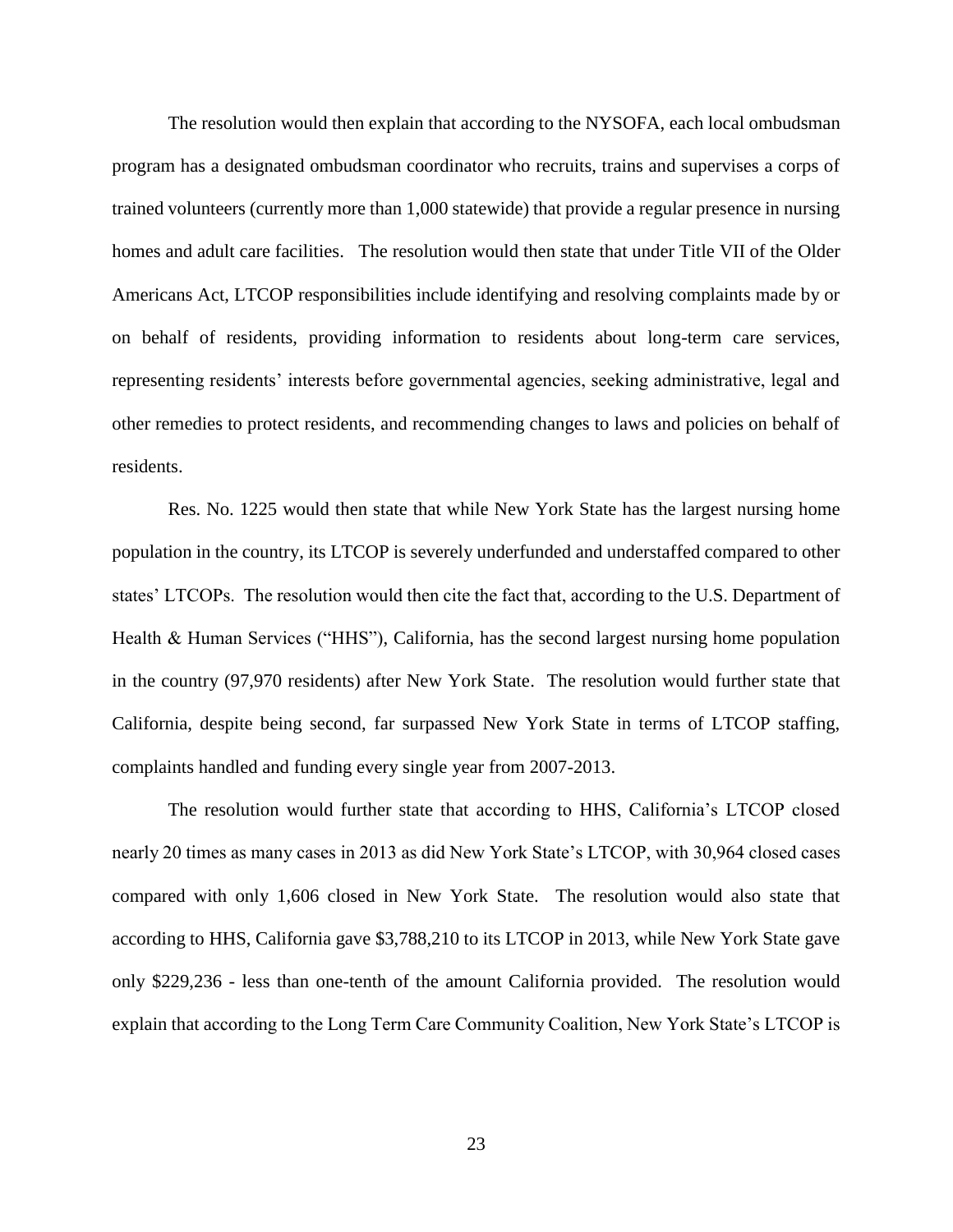The resolution would then explain that according to the NYSOFA, each local ombudsman program has a designated ombudsman coordinator who recruits, trains and supervises a corps of trained volunteers (currently more than 1,000 statewide) that provide a regular presence in nursing homes and adult care facilities. The resolution would then state that under Title VII of the Older Americans Act, LTCOP responsibilities include identifying and resolving complaints made by or on behalf of residents, providing information to residents about long-term care services, representing residents' interests before governmental agencies, seeking administrative, legal and other remedies to protect residents, and recommending changes to laws and policies on behalf of residents.

Res. No. 1225 would then state that while New York State has the largest nursing home population in the country, its LTCOP is severely underfunded and understaffed compared to other states' LTCOPs. The resolution would then cite the fact that, according to the U.S. Department of Health & Human Services ("HHS"), California, has the second largest nursing home population in the country (97,970 residents) after New York State. The resolution would further state that California, despite being second, far surpassed New York State in terms of LTCOP staffing, complaints handled and funding every single year from 2007-2013.

The resolution would further state that according to HHS, California's LTCOP closed nearly 20 times as many cases in 2013 as did New York State's LTCOP, with 30,964 closed cases compared with only 1,606 closed in New York State. The resolution would also state that according to HHS, California gave \$3,788,210 to its LTCOP in 2013, while New York State gave only \$229,236 - less than one-tenth of the amount California provided. The resolution would explain that according to the Long Term Care Community Coalition, New York State's LTCOP is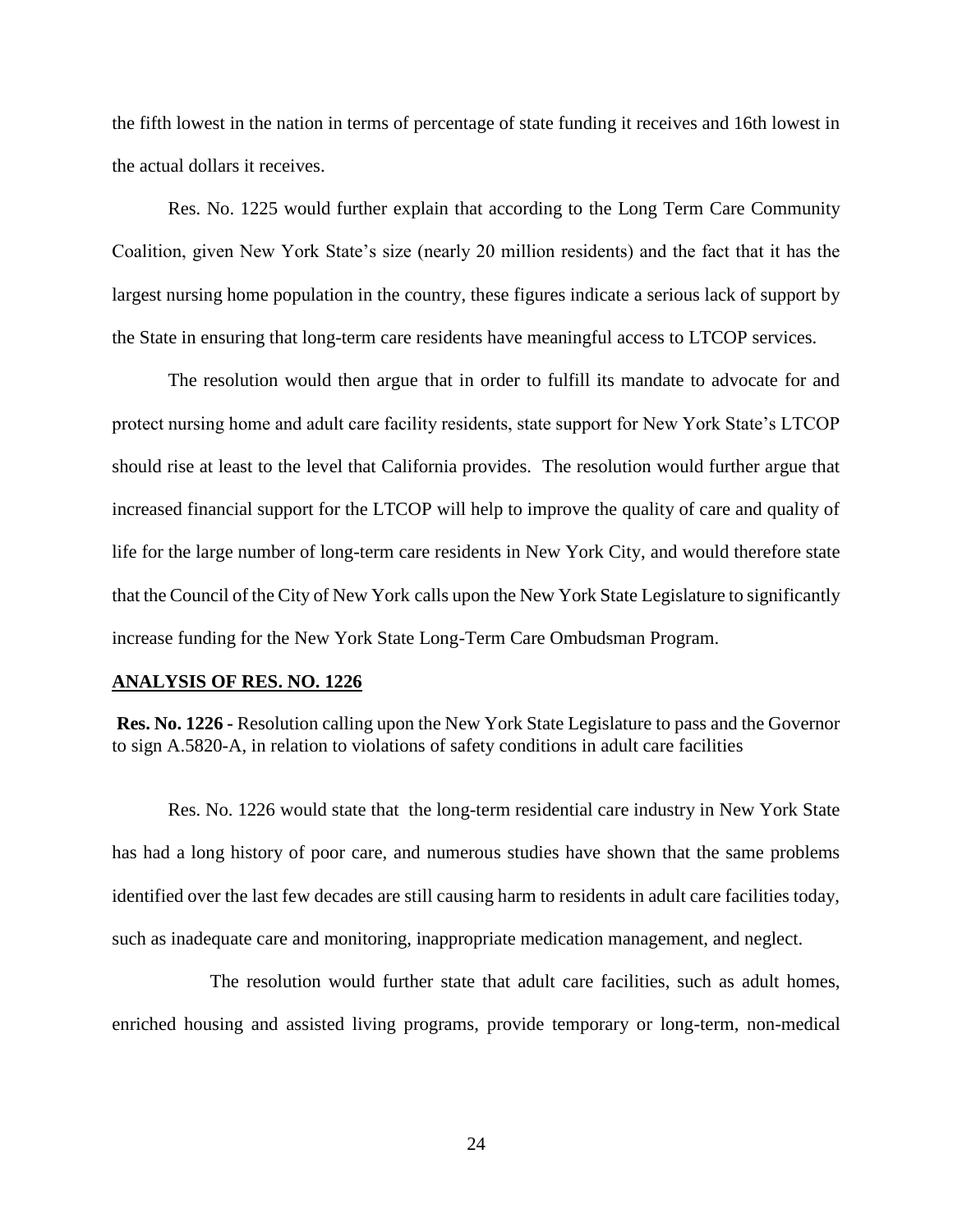the fifth lowest in the nation in terms of percentage of state funding it receives and 16th lowest in the actual dollars it receives.

Res. No. 1225 would further explain that according to the Long Term Care Community Coalition, given New York State's size (nearly 20 million residents) and the fact that it has the largest nursing home population in the country, these figures indicate a serious lack of support by the State in ensuring that long-term care residents have meaningful access to LTCOP services.

The resolution would then argue that in order to fulfill its mandate to advocate for and protect nursing home and adult care facility residents, state support for New York State's LTCOP should rise at least to the level that California provides. The resolution would further argue that increased financial support for the LTCOP will help to improve the quality of care and quality of life for the large number of long-term care residents in New York City, and would therefore state that the Council of the City of New York calls upon the New York State Legislature to significantly increase funding for the New York State Long-Term Care Ombudsman Program.

#### **ANALYSIS OF RES. NO. 1226**

**Res. No. 1226 -** Resolution calling upon the New York State Legislature to pass and the Governor to sign A.5820-A, in relation to violations of safety conditions in adult care facilities

Res. No. 1226 would state that the long-term residential care industry in New York State has had a long history of poor care, and numerous studies have shown that the same problems identified over the last few decades are still causing harm to residents in adult care facilities today, such as inadequate care and monitoring, inappropriate medication management, and neglect.

 The resolution would further state that adult care facilities, such as adult homes, enriched housing and assisted living programs, provide temporary or long-term, non-medical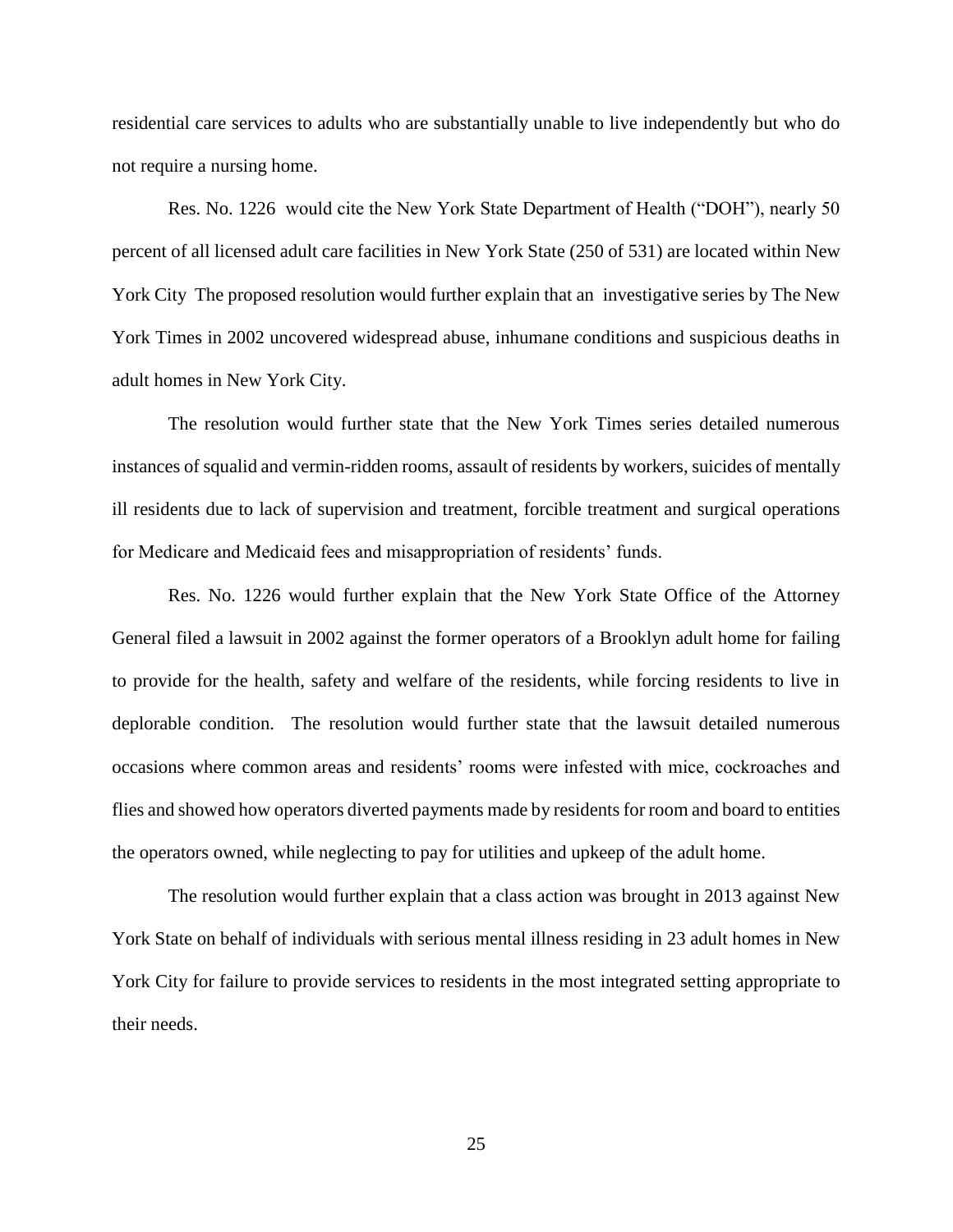residential care services to adults who are substantially unable to live independently but who do not require a nursing home.

Res. No. 1226 would cite the New York State Department of Health ("DOH"), nearly 50 percent of all licensed adult care facilities in New York State (250 of 531) are located within New York City The proposed resolution would further explain that an investigative series by The New York Times in 2002 uncovered widespread abuse, inhumane conditions and suspicious deaths in adult homes in New York City.

The resolution would further state that the New York Times series detailed numerous instances of squalid and vermin-ridden rooms, assault of residents by workers, suicides of mentally ill residents due to lack of supervision and treatment, forcible treatment and surgical operations for Medicare and Medicaid fees and misappropriation of residents' funds.

Res. No. 1226 would further explain that the New York State Office of the Attorney General filed a lawsuit in 2002 against the former operators of a Brooklyn adult home for failing to provide for the health, safety and welfare of the residents, while forcing residents to live in deplorable condition. The resolution would further state that the lawsuit detailed numerous occasions where common areas and residents' rooms were infested with mice, cockroaches and flies and showed how operators diverted payments made by residents for room and board to entities the operators owned, while neglecting to pay for utilities and upkeep of the adult home.

The resolution would further explain that a class action was brought in 2013 against New York State on behalf of individuals with serious mental illness residing in 23 adult homes in New York City for failure to provide services to residents in the most integrated setting appropriate to their needs.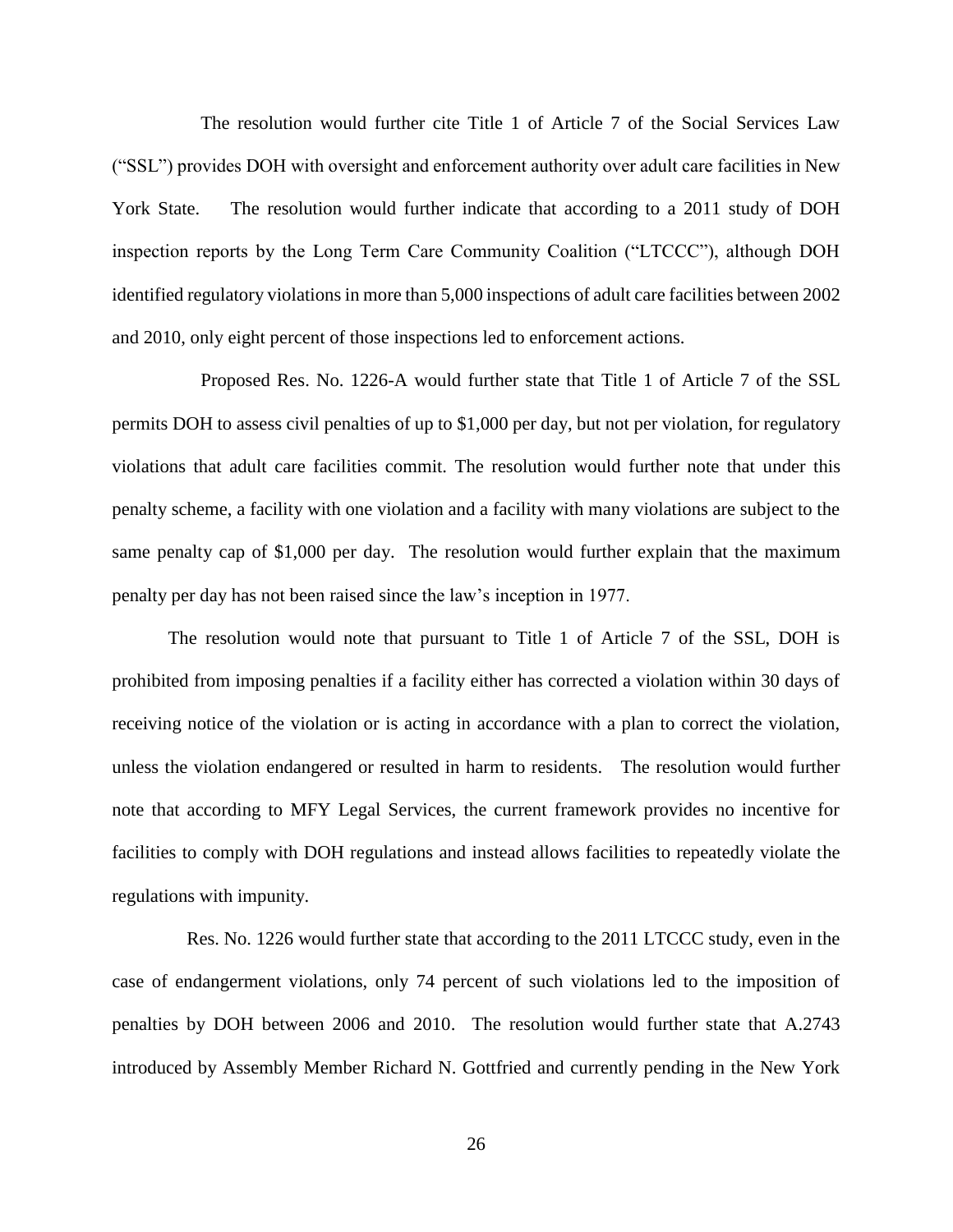The resolution would further cite Title 1 of Article 7 of the Social Services Law ("SSL") provides DOH with oversight and enforcement authority over adult care facilities in New York State. The resolution would further indicate that according to a 2011 study of DOH inspection reports by the Long Term Care Community Coalition ("LTCCC"), although DOH identified regulatory violations in more than 5,000 inspections of adult care facilities between 2002 and 2010, only eight percent of those inspections led to enforcement actions.

 Proposed Res. No. 1226-A would further state that Title 1 of Article 7 of the SSL permits DOH to assess civil penalties of up to \$1,000 per day, but not per violation, for regulatory violations that adult care facilities commit. The resolution would further note that under this penalty scheme, a facility with one violation and a facility with many violations are subject to the same penalty cap of \$1,000 per day. The resolution would further explain that the maximum penalty per day has not been raised since the law's inception in 1977.

The resolution would note that pursuant to Title 1 of Article 7 of the SSL, DOH is prohibited from imposing penalties if a facility either has corrected a violation within 30 days of receiving notice of the violation or is acting in accordance with a plan to correct the violation, unless the violation endangered or resulted in harm to residents. The resolution would further note that according to MFY Legal Services, the current framework provides no incentive for facilities to comply with DOH regulations and instead allows facilities to repeatedly violate the regulations with impunity.

 Res. No. 1226 would further state that according to the 2011 LTCCC study, even in the case of endangerment violations, only 74 percent of such violations led to the imposition of penalties by DOH between 2006 and 2010. The resolution would further state that A.2743 introduced by Assembly Member Richard N. Gottfried and currently pending in the New York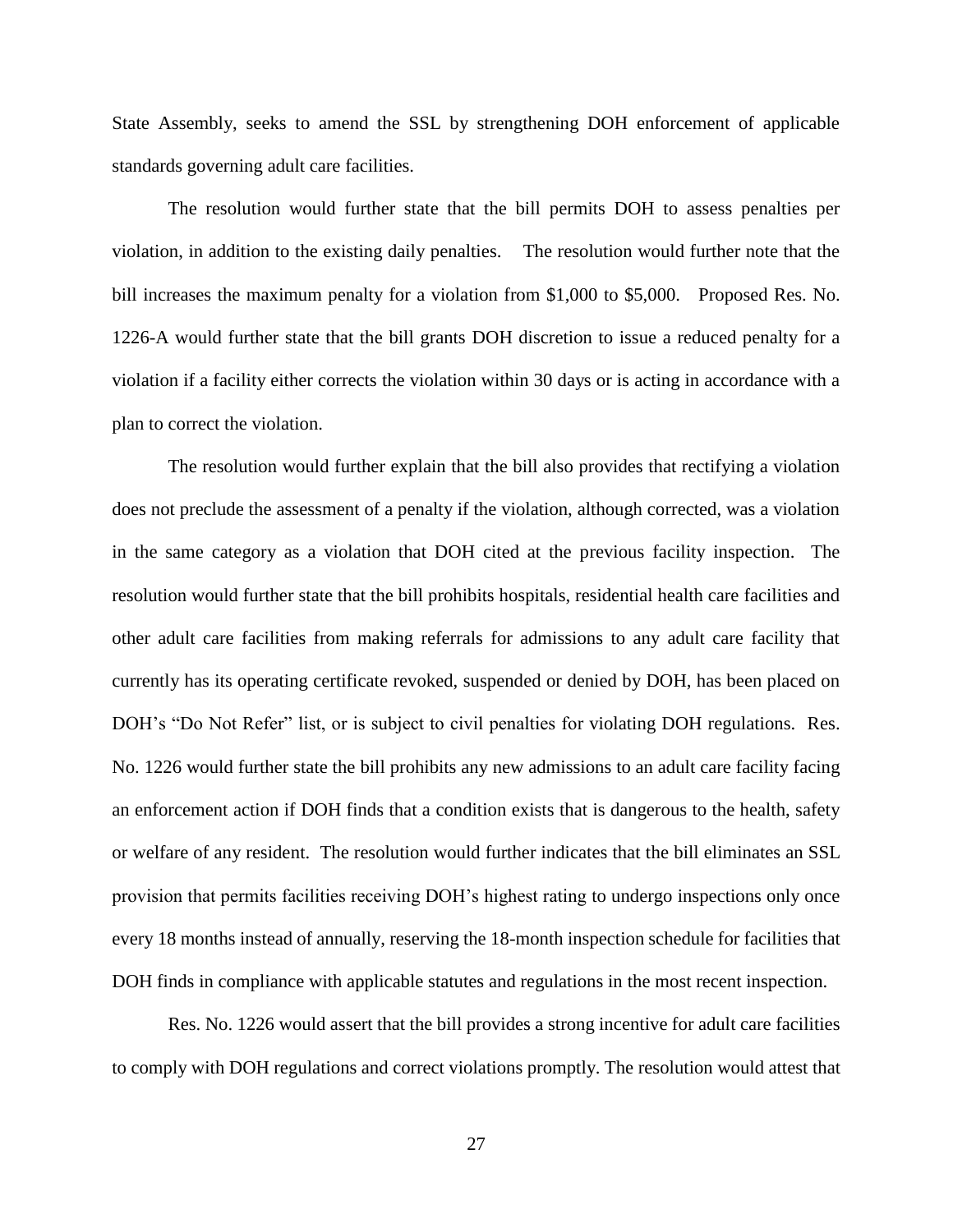State Assembly, seeks to amend the SSL by strengthening DOH enforcement of applicable standards governing adult care facilities.

 The resolution would further state that the bill permits DOH to assess penalties per violation, in addition to the existing daily penalties. The resolution would further note that the bill increases the maximum penalty for a violation from \$1,000 to \$5,000. Proposed Res. No. 1226-A would further state that the bill grants DOH discretion to issue a reduced penalty for a violation if a facility either corrects the violation within 30 days or is acting in accordance with a plan to correct the violation.

The resolution would further explain that the bill also provides that rectifying a violation does not preclude the assessment of a penalty if the violation, although corrected, was a violation in the same category as a violation that DOH cited at the previous facility inspection. The resolution would further state that the bill prohibits hospitals, residential health care facilities and other adult care facilities from making referrals for admissions to any adult care facility that currently has its operating certificate revoked, suspended or denied by DOH, has been placed on DOH's "Do Not Refer" list, or is subject to civil penalties for violating DOH regulations. Res. No. 1226 would further state the bill prohibits any new admissions to an adult care facility facing an enforcement action if DOH finds that a condition exists that is dangerous to the health, safety or welfare of any resident. The resolution would further indicates that the bill eliminates an SSL provision that permits facilities receiving DOH's highest rating to undergo inspections only once every 18 months instead of annually, reserving the 18-month inspection schedule for facilities that DOH finds in compliance with applicable statutes and regulations in the most recent inspection.

Res. No. 1226 would assert that the bill provides a strong incentive for adult care facilities to comply with DOH regulations and correct violations promptly. The resolution would attest that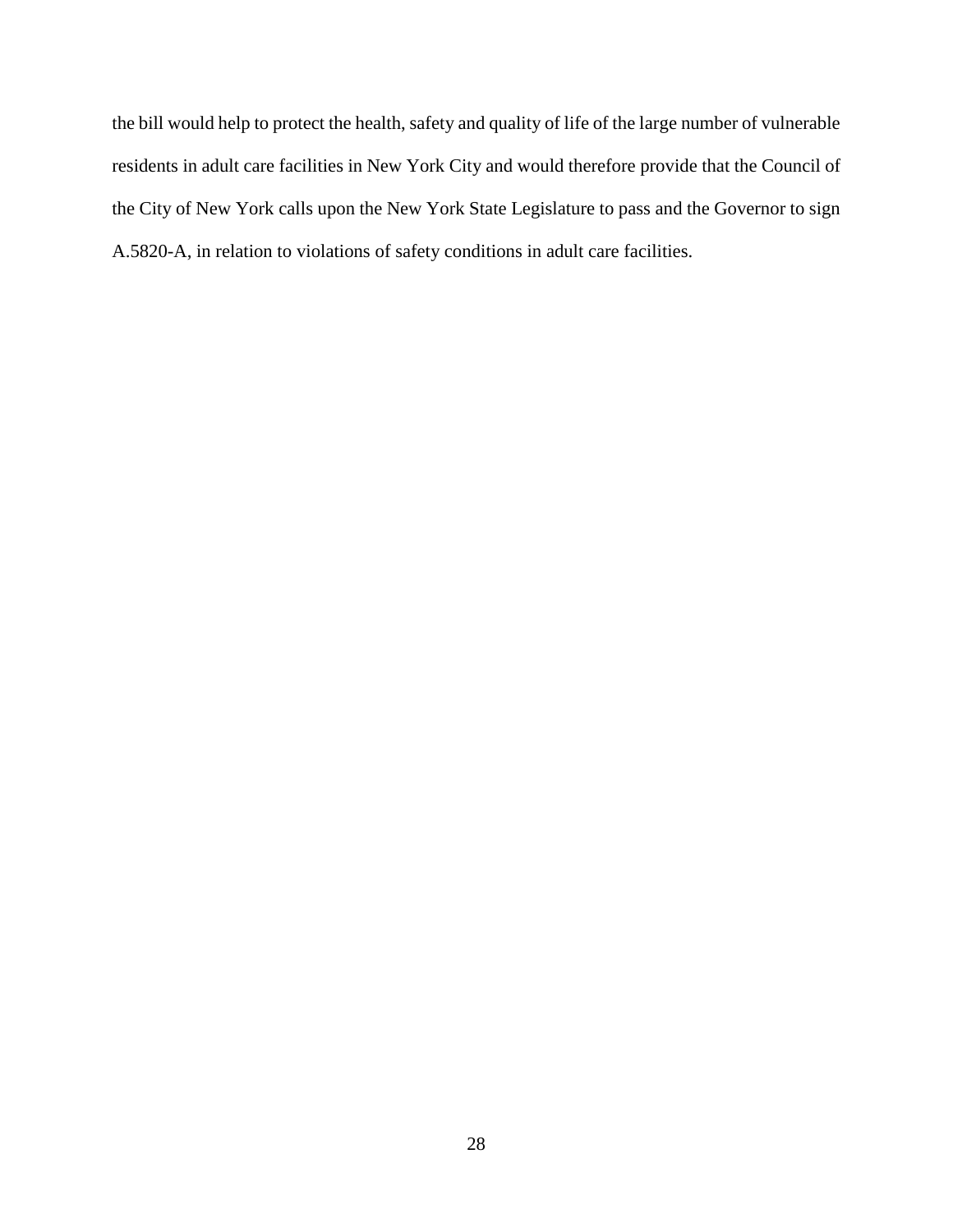the bill would help to protect the health, safety and quality of life of the large number of vulnerable residents in adult care facilities in New York City and would therefore provide that the Council of the City of New York calls upon the New York State Legislature to pass and the Governor to sign A.5820-A, in relation to violations of safety conditions in adult care facilities.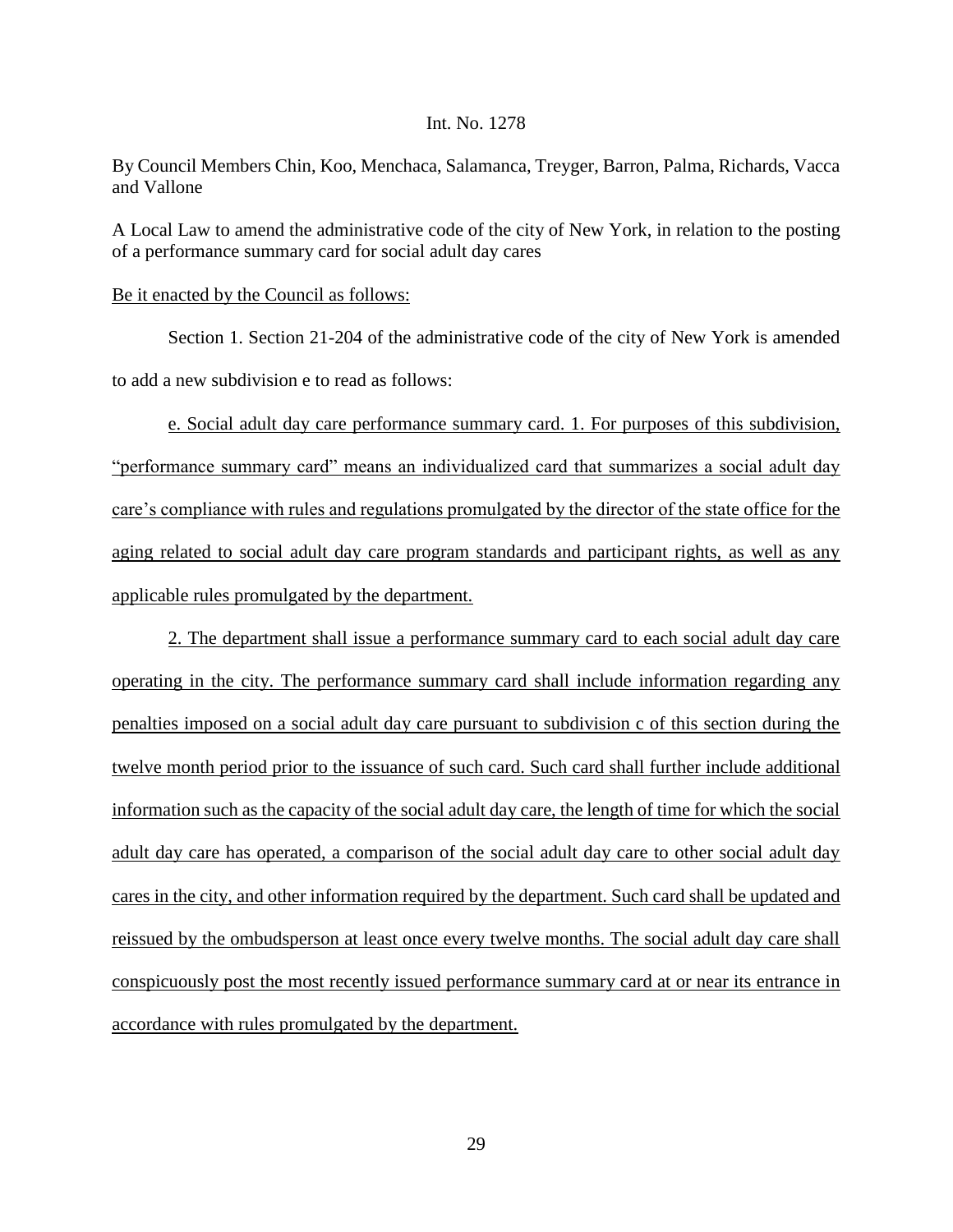#### Int. No. 1278

By Council Members Chin, Koo, Menchaca, Salamanca, Treyger, Barron, Palma, Richards, Vacca and Vallone

A Local Law to amend the administrative code of the city of New York, in relation to the posting of a performance summary card for social adult day cares

## Be it enacted by the Council as follows:

Section 1. Section 21-204 of the administrative code of the city of New York is amended to add a new subdivision e to read as follows:

e. Social adult day care performance summary card. 1. For purposes of this subdivision, "performance summary card" means an individualized card that summarizes a social adult day care's compliance with rules and regulations promulgated by the director of the state office for the aging related to social adult day care program standards and participant rights, as well as any applicable rules promulgated by the department.

2. The department shall issue a performance summary card to each social adult day care operating in the city. The performance summary card shall include information regarding any penalties imposed on a social adult day care pursuant to subdivision c of this section during the twelve month period prior to the issuance of such card. Such card shall further include additional information such as the capacity of the social adult day care, the length of time for which the social adult day care has operated, a comparison of the social adult day care to other social adult day cares in the city, and other information required by the department. Such card shall be updated and reissued by the ombudsperson at least once every twelve months. The social adult day care shall conspicuously post the most recently issued performance summary card at or near its entrance in accordance with rules promulgated by the department.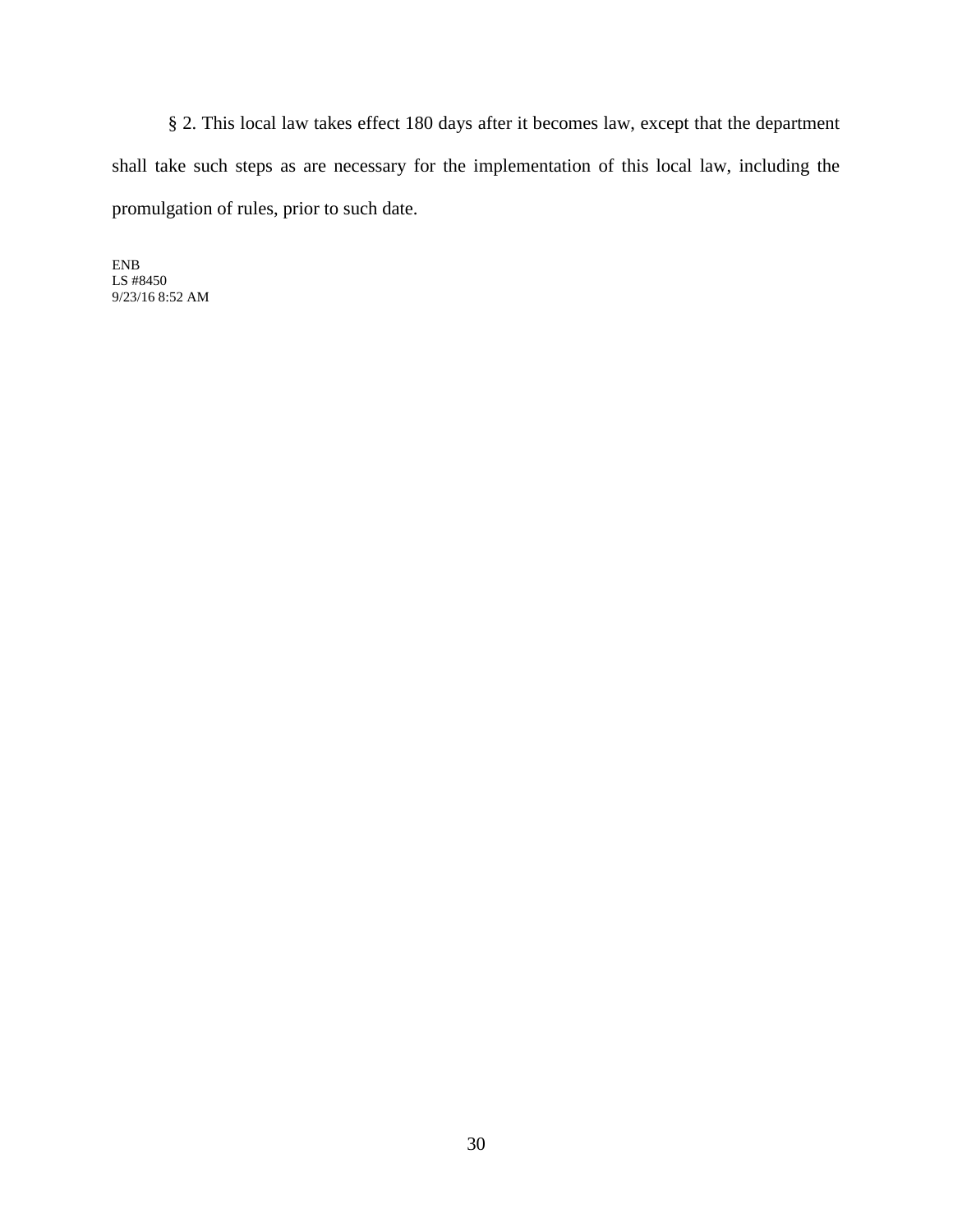§ 2. This local law takes effect 180 days after it becomes law, except that the department shall take such steps as are necessary for the implementation of this local law, including the promulgation of rules, prior to such date.

ENB LS #8450 9/23/16 8:52 AM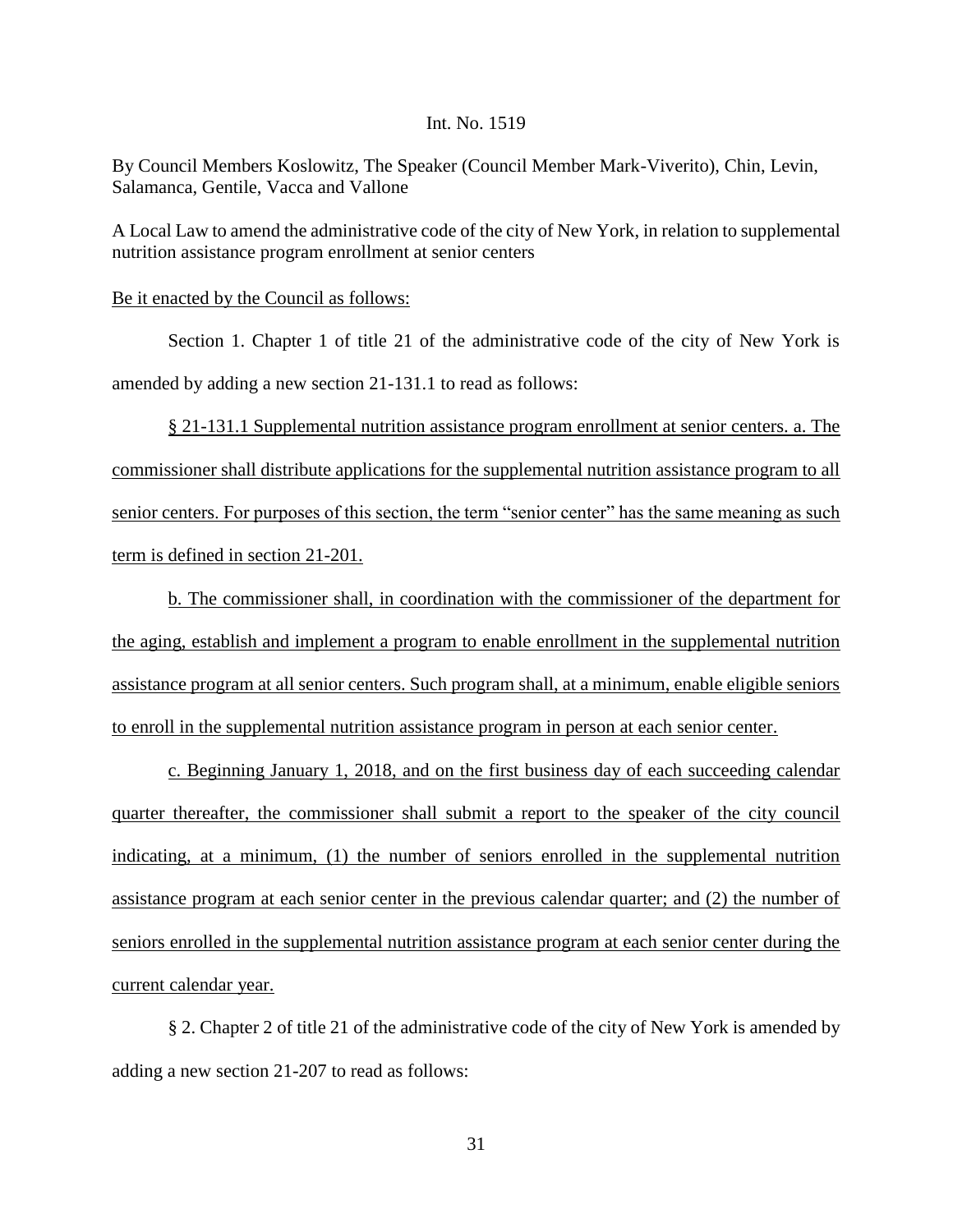### Int. No. 1519

By Council Members Koslowitz, The Speaker (Council Member Mark-Viverito), Chin, Levin, Salamanca, Gentile, Vacca and Vallone

A Local Law to amend the administrative code of the city of New York, in relation to supplemental nutrition assistance program enrollment at senior centers

Be it enacted by the Council as follows:

Section 1. Chapter 1 of title 21 of the administrative code of the city of New York is amended by adding a new section 21-131.1 to read as follows:

§ 21-131.1 Supplemental nutrition assistance program enrollment at senior centers. a. The commissioner shall distribute applications for the supplemental nutrition assistance program to all senior centers. For purposes of this section, the term "senior center" has the same meaning as such term is defined in section 21-201.

b. The commissioner shall, in coordination with the commissioner of the department for the aging, establish and implement a program to enable enrollment in the supplemental nutrition assistance program at all senior centers. Such program shall, at a minimum, enable eligible seniors to enroll in the supplemental nutrition assistance program in person at each senior center.

c. Beginning January 1, 2018, and on the first business day of each succeeding calendar quarter thereafter, the commissioner shall submit a report to the speaker of the city council indicating, at a minimum, (1) the number of seniors enrolled in the supplemental nutrition assistance program at each senior center in the previous calendar quarter; and (2) the number of seniors enrolled in the supplemental nutrition assistance program at each senior center during the current calendar year.

§ 2. Chapter 2 of title 21 of the administrative code of the city of New York is amended by adding a new section 21-207 to read as follows: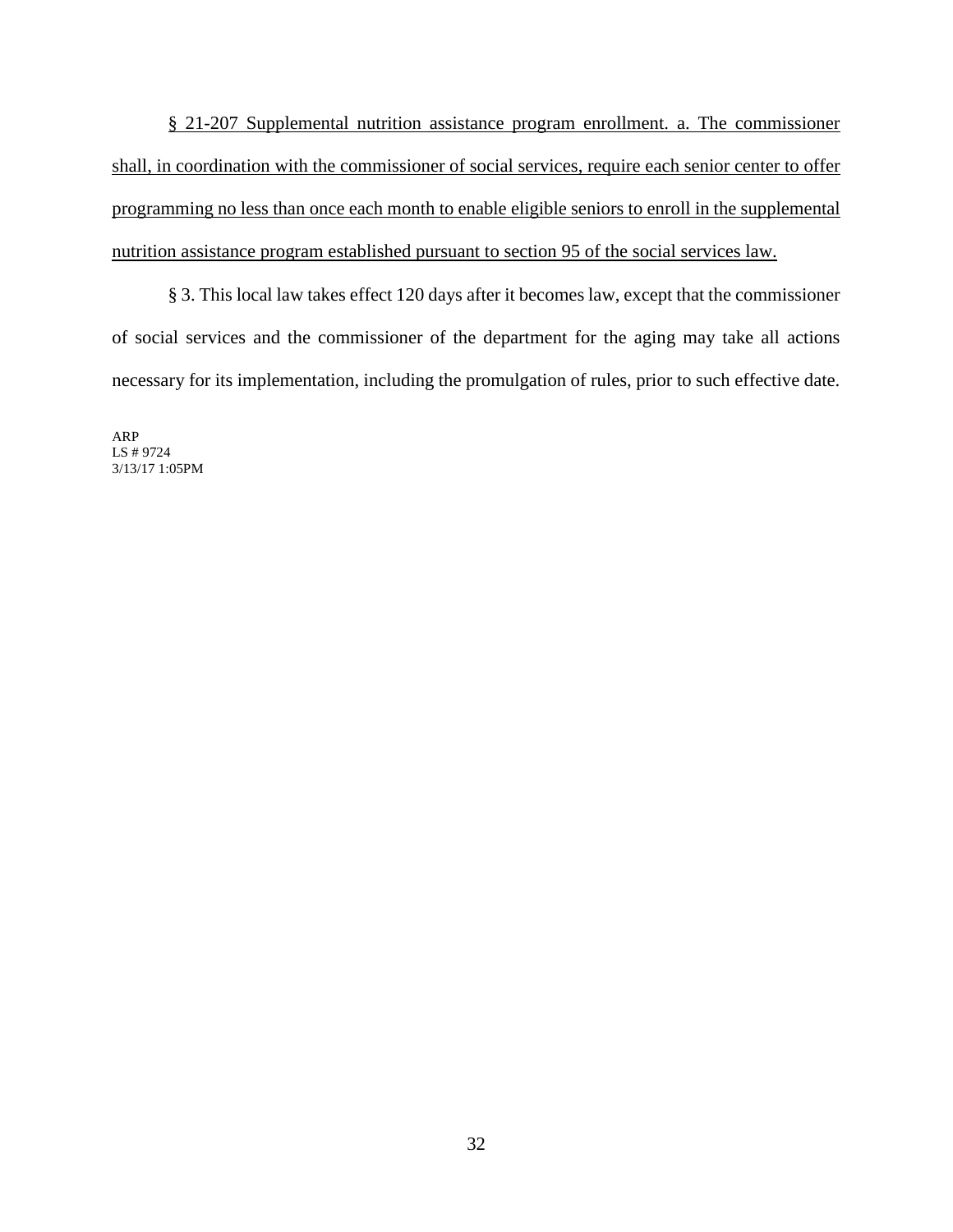§ 21-207 Supplemental nutrition assistance program enrollment. a. The commissioner shall, in coordination with the commissioner of social services, require each senior center to offer programming no less than once each month to enable eligible seniors to enroll in the supplemental nutrition assistance program established pursuant to section 95 of the social services law.

§ 3. This local law takes effect 120 days after it becomes law, except that the commissioner of social services and the commissioner of the department for the aging may take all actions necessary for its implementation, including the promulgation of rules, prior to such effective date.

ARP LS # 9724 3/13/17 1:05PM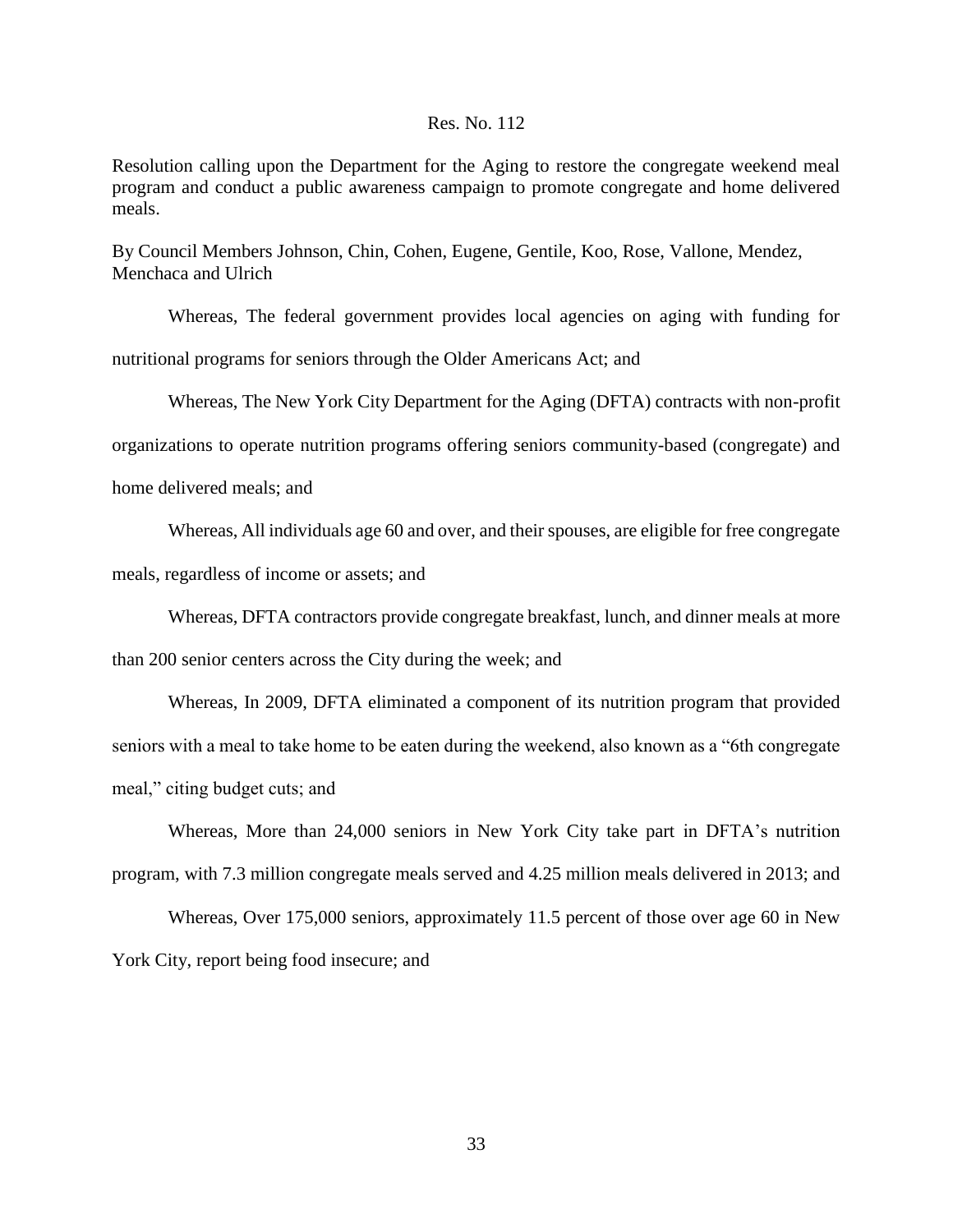### Res. No. 112

Resolution calling upon the Department for the Aging to restore the congregate weekend meal program and conduct a public awareness campaign to promote congregate and home delivered meals.

By Council Members Johnson, Chin, Cohen, Eugene, Gentile, Koo, Rose, Vallone, Mendez, Menchaca and Ulrich

Whereas, The federal government provides local agencies on aging with funding for nutritional programs for seniors through the Older Americans Act; and

Whereas, The New York City Department for the Aging (DFTA) contracts with non-profit

organizations to operate nutrition programs offering seniors community-based (congregate) and

home delivered meals; and

Whereas, All individuals age 60 and over, and their spouses, are eligible for free congregate meals, regardless of income or assets; and

Whereas, DFTA contractors provide congregate breakfast, lunch, and dinner meals at more

than 200 senior centers across the City during the week; and

Whereas, In 2009, DFTA eliminated a component of its nutrition program that provided seniors with a meal to take home to be eaten during the weekend, also known as a "6th congregate meal," citing budget cuts; and

Whereas, More than 24,000 seniors in New York City take part in DFTA's nutrition program, with 7.3 million congregate meals served and 4.25 million meals delivered in 2013; and

Whereas, Over 175,000 seniors, approximately 11.5 percent of those over age 60 in New York City, report being food insecure; and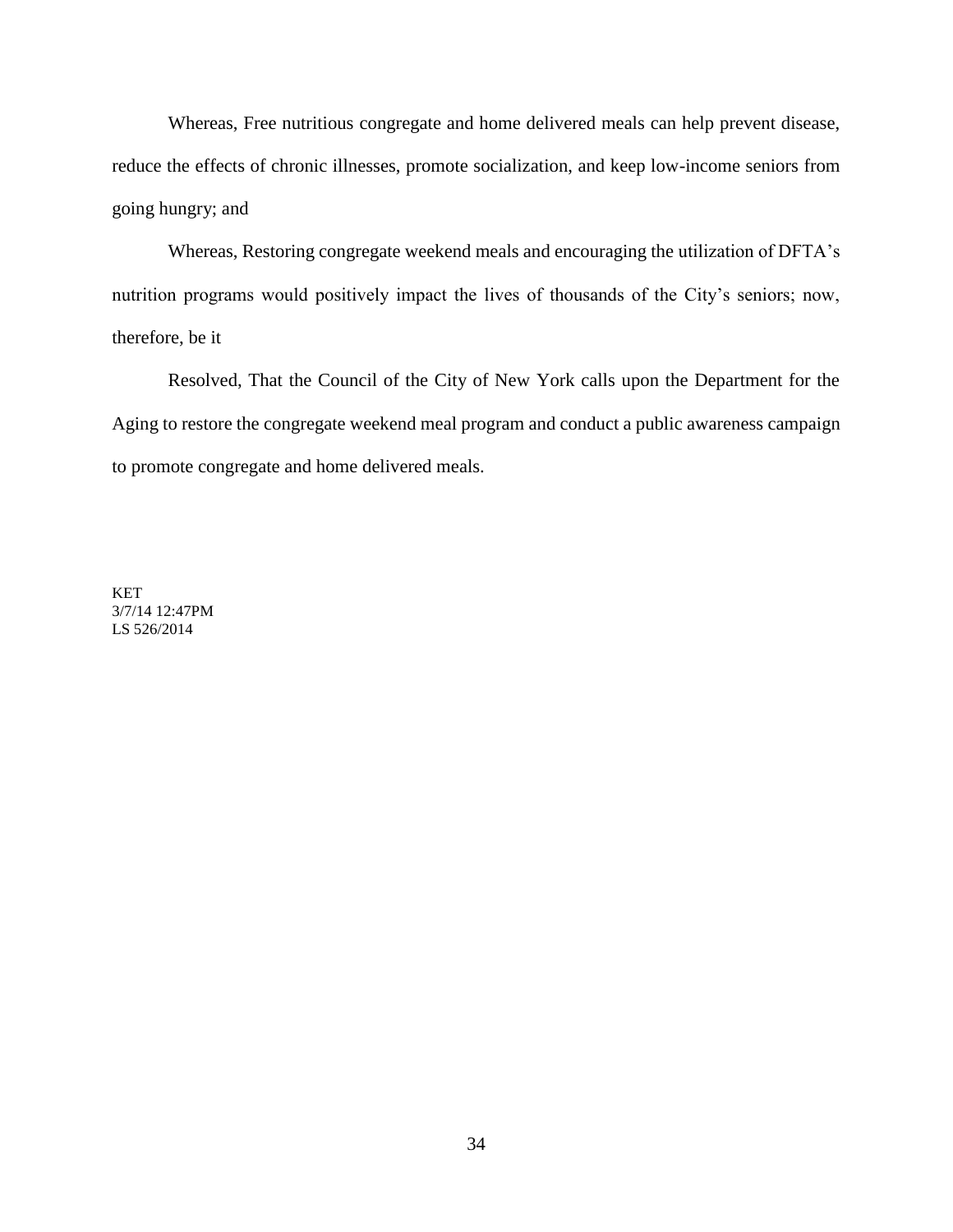Whereas, Free nutritious congregate and home delivered meals can help prevent disease, reduce the effects of chronic illnesses, promote socialization, and keep low-income seniors from going hungry; and

Whereas, Restoring congregate weekend meals and encouraging the utilization of DFTA's nutrition programs would positively impact the lives of thousands of the City's seniors; now, therefore, be it

Resolved, That the Council of the City of New York calls upon the Department for the Aging to restore the congregate weekend meal program and conduct a public awareness campaign to promote congregate and home delivered meals.

KET 3/7/14 12:47PM LS 526/2014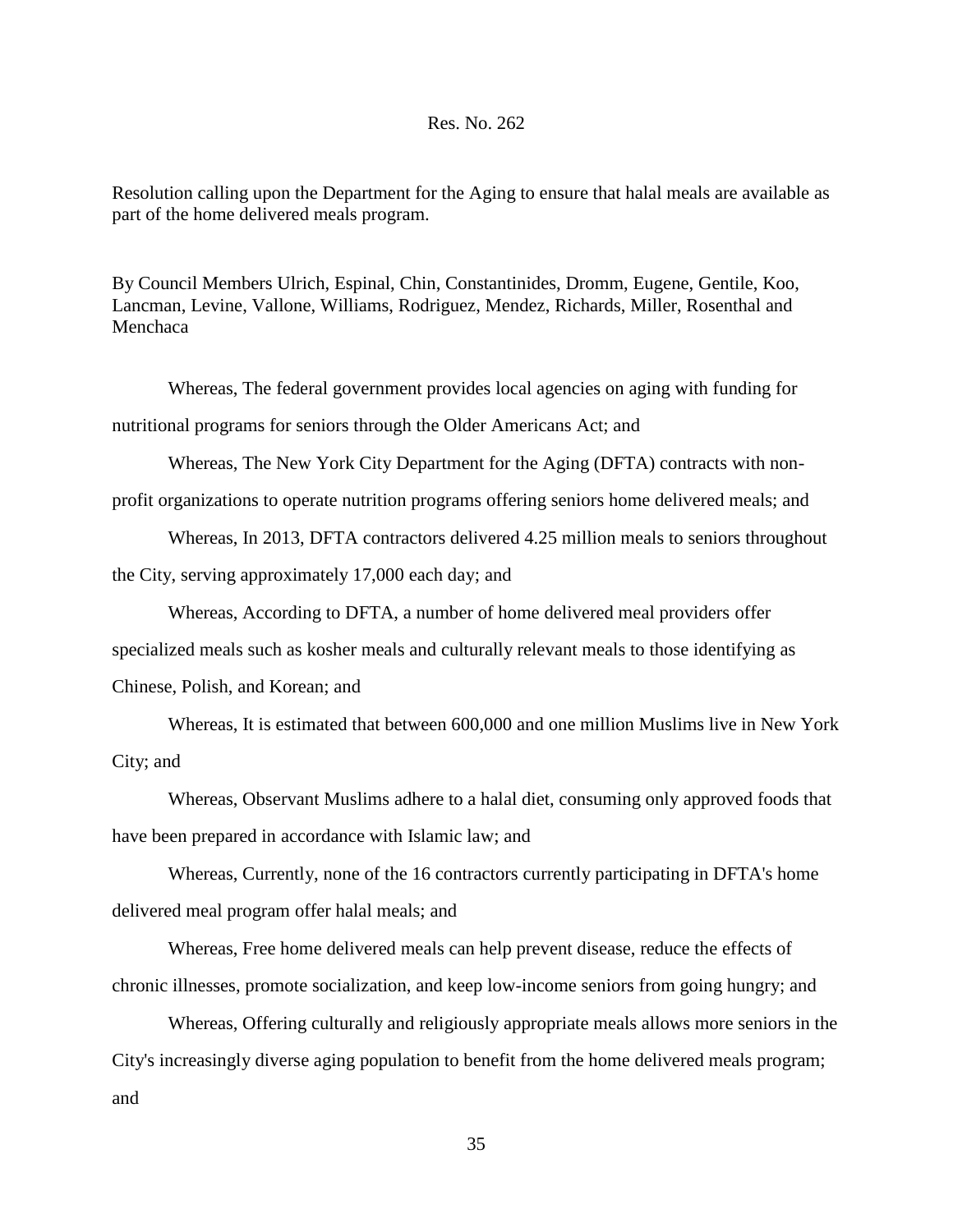## Res. No. 262

Resolution calling upon the Department for the Aging to ensure that halal meals are available as part of the home delivered meals program.

By Council Members Ulrich, Espinal, Chin, Constantinides, Dromm, Eugene, Gentile, Koo, Lancman, Levine, Vallone, Williams, Rodriguez, Mendez, Richards, Miller, Rosenthal and Menchaca

Whereas, The federal government provides local agencies on aging with funding for nutritional programs for seniors through the Older Americans Act; and

Whereas, The New York City Department for the Aging (DFTA) contracts with non-

profit organizations to operate nutrition programs offering seniors home delivered meals; and

Whereas, In 2013, DFTA contractors delivered 4.25 million meals to seniors throughout the City, serving approximately 17,000 each day; and

Whereas, According to DFTA, a number of home delivered meal providers offer

specialized meals such as kosher meals and culturally relevant meals to those identifying as

Chinese, Polish, and Korean; and

Whereas, It is estimated that between 600,000 and one million Muslims live in New York City; and

Whereas, Observant Muslims adhere to a halal diet, consuming only approved foods that have been prepared in accordance with Islamic law; and

Whereas, Currently, none of the 16 contractors currently participating in DFTA's home delivered meal program offer halal meals; and

Whereas, Free home delivered meals can help prevent disease, reduce the effects of chronic illnesses, promote socialization, and keep low-income seniors from going hungry; and

Whereas, Offering culturally and religiously appropriate meals allows more seniors in the City's increasingly diverse aging population to benefit from the home delivered meals program; and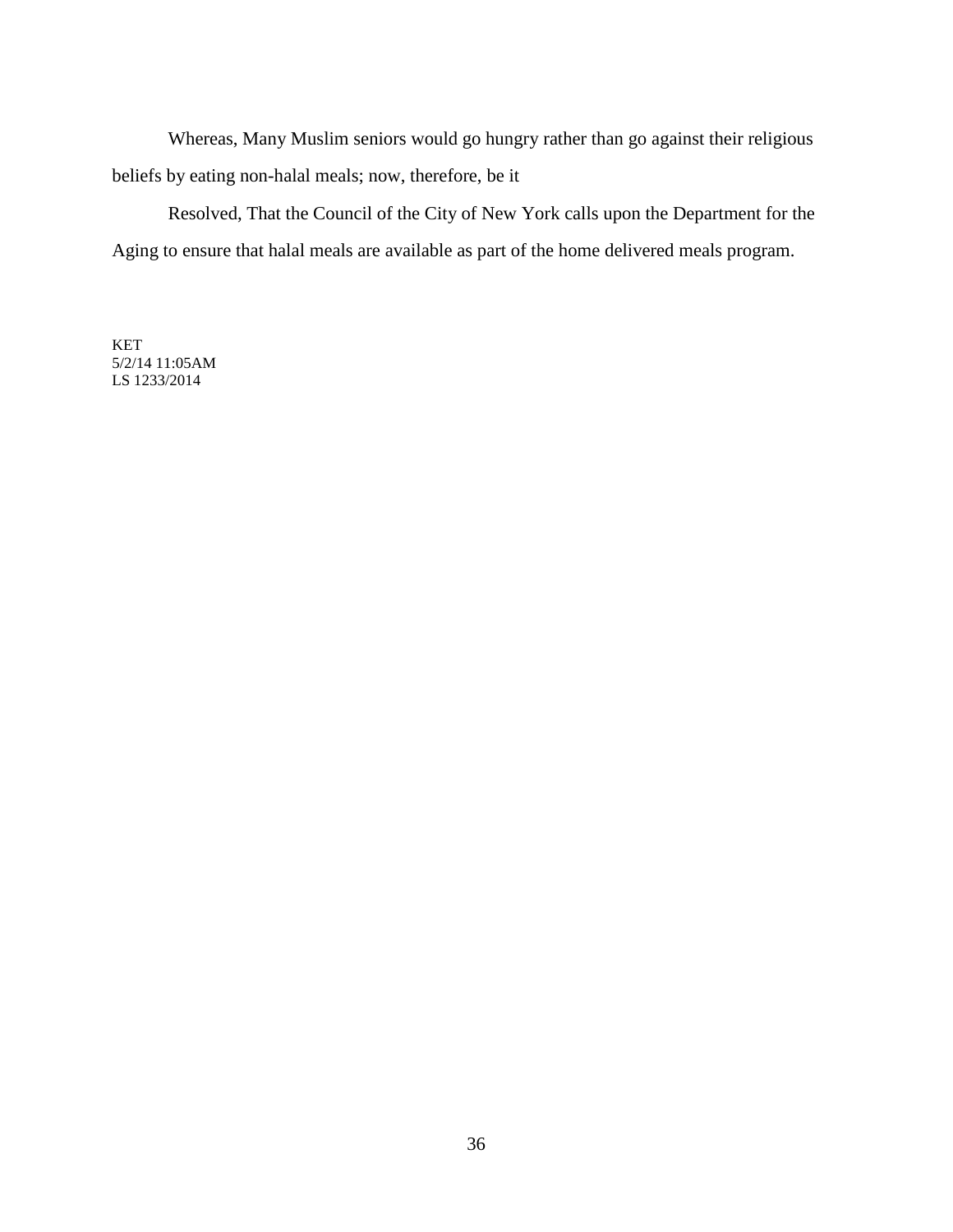Whereas, Many Muslim seniors would go hungry rather than go against their religious beliefs by eating non-halal meals; now, therefore, be it

Resolved, That the Council of the City of New York calls upon the Department for the Aging to ensure that halal meals are available as part of the home delivered meals program.

KET 5/2/14 11:05AM LS 1233/2014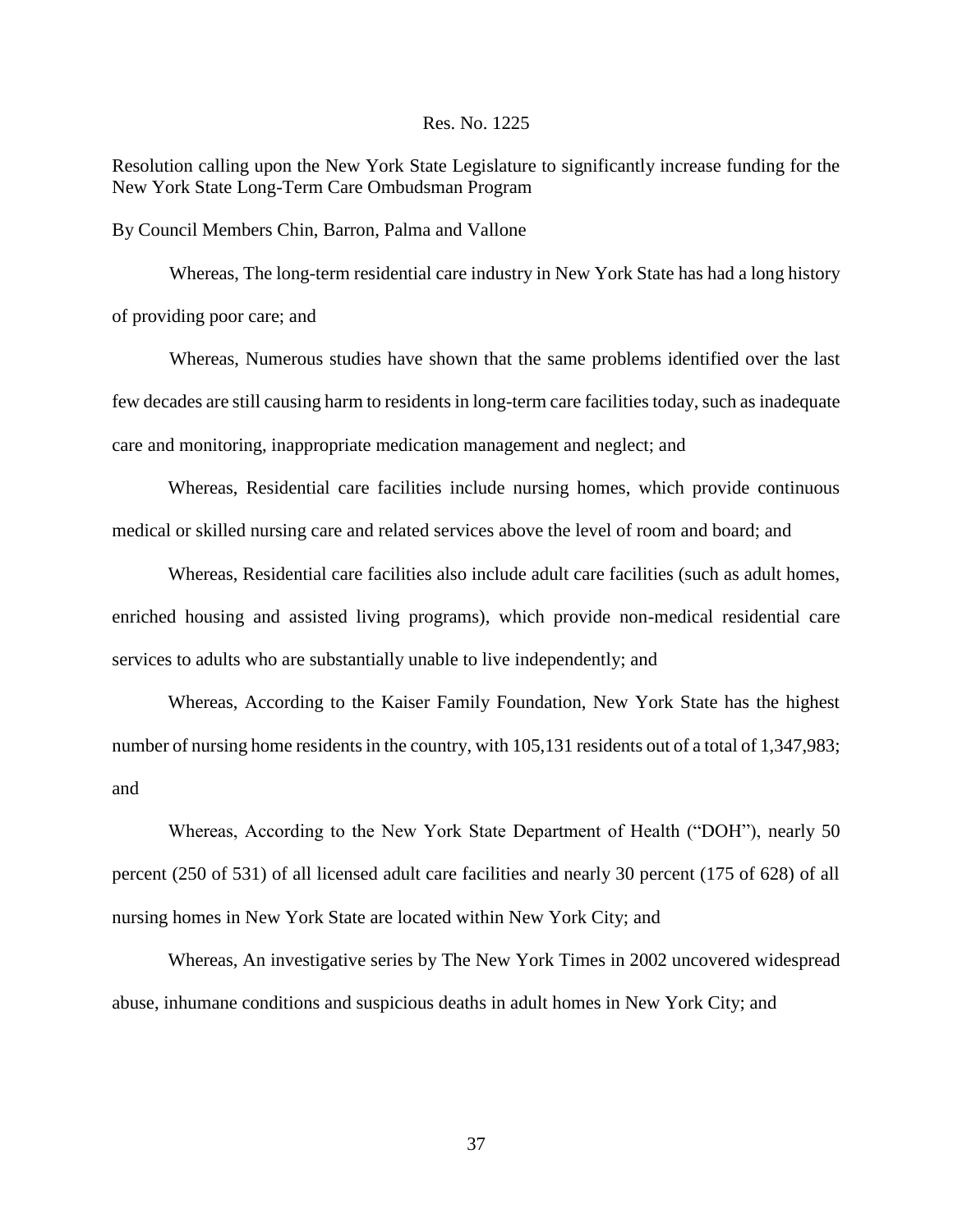### Res. No. 1225

Resolution calling upon the New York State Legislature to significantly increase funding for the New York State Long-Term Care Ombudsman Program

By Council Members Chin, Barron, Palma and Vallone

 Whereas, The long-term residential care industry in New York State has had a long history of providing poor care; and

 Whereas, Numerous studies have shown that the same problems identified over the last few decades are still causing harm to residents in long-term care facilities today, such as inadequate care and monitoring, inappropriate medication management and neglect; and

Whereas, Residential care facilities include nursing homes, which provide continuous medical or skilled nursing care and related services above the level of room and board; and

Whereas, Residential care facilities also include adult care facilities (such as adult homes, enriched housing and assisted living programs), which provide non-medical residential care services to adults who are substantially unable to live independently; and

Whereas, According to the Kaiser Family Foundation, New York State has the highest number of nursing home residents in the country, with 105,131 residents out of a total of 1,347,983; and

Whereas, According to the New York State Department of Health ("DOH"), nearly 50 percent (250 of 531) of all licensed adult care facilities and nearly 30 percent (175 of 628) of all nursing homes in New York State are located within New York City; and

Whereas, An investigative series by The New York Times in 2002 uncovered widespread abuse, inhumane conditions and suspicious deaths in adult homes in New York City; and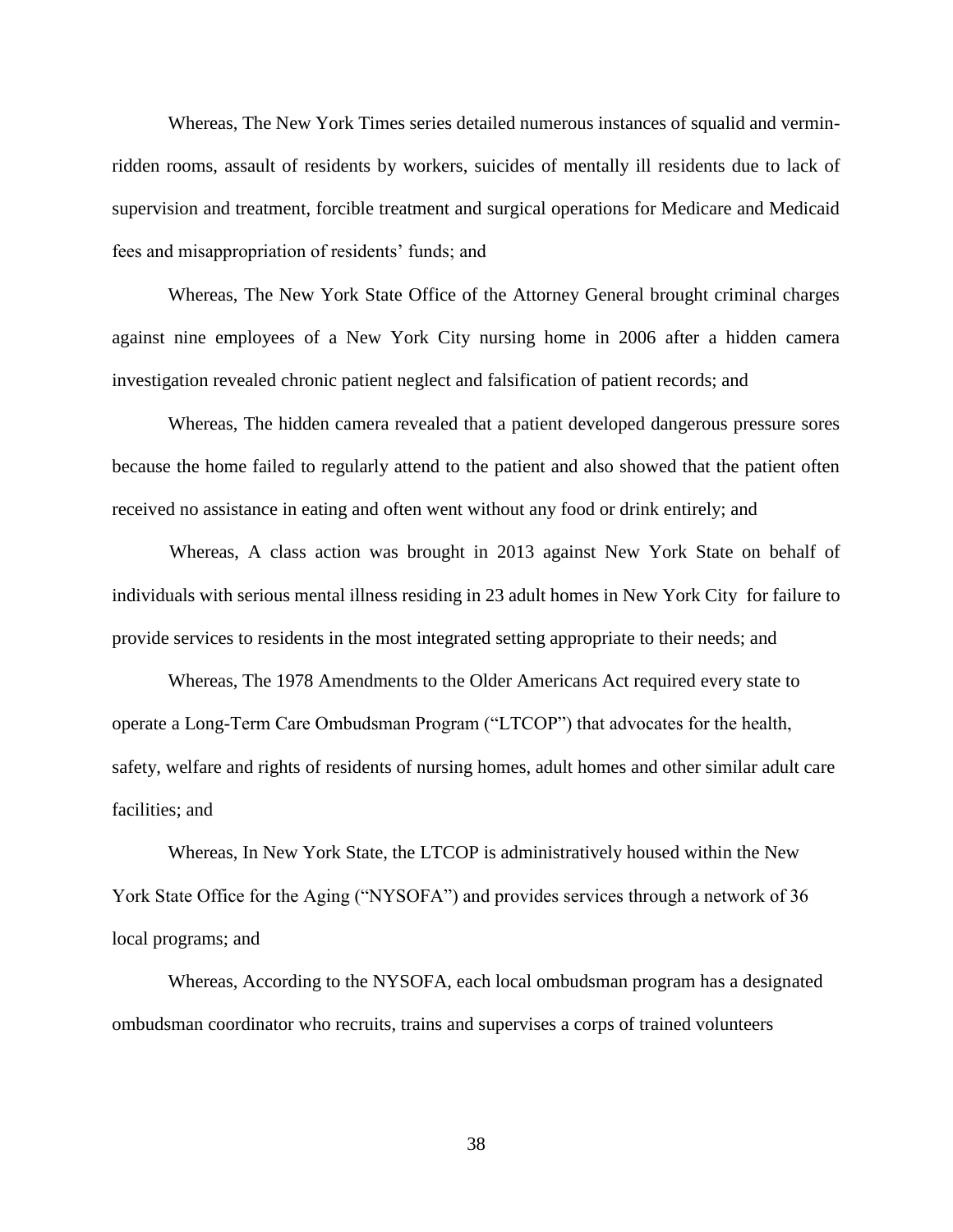Whereas, The New York Times series detailed numerous instances of squalid and verminridden rooms, assault of residents by workers, suicides of mentally ill residents due to lack of supervision and treatment, forcible treatment and surgical operations for Medicare and Medicaid fees and misappropriation of residents' funds; and

Whereas, The New York State Office of the Attorney General brought criminal charges against nine employees of a New York City nursing home in 2006 after a hidden camera investigation revealed chronic patient neglect and falsification of patient records; and

Whereas, The hidden camera revealed that a patient developed dangerous pressure sores because the home failed to regularly attend to the patient and also showed that the patient often received no assistance in eating and often went without any food or drink entirely; and

 Whereas, A class action was brought in 2013 against New York State on behalf of individuals with serious mental illness residing in 23 adult homes in New York City for failure to provide services to residents in the most integrated setting appropriate to their needs; and

Whereas, The 1978 Amendments to the Older Americans Act required every state to operate a Long-Term Care Ombudsman Program ("LTCOP") that advocates for the health, safety, welfare and rights of residents of nursing homes, adult homes and other similar adult care facilities; and

Whereas, In New York State, the LTCOP is administratively housed within the New York State Office for the Aging ("NYSOFA") and provides services through a network of 36 local programs; and

Whereas, According to the NYSOFA, each local ombudsman program has a designated ombudsman coordinator who recruits, trains and supervises a corps of trained volunteers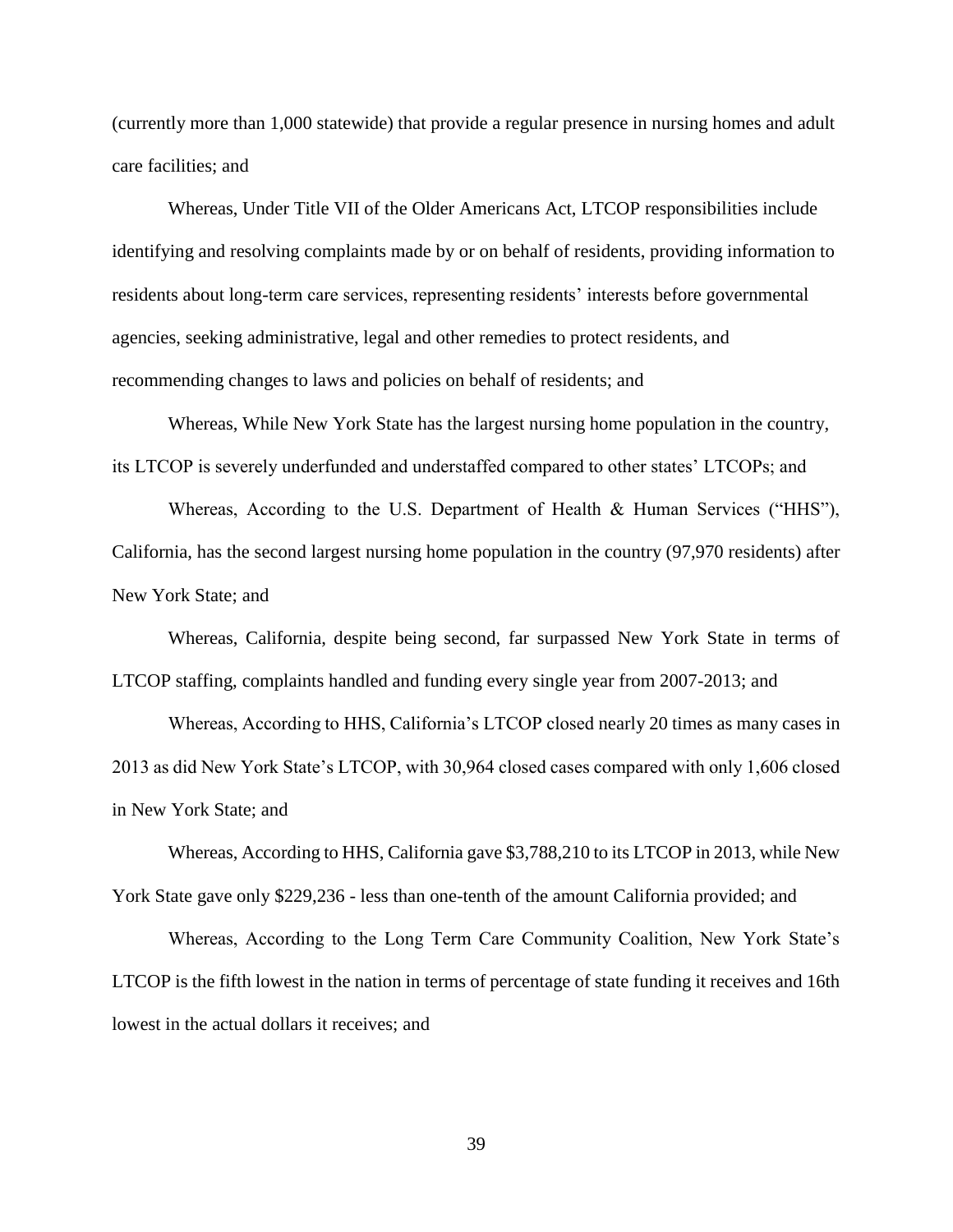(currently more than 1,000 statewide) that provide a regular presence in nursing homes and adult care facilities; and

Whereas, Under Title VII of the Older Americans Act, LTCOP responsibilities include identifying and resolving complaints made by or on behalf of residents, providing information to residents about long-term care services, representing residents' interests before governmental agencies, seeking administrative, legal and other remedies to protect residents, and recommending changes to laws and policies on behalf of residents; and

Whereas, While New York State has the largest nursing home population in the country, its LTCOP is severely underfunded and understaffed compared to other states' LTCOPs; and

Whereas, According to the U.S. Department of Health & Human Services ("HHS"), California, has the second largest nursing home population in the country (97,970 residents) after New York State; and

Whereas, California, despite being second, far surpassed New York State in terms of LTCOP staffing, complaints handled and funding every single year from 2007-2013; and

Whereas, According to HHS, California's LTCOP closed nearly 20 times as many cases in 2013 as did New York State's LTCOP, with 30,964 closed cases compared with only 1,606 closed in New York State; and

Whereas, According to HHS, California gave \$3,788,210 to its LTCOP in 2013, while New York State gave only \$229,236 - less than one-tenth of the amount California provided; and

Whereas, According to the Long Term Care Community Coalition, New York State's LTCOP is the fifth lowest in the nation in terms of percentage of state funding it receives and 16th lowest in the actual dollars it receives; and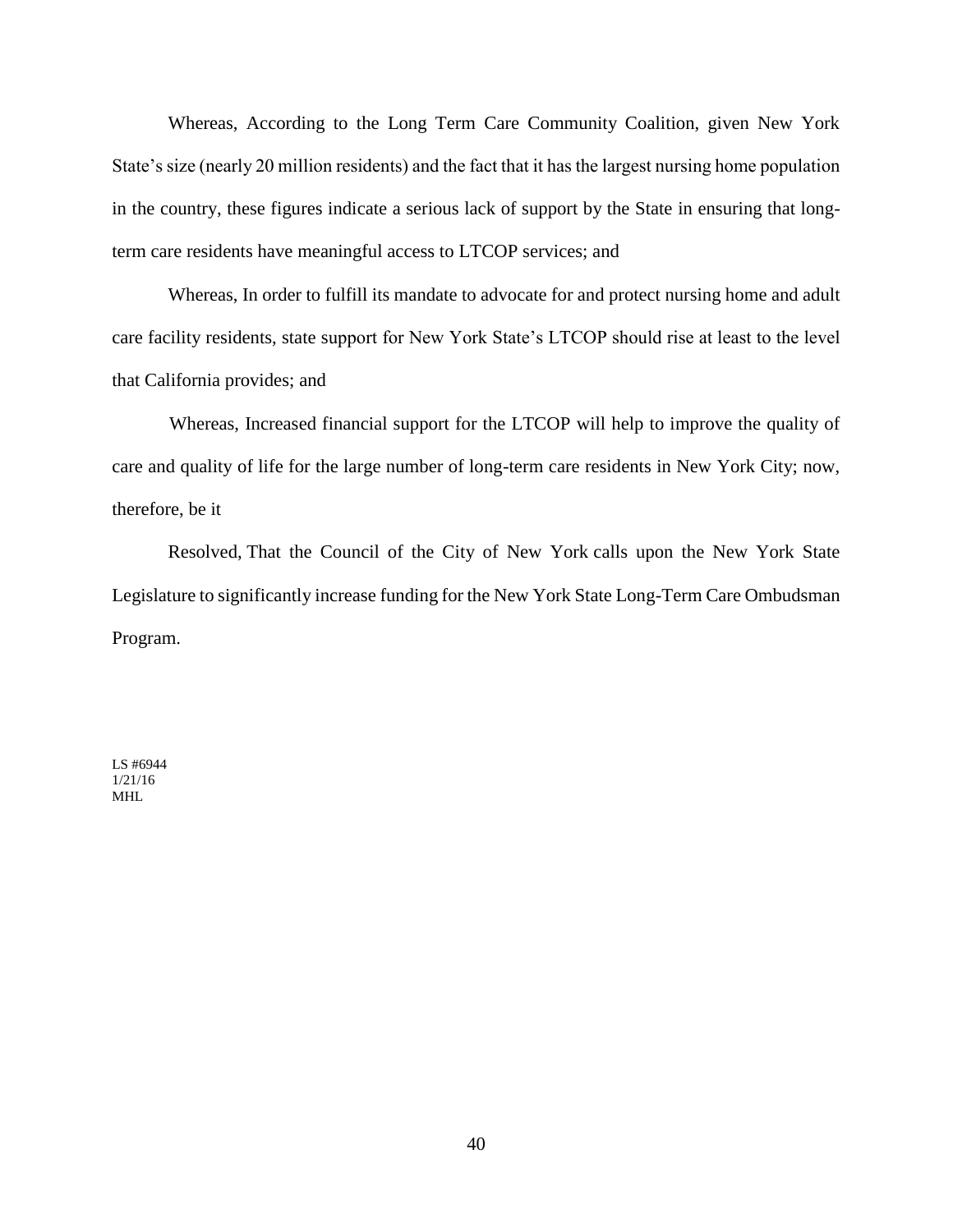Whereas, According to the Long Term Care Community Coalition, given New York State's size (nearly 20 million residents) and the fact that it has the largest nursing home population in the country, these figures indicate a serious lack of support by the State in ensuring that longterm care residents have meaningful access to LTCOP services; and

Whereas, In order to fulfill its mandate to advocate for and protect nursing home and adult care facility residents, state support for New York State's LTCOP should rise at least to the level that California provides; and

 Whereas, Increased financial support for the LTCOP will help to improve the quality of care and quality of life for the large number of long-term care residents in New York City; now, therefore, be it

Resolved, That the Council of the City of New York calls upon the New York State Legislature to significantly increase funding for the New York State Long-Term Care Ombudsman Program.

LS #6944 1/21/16 MHL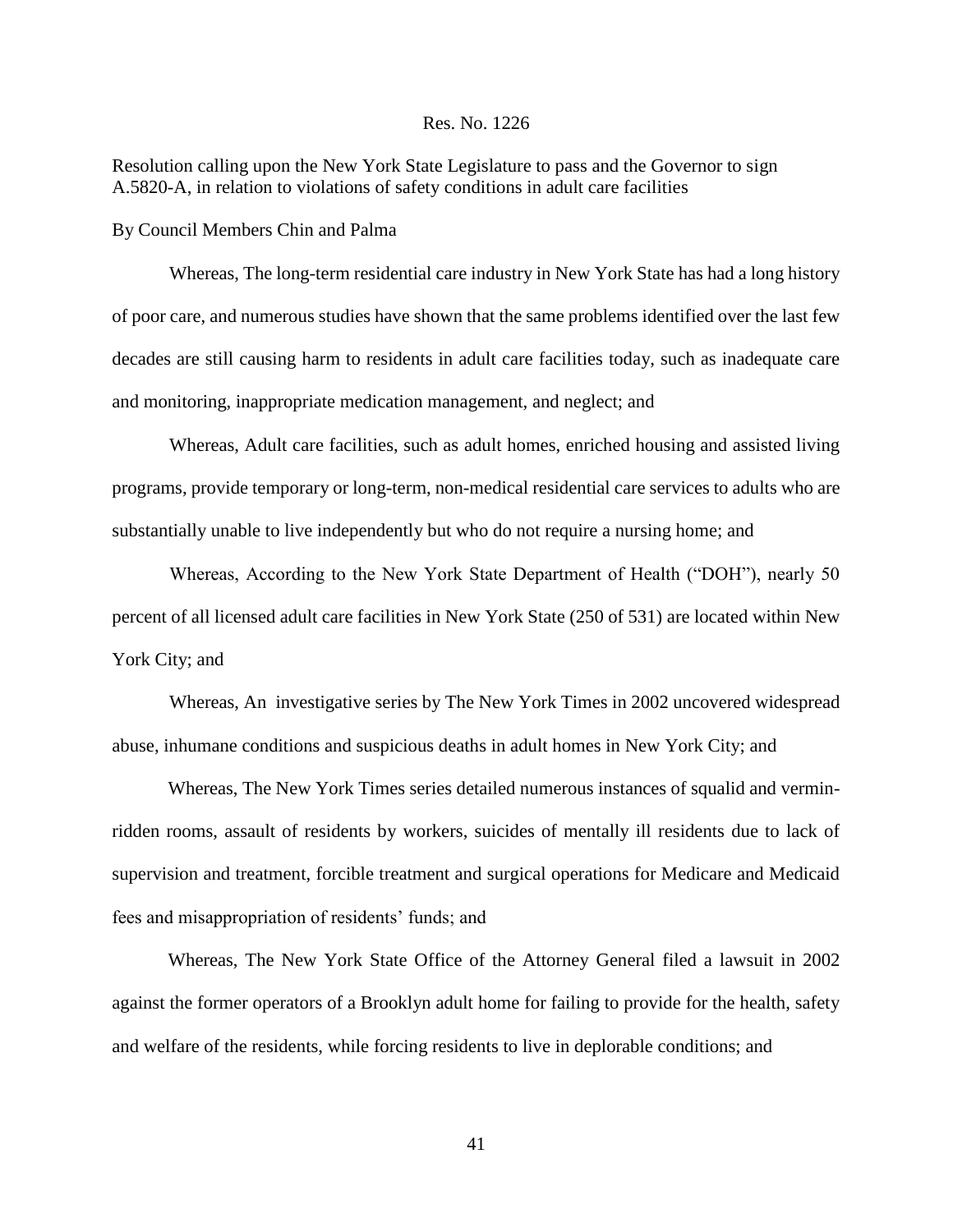## Res. No. 1226

Resolution calling upon the New York State Legislature to pass and the Governor to sign A.5820-A, in relation to violations of safety conditions in adult care facilities

By Council Members Chin and Palma

 Whereas, The long-term residential care industry in New York State has had a long history of poor care, and numerous studies have shown that the same problems identified over the last few decades are still causing harm to residents in adult care facilities today, such as inadequate care and monitoring, inappropriate medication management, and neglect; and

 Whereas, Adult care facilities, such as adult homes, enriched housing and assisted living programs, provide temporary or long-term, non-medical residential care services to adults who are substantially unable to live independently but who do not require a nursing home; and

 Whereas, According to the New York State Department of Health ("DOH"), nearly 50 percent of all licensed adult care facilities in New York State (250 of 531) are located within New York City; and

 Whereas, An investigative series by The New York Times in 2002 uncovered widespread abuse, inhumane conditions and suspicious deaths in adult homes in New York City; and

Whereas, The New York Times series detailed numerous instances of squalid and verminridden rooms, assault of residents by workers, suicides of mentally ill residents due to lack of supervision and treatment, forcible treatment and surgical operations for Medicare and Medicaid fees and misappropriation of residents' funds; and

Whereas, The New York State Office of the Attorney General filed a lawsuit in 2002 against the former operators of a Brooklyn adult home for failing to provide for the health, safety and welfare of the residents, while forcing residents to live in deplorable conditions; and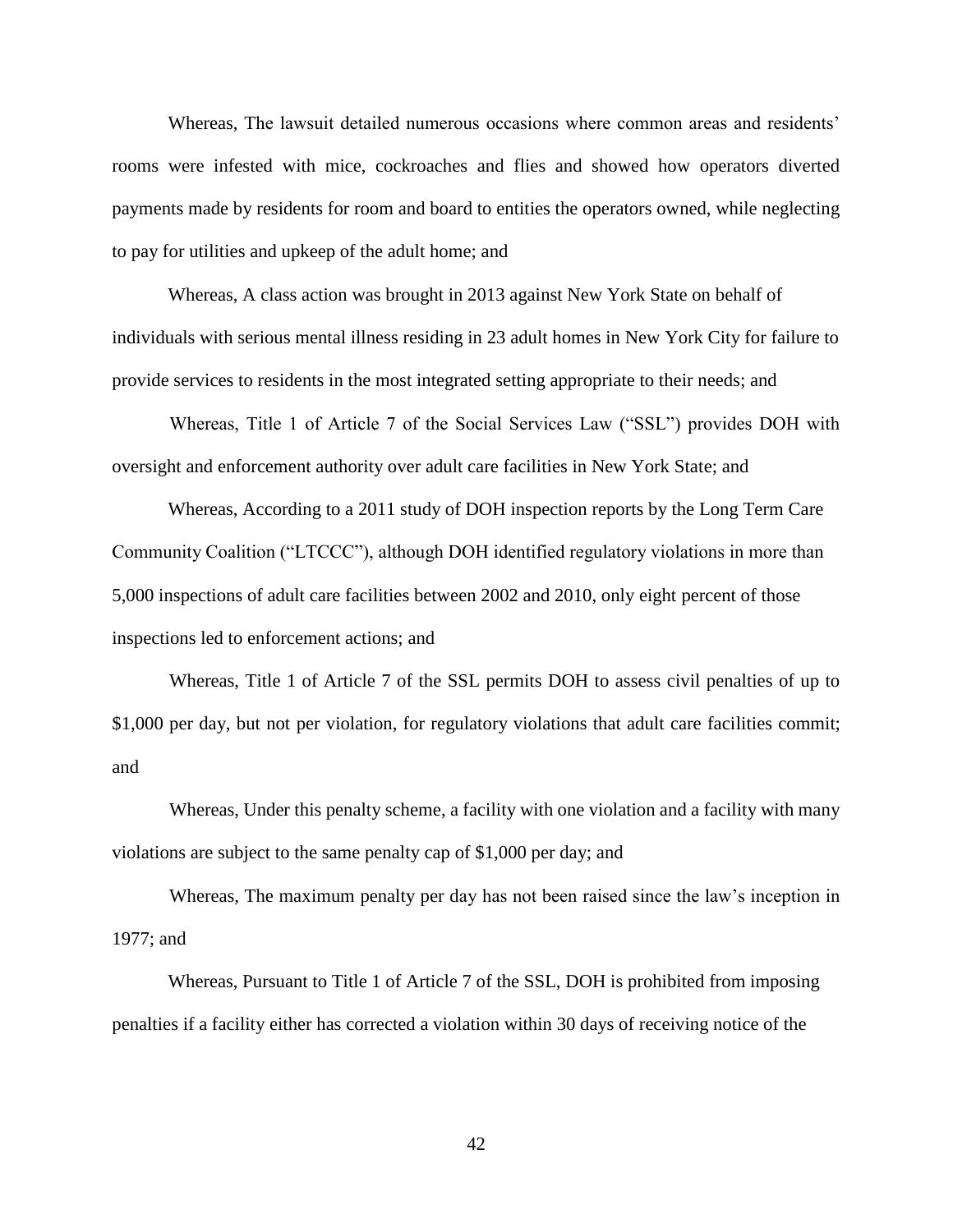Whereas, The lawsuit detailed numerous occasions where common areas and residents' rooms were infested with mice, cockroaches and flies and showed how operators diverted payments made by residents for room and board to entities the operators owned, while neglecting to pay for utilities and upkeep of the adult home; and

Whereas, A class action was brought in 2013 against New York State on behalf of individuals with serious mental illness residing in 23 adult homes in New York City for failure to provide services to residents in the most integrated setting appropriate to their needs; and

 Whereas, Title 1 of Article 7 of the Social Services Law ("SSL") provides DOH with oversight and enforcement authority over adult care facilities in New York State; and

Whereas, According to a 2011 study of DOH inspection reports by the Long Term Care Community Coalition ("LTCCC"), although DOH identified regulatory violations in more than 5,000 inspections of adult care facilities between 2002 and 2010, only eight percent of those inspections led to enforcement actions; and

 Whereas, Title 1 of Article 7 of the SSL permits DOH to assess civil penalties of up to \$1,000 per day, but not per violation, for regulatory violations that adult care facilities commit; and

 Whereas, Under this penalty scheme, a facility with one violation and a facility with many violations are subject to the same penalty cap of \$1,000 per day; and

 Whereas, The maximum penalty per day has not been raised since the law's inception in 1977; and

Whereas, Pursuant to Title 1 of Article 7 of the SSL, DOH is prohibited from imposing penalties if a facility either has corrected a violation within 30 days of receiving notice of the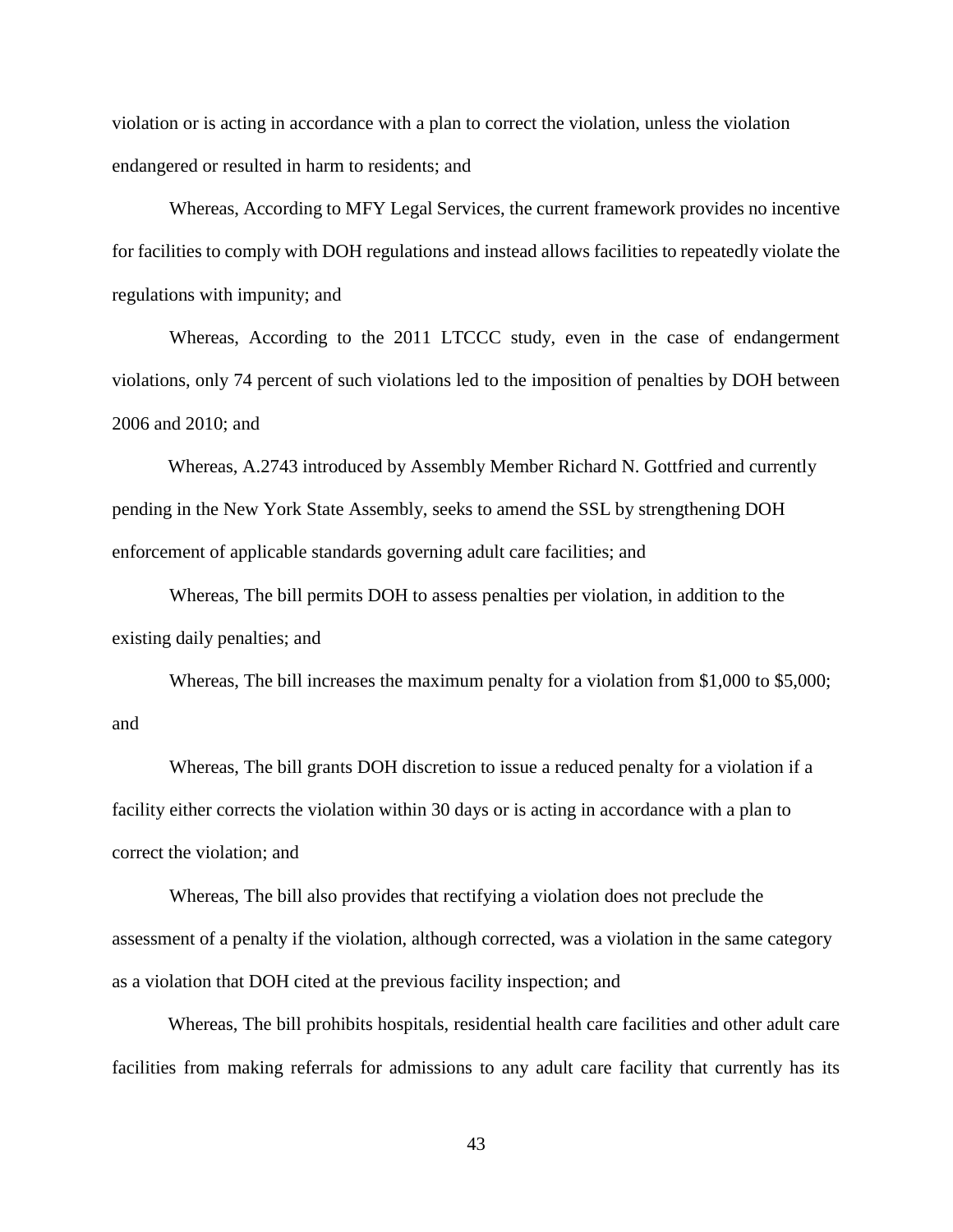violation or is acting in accordance with a plan to correct the violation, unless the violation endangered or resulted in harm to residents; and

 Whereas, According to MFY Legal Services, the current framework provides no incentive for facilities to comply with DOH regulations and instead allows facilities to repeatedly violate the regulations with impunity; and

 Whereas, According to the 2011 LTCCC study, even in the case of endangerment violations, only 74 percent of such violations led to the imposition of penalties by DOH between 2006 and 2010; and

Whereas, A.2743 introduced by Assembly Member Richard N. Gottfried and currently pending in the New York State Assembly, seeks to amend the SSL by strengthening DOH enforcement of applicable standards governing adult care facilities; and

 Whereas, The bill permits DOH to assess penalties per violation, in addition to the existing daily penalties; and

 Whereas, The bill increases the maximum penalty for a violation from \$1,000 to \$5,000; and

 Whereas, The bill grants DOH discretion to issue a reduced penalty for a violation if a facility either corrects the violation within 30 days or is acting in accordance with a plan to correct the violation; and

 Whereas, The bill also provides that rectifying a violation does not preclude the assessment of a penalty if the violation, although corrected, was a violation in the same category as a violation that DOH cited at the previous facility inspection; and

Whereas, The bill prohibits hospitals, residential health care facilities and other adult care facilities from making referrals for admissions to any adult care facility that currently has its